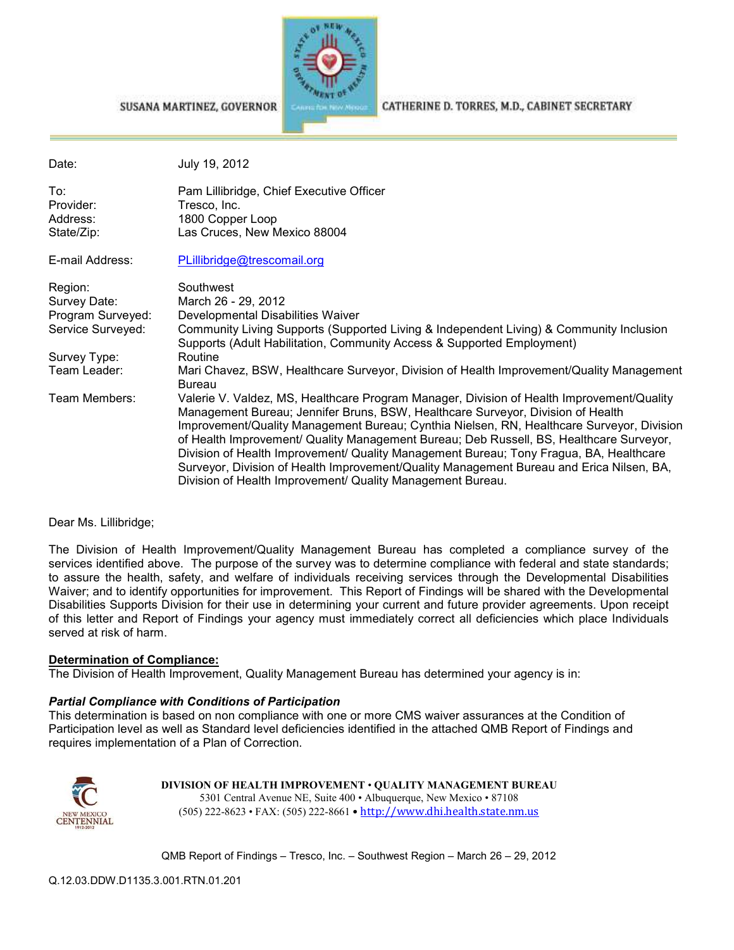

#### SUSANA MARTINEZ, GOVERNOR

Date: July 19, 2012 To: Pam Lillibridge, Chief Executive Officer<br>Provider: Tresco. Inc. Tresco, Inc. Address: 1800 Copper Loop State/Zip: Las Cruces, New Mexico 88004 E-mail Address: PLillibridge@trescomail.org Region: Southwest Survey Date: March 26 - 29, 2012 Program Surveyed: Developmental Disabilities Waiver Service Surveyed: Community Living Supports (Supported Living & Independent Living) & Community Inclusion Supports (Adult Habilitation, Community Access & Supported Employment) Survey Type: Routine<br>Team Leader: Mari Cha Mari Chavez, BSW, Healthcare Surveyor, Division of Health Improvement/Quality Management Bureau Team Members: Valerie V. Valdez, MS, Healthcare Program Manager, Division of Health Improvement/Quality Management Bureau; Jennifer Bruns, BSW, Healthcare Surveyor, Division of Health Improvement/Quality Management Bureau; Cynthia Nielsen, RN, Healthcare Surveyor, Division of Health Improvement/ Quality Management Bureau; Deb Russell, BS, Healthcare Surveyor, Division of Health Improvement/ Quality Management Bureau; Tony Fragua, BA, Healthcare Surveyor, Division of Health Improvement/Quality Management Bureau and Erica Nilsen, BA,

#### Dear Ms. Lillibridge;

The Division of Health Improvement/Quality Management Bureau has completed a compliance survey of the services identified above. The purpose of the survey was to determine compliance with federal and state standards; to assure the health, safety, and welfare of individuals receiving services through the Developmental Disabilities Waiver; and to identify opportunities for improvement. This Report of Findings will be shared with the Developmental Disabilities Supports Division for their use in determining your current and future provider agreements. Upon receipt of this letter and Report of Findings your agency must immediately correct all deficiencies which place Individuals served at risk of harm.

Division of Health Improvement/ Quality Management Bureau.

#### **Determination of Compliance:**

The Division of Health Improvement, Quality Management Bureau has determined your agency is in:

#### *Partial Compliance with Conditions of Participation*

This determination is based on non compliance with one or more CMS waiver assurances at the Condition of Participation level as well as Standard level deficiencies identified in the attached QMB Report of Findings and requires implementation of a Plan of Correction.



**DIVISION OF HEALTH IMPROVEMENT** • **QUALITY MANAGEMENT BUREAU** 5301 Central Avenue NE, Suite 400 • Albuquerque, New Mexico • 87108 (505) 222-8623 • FAX: (505) 222-8661 • http://www.dhi.health.state.nm.us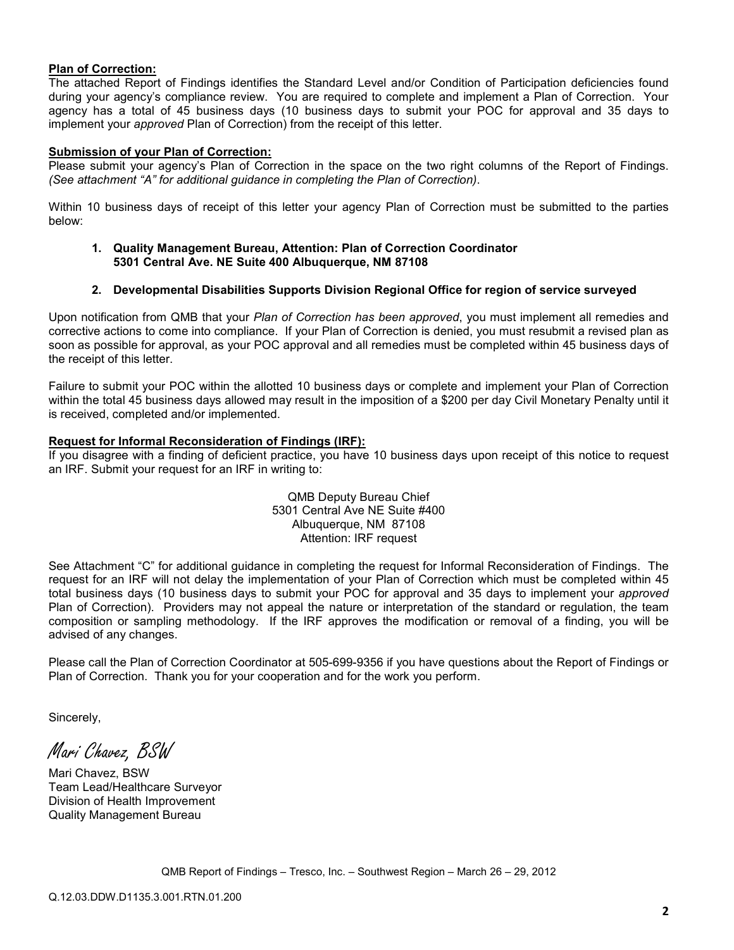### **Plan of Correction:**

The attached Report of Findings identifies the Standard Level and/or Condition of Participation deficiencies found during your agency's compliance review. You are required to complete and implement a Plan of Correction. Your agency has a total of 45 business days (10 business days to submit your POC for approval and 35 days to implement your *approved* Plan of Correction) from the receipt of this letter.

### **Submission of your Plan of Correction:**

Please submit your agency's Plan of Correction in the space on the two right columns of the Report of Findings. *(See attachment "A" for additional guidance in completing the Plan of Correction)*.

Within 10 business days of receipt of this letter your agency Plan of Correction must be submitted to the parties below:

#### **1. Quality Management Bureau, Attention: Plan of Correction Coordinator 5301 Central Ave. NE Suite 400 Albuquerque, NM 87108**

### **2. Developmental Disabilities Supports Division Regional Office for region of service surveyed**

Upon notification from QMB that your *Plan of Correction has been approved*, you must implement all remedies and corrective actions to come into compliance. If your Plan of Correction is denied, you must resubmit a revised plan as soon as possible for approval, as your POC approval and all remedies must be completed within 45 business days of the receipt of this letter.

Failure to submit your POC within the allotted 10 business days or complete and implement your Plan of Correction within the total 45 business days allowed may result in the imposition of a \$200 per day Civil Monetary Penalty until it is received, completed and/or implemented.

#### **Request for Informal Reconsideration of Findings (IRF):**

If you disagree with a finding of deficient practice, you have 10 business days upon receipt of this notice to request an IRF. Submit your request for an IRF in writing to:

> QMB Deputy Bureau Chief 5301 Central Ave NE Suite #400 Albuquerque, NM 87108 Attention: IRF request

See Attachment "C" for additional guidance in completing the request for Informal Reconsideration of Findings. The request for an IRF will not delay the implementation of your Plan of Correction which must be completed within 45 total business days (10 business days to submit your POC for approval and 35 days to implement your *approved* Plan of Correction). Providers may not appeal the nature or interpretation of the standard or regulation, the team composition or sampling methodology. If the IRF approves the modification or removal of a finding, you will be advised of any changes.

Please call the Plan of Correction Coordinator at 505-699-9356 if you have questions about the Report of Findings or Plan of Correction. Thank you for your cooperation and for the work you perform.

Sincerely,

Mari Chavez, BSW

Mari Chavez, BSW Team Lead/Healthcare Surveyor Division of Health Improvement Quality Management Bureau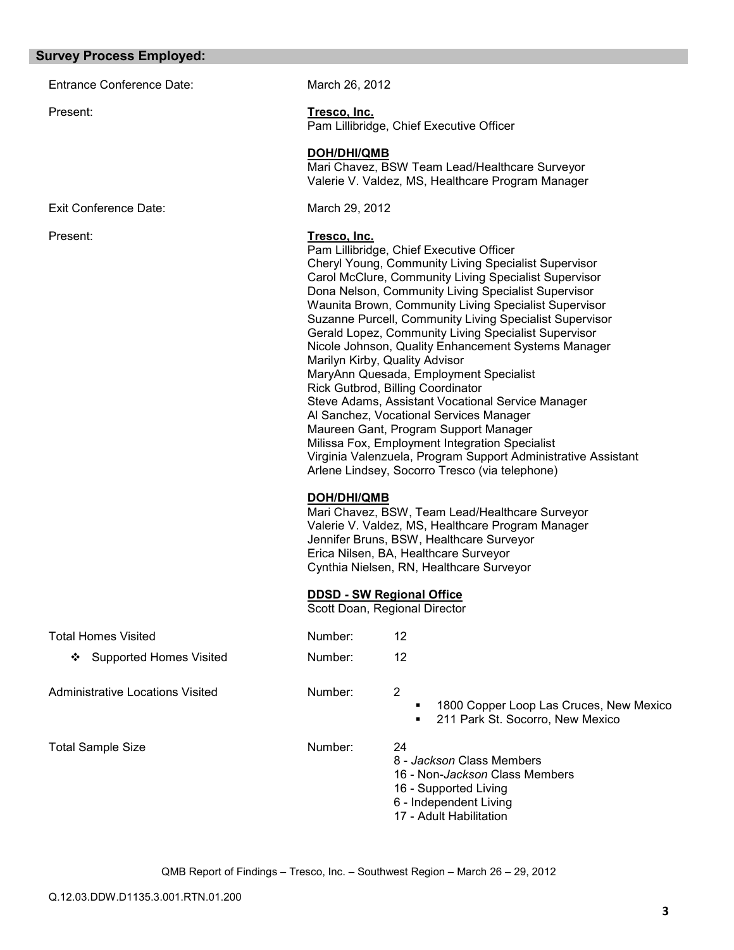#### **Survey Process Employed:**

Entrance Conference Date: March 26, 2012

Exit Conference Date: March 29, 2012

# Present: **Tresco, Inc.**

Pam Lillibridge, Chief Executive Officer

### **DOH/DHI/QMB**

Mari Chavez, BSW Team Lead/Healthcare Surveyor Valerie V. Valdez, MS, Healthcare Program Manager

### Present: **Tresco, Inc.**

Pam Lillibridge, Chief Executive Officer Cheryl Young, Community Living Specialist Supervisor Carol McClure, Community Living Specialist Supervisor Dona Nelson, Community Living Specialist Supervisor Waunita Brown, Community Living Specialist Supervisor Suzanne Purcell, Community Living Specialist Supervisor Gerald Lopez, Community Living Specialist Supervisor Nicole Johnson, Quality Enhancement Systems Manager Marilyn Kirby, Quality Advisor MaryAnn Quesada, Employment Specialist Rick Gutbrod, Billing Coordinator Steve Adams, Assistant Vocational Service Manager Al Sanchez, Vocational Services Manager Maureen Gant, Program Support Manager Milissa Fox, Employment Integration Specialist Virginia Valenzuela, Program Support Administrative Assistant Arlene Lindsey, Socorro Tresco (via telephone)

#### **DOH/DHI/QMB**

Mari Chavez, BSW, Team Lead/Healthcare Surveyor Valerie V. Valdez, MS, Healthcare Program Manager Jennifer Bruns, BSW, Healthcare Surveyor Erica Nilsen, BA, Healthcare Surveyor Cynthia Nielsen, RN, Healthcare Surveyor

### **DDSD - SW Regional Office**

Scott Doan, Regional Director

| <b>Total Homes Visited</b>       | Number: | 12            |
|----------------------------------|---------|---------------|
| ❖ Supported Homes Visited        | Number: | 12            |
| Administrative Locations Visited | Number: | 2<br>п        |
| <b>Total Sample Size</b>         | Number: | 24<br>Ω<br>ما |

8 - *Jackson* Class Members

16 - Non-*Jackson* Class Members

1800 Copper Loop Las Cruces, New Mexico

211 Park St. Socorro, New Mexico

- 16 Supported Living
- 6 Independent Living
- 17 Adult Habilitation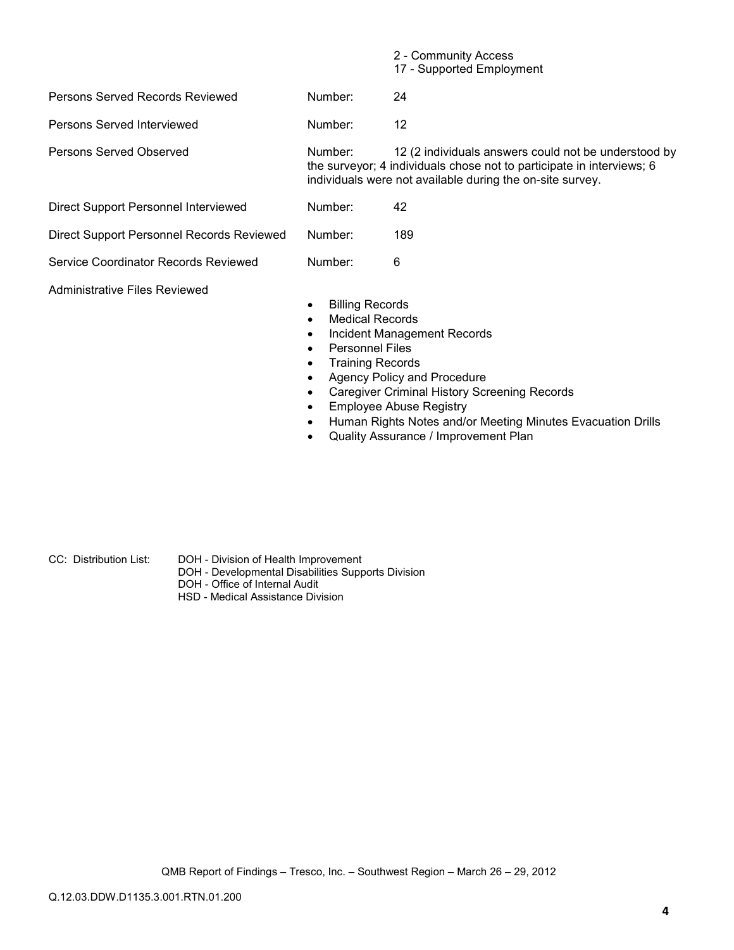|                                           |                                                                                                                                                        | 2 - Community Access<br>17 - Supported Employment                                                                                                                                          |
|-------------------------------------------|--------------------------------------------------------------------------------------------------------------------------------------------------------|--------------------------------------------------------------------------------------------------------------------------------------------------------------------------------------------|
| Persons Served Records Reviewed           | Number:                                                                                                                                                | 24                                                                                                                                                                                         |
| Persons Served Interviewed                | Number:                                                                                                                                                | 12                                                                                                                                                                                         |
| <b>Persons Served Observed</b>            | Number:                                                                                                                                                | 12 (2 individuals answers could not be understood by<br>the surveyor; 4 individuals chose not to participate in interviews; 6<br>individuals were not available during the on-site survey. |
| Direct Support Personnel Interviewed      | Number:                                                                                                                                                | 42                                                                                                                                                                                         |
| Direct Support Personnel Records Reviewed | Number:                                                                                                                                                | 189                                                                                                                                                                                        |
| Service Coordinator Records Reviewed      | Number:                                                                                                                                                | 6                                                                                                                                                                                          |
| Administrative Files Reviewed             | <b>Billing Records</b><br>٠<br><b>Medical Records</b><br>$\bullet$<br>٠<br><b>Personnel Files</b><br>$\bullet$<br><b>Training Records</b><br>$\bullet$ | Incident Management Records<br>Agency Policy and Procedure<br><b>Caregiver Criminal History Screening Records</b>                                                                          |

- Caregiver Communications<br>• Employee Abuse Registry<br>• City Motos and/o
- Human Rights Notes and/or Meeting Minutes Evacuation Drills
- Quality Assurance / Improvement Plan

- CC: Distribution List: DOH Division of Health Improvement
	- DOH Developmental Disabilities Supports Division
	- DOH Office of Internal Audit
	- HSD Medical Assistance Division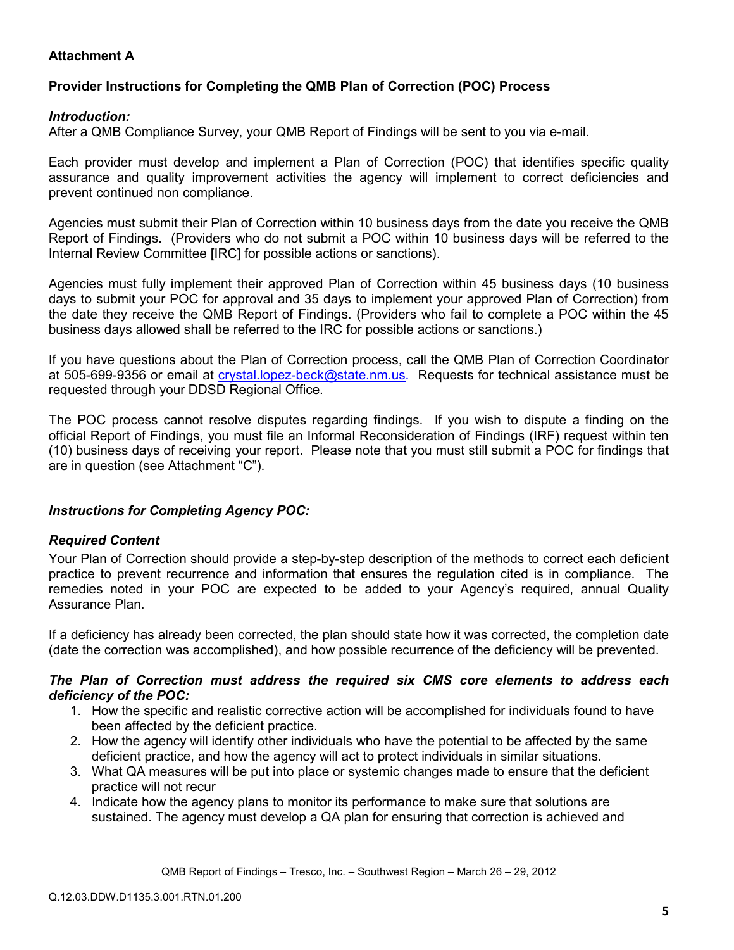# **Attachment A**

# **Provider Instructions for Completing the QMB Plan of Correction (POC) Process**

## *Introduction:*

After a QMB Compliance Survey, your QMB Report of Findings will be sent to you via e-mail.

Each provider must develop and implement a Plan of Correction (POC) that identifies specific quality assurance and quality improvement activities the agency will implement to correct deficiencies and prevent continued non compliance.

Agencies must submit their Plan of Correction within 10 business days from the date you receive the QMB Report of Findings. (Providers who do not submit a POC within 10 business days will be referred to the Internal Review Committee [IRC] for possible actions or sanctions).

Agencies must fully implement their approved Plan of Correction within 45 business days (10 business days to submit your POC for approval and 35 days to implement your approved Plan of Correction) from the date they receive the QMB Report of Findings. (Providers who fail to complete a POC within the 45 business days allowed shall be referred to the IRC for possible actions or sanctions.)

If you have questions about the Plan of Correction process, call the QMB Plan of Correction Coordinator at 505-699-9356 or email at *crystal.lopez-beck@state.nm.us*. Requests for technical assistance must be requested through your DDSD Regional Office.

The POC process cannot resolve disputes regarding findings. If you wish to dispute a finding on the official Report of Findings, you must file an Informal Reconsideration of Findings (IRF) request within ten (10) business days of receiving your report. Please note that you must still submit a POC for findings that are in question (see Attachment "C").

## *Instructions for Completing Agency POC:*

## *Required Content*

Your Plan of Correction should provide a step-by-step description of the methods to correct each deficient practice to prevent recurrence and information that ensures the regulation cited is in compliance. The remedies noted in your POC are expected to be added to your Agency's required, annual Quality Assurance Plan.

If a deficiency has already been corrected, the plan should state how it was corrected, the completion date (date the correction was accomplished), and how possible recurrence of the deficiency will be prevented.

### *The Plan of Correction must address the required six CMS core elements to address each deficiency of the POC:*

- 1. How the specific and realistic corrective action will be accomplished for individuals found to have been affected by the deficient practice.
- 2. How the agency will identify other individuals who have the potential to be affected by the same deficient practice, and how the agency will act to protect individuals in similar situations.
- 3. What QA measures will be put into place or systemic changes made to ensure that the deficient practice will not recur
- 4. Indicate how the agency plans to monitor its performance to make sure that solutions are sustained. The agency must develop a QA plan for ensuring that correction is achieved and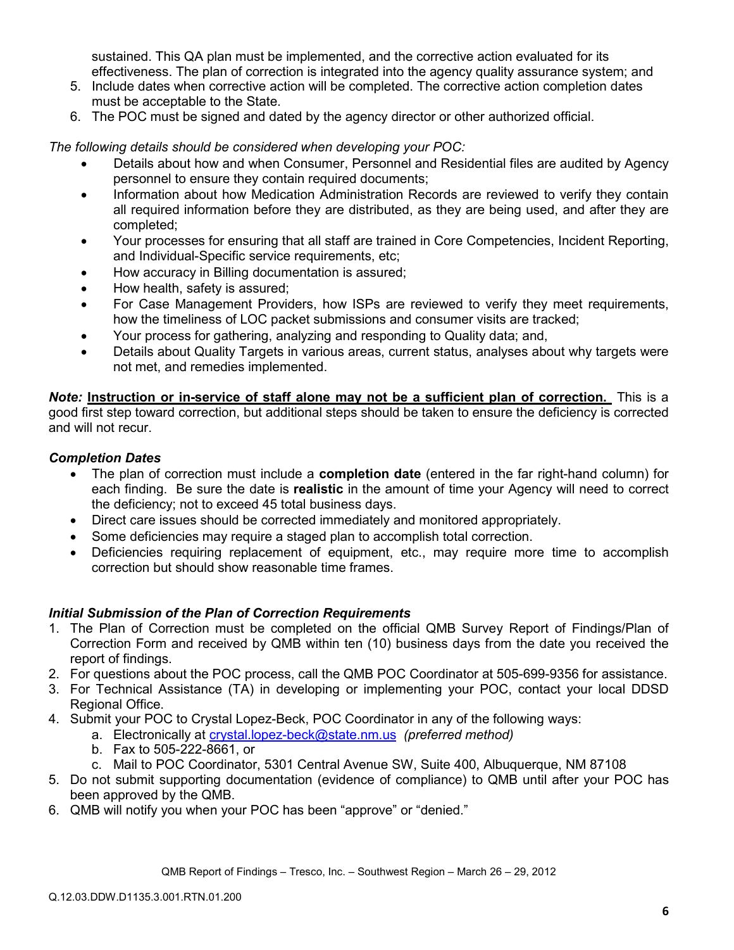sustained. This QA plan must be implemented, and the corrective action evaluated for its effectiveness. The plan of correction is integrated into the agency quality assurance system; and

- 5. Include dates when corrective action will be completed. The corrective action completion dates must be acceptable to the State.
- 6. The POC must be signed and dated by the agency director or other authorized official.

*The following details should be considered when developing your POC:* 

- Details about how and when Consumer, Personnel and Residential files are audited by Agency personnel to ensure they contain required documents;
- Information about how Medication Administration Records are reviewed to verify they contain all required information before they are distributed, as they are being used, and after they are completed;
- Your processes for ensuring that all staff are trained in Core Competencies, Incident Reporting, and Individual-Specific service requirements, etc;
- How accuracy in Billing documentation is assured;
- How health, safety is assured;
- For Case Management Providers, how ISPs are reviewed to verify they meet requirements, how the timeliness of LOC packet submissions and consumer visits are tracked;
- Your process for gathering, analyzing and responding to Quality data; and,
- Details about Quality Targets in various areas, current status, analyses about why targets were not met, and remedies implemented.

*Note:* **Instruction or in-service of staff alone may not be a sufficient plan of correction.** This is a good first step toward correction, but additional steps should be taken to ensure the deficiency is corrected and will not recur.

## *Completion Dates*

- The plan of correction must include a **completion date** (entered in the far right-hand column) for each finding. Be sure the date is **realistic** in the amount of time your Agency will need to correct the deficiency; not to exceed 45 total business days.
- Direct care issues should be corrected immediately and monitored appropriately.
- Some deficiencies may require a staged plan to accomplish total correction.
- Deficiencies requiring replacement of equipment, etc., may require more time to accomplish correction but should show reasonable time frames.

## *Initial Submission of the Plan of Correction Requirements*

- 1. The Plan of Correction must be completed on the official QMB Survey Report of Findings/Plan of Correction Form and received by QMB within ten (10) business days from the date you received the report of findings.
- 2. For questions about the POC process, call the QMB POC Coordinator at 505-699-9356 for assistance.
- 3. For Technical Assistance (TA) in developing or implementing your POC, contact your local DDSD Regional Office.
- 4. Submit your POC to Crystal Lopez-Beck, POC Coordinator in any of the following ways:
	- a. Electronically at crystal.lopez-beck@state.nm.us *(preferred method)*
	- b. Fax to 505-222-8661, or
	- c. Mail to POC Coordinator, 5301 Central Avenue SW, Suite 400, Albuquerque, NM 87108
- 5. Do not submit supporting documentation (evidence of compliance) to QMB until after your POC has been approved by the QMB.
- 6. QMB will notify you when your POC has been "approve" or "denied."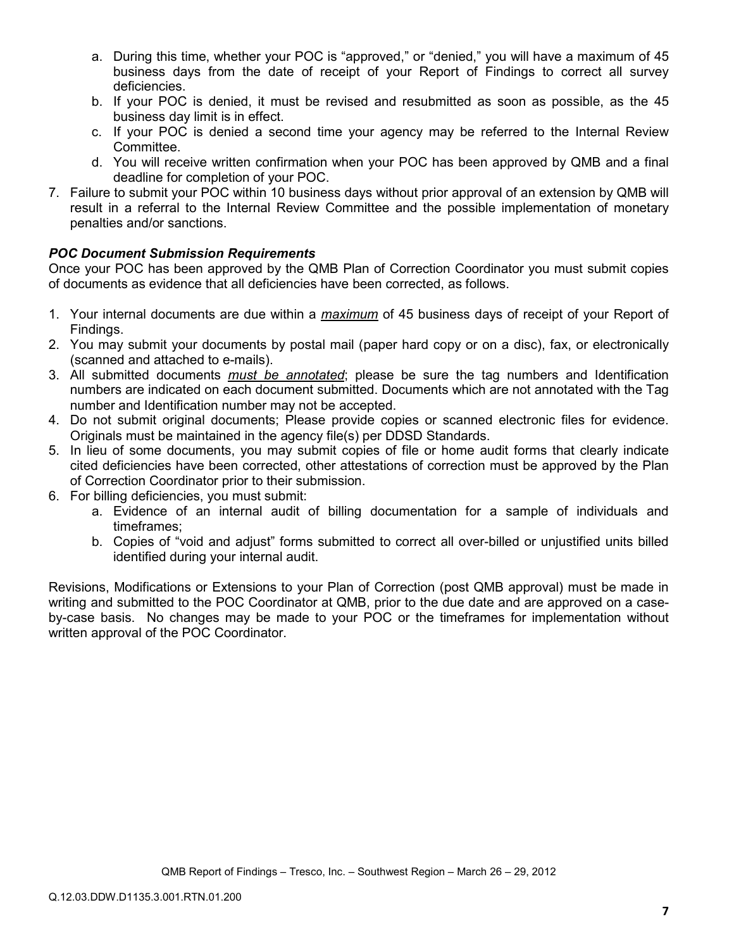- a. During this time, whether your POC is "approved," or "denied," you will have a maximum of 45 business days from the date of receipt of your Report of Findings to correct all survey deficiencies.
- b. If your POC is denied, it must be revised and resubmitted as soon as possible, as the 45 business day limit is in effect.
- c. If your POC is denied a second time your agency may be referred to the Internal Review Committee.
- d. You will receive written confirmation when your POC has been approved by QMB and a final deadline for completion of your POC.
- 7. Failure to submit your POC within 10 business days without prior approval of an extension by QMB will result in a referral to the Internal Review Committee and the possible implementation of monetary penalties and/or sanctions.

# *POC Document Submission Requirements*

Once your POC has been approved by the QMB Plan of Correction Coordinator you must submit copies of documents as evidence that all deficiencies have been corrected, as follows.

- 1. Your internal documents are due within a *maximum* of 45 business days of receipt of your Report of Findings.
- 2. You may submit your documents by postal mail (paper hard copy or on a disc), fax, or electronically (scanned and attached to e-mails).
- 3. All submitted documents *must be annotated*; please be sure the tag numbers and Identification numbers are indicated on each document submitted. Documents which are not annotated with the Tag number and Identification number may not be accepted.
- 4. Do not submit original documents; Please provide copies or scanned electronic files for evidence. Originals must be maintained in the agency file(s) per DDSD Standards.
- 5. In lieu of some documents, you may submit copies of file or home audit forms that clearly indicate cited deficiencies have been corrected, other attestations of correction must be approved by the Plan of Correction Coordinator prior to their submission.
- 6. For billing deficiencies, you must submit:
	- a. Evidence of an internal audit of billing documentation for a sample of individuals and timeframes;
	- b. Copies of "void and adjust" forms submitted to correct all over-billed or unjustified units billed identified during your internal audit.

Revisions, Modifications or Extensions to your Plan of Correction (post QMB approval) must be made in writing and submitted to the POC Coordinator at QMB, prior to the due date and are approved on a caseby-case basis. No changes may be made to your POC or the timeframes for implementation without written approval of the POC Coordinator.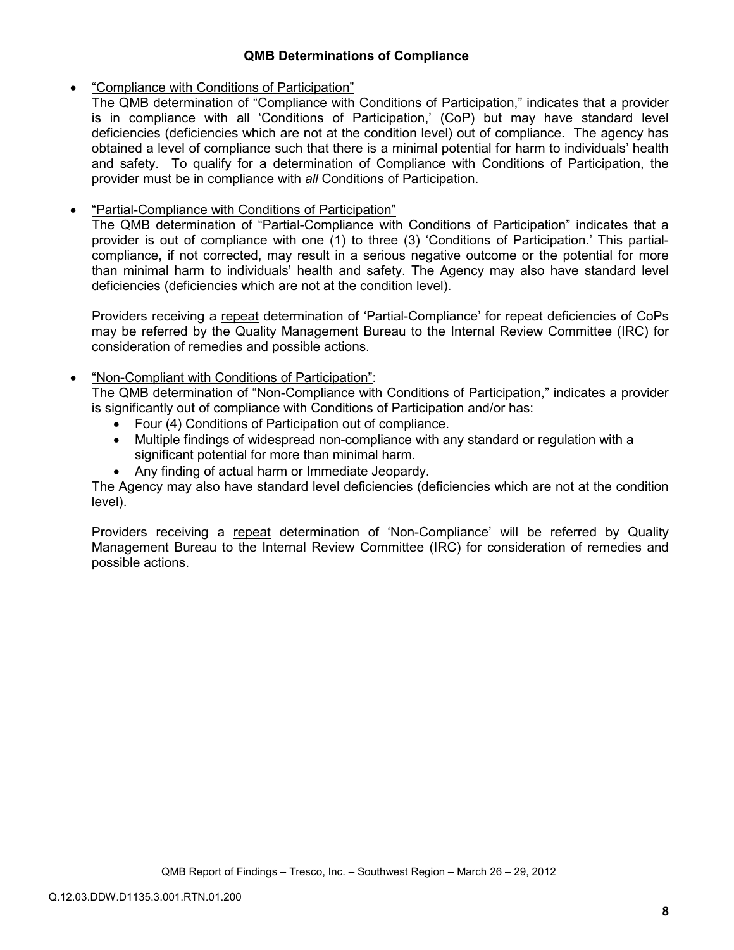## **QMB Determinations of Compliance**

## • "Compliance with Conditions of Participation"

The QMB determination of "Compliance with Conditions of Participation," indicates that a provider is in compliance with all 'Conditions of Participation,' (CoP) but may have standard level deficiencies (deficiencies which are not at the condition level) out of compliance. The agency has obtained a level of compliance such that there is a minimal potential for harm to individuals' health and safety. To qualify for a determination of Compliance with Conditions of Participation, the provider must be in compliance with *all* Conditions of Participation.

# • "Partial-Compliance with Conditions of Participation"

The QMB determination of "Partial-Compliance with Conditions of Participation" indicates that a provider is out of compliance with one (1) to three (3) 'Conditions of Participation.' This partialcompliance, if not corrected, may result in a serious negative outcome or the potential for more than minimal harm to individuals' health and safety. The Agency may also have standard level deficiencies (deficiencies which are not at the condition level).

Providers receiving a repeat determination of 'Partial-Compliance' for repeat deficiencies of CoPs may be referred by the Quality Management Bureau to the Internal Review Committee (IRC) for consideration of remedies and possible actions.

# • "Non-Compliant with Conditions of Participation":

The QMB determination of "Non-Compliance with Conditions of Participation," indicates a provider is significantly out of compliance with Conditions of Participation and/or has:

- Four (4) Conditions of Participation out of compliance.
- Multiple findings of widespread non-compliance with any standard or regulation with a significant potential for more than minimal harm.
- Any finding of actual harm or Immediate Jeopardy.

The Agency may also have standard level deficiencies (deficiencies which are not at the condition level).

Providers receiving a repeat determination of 'Non-Compliance' will be referred by Quality Management Bureau to the Internal Review Committee (IRC) for consideration of remedies and possible actions.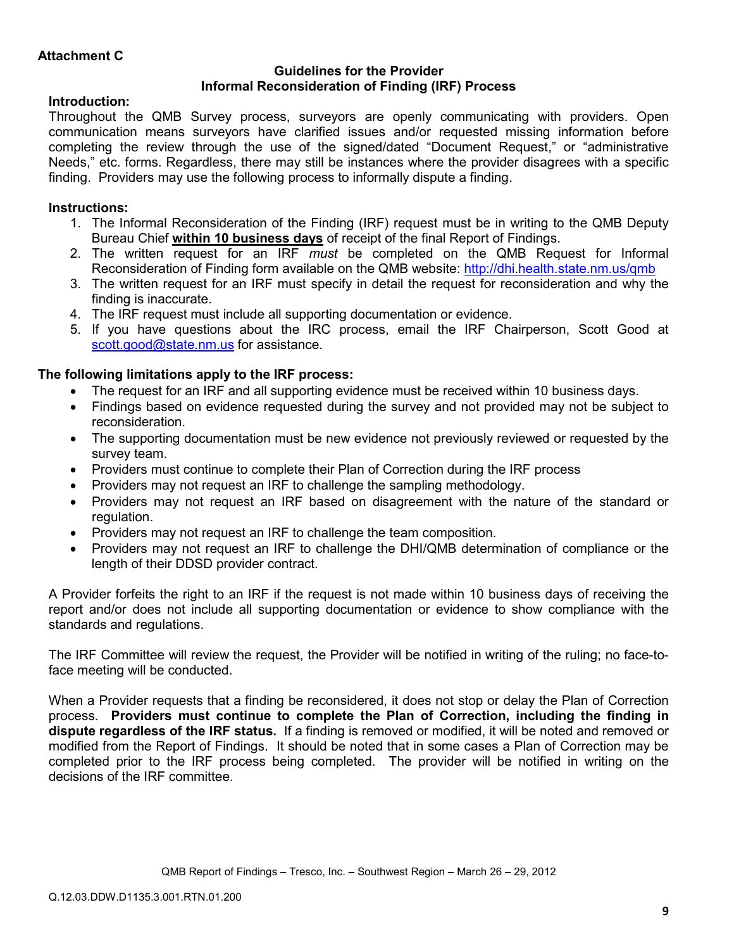### **Guidelines for the Provider Informal Reconsideration of Finding (IRF) Process**

# **Introduction:**

Throughout the QMB Survey process, surveyors are openly communicating with providers. Open communication means surveyors have clarified issues and/or requested missing information before completing the review through the use of the signed/dated "Document Request," or "administrative Needs," etc. forms. Regardless, there may still be instances where the provider disagrees with a specific finding. Providers may use the following process to informally dispute a finding.

# **Instructions:**

- 1. The Informal Reconsideration of the Finding (IRF) request must be in writing to the QMB Deputy Bureau Chief **within 10 business days** of receipt of the final Report of Findings.
- 2. The written request for an IRF *must* be completed on the QMB Request for Informal Reconsideration of Finding form available on the QMB website: http://dhi.health.state.nm.us/qmb
- 3. The written request for an IRF must specify in detail the request for reconsideration and why the finding is inaccurate.
- 4. The IRF request must include all supporting documentation or evidence.
- 5. If you have questions about the IRC process, email the IRF Chairperson, Scott Good at scott.good@state.nm.us for assistance.

# **The following limitations apply to the IRF process:**

- The request for an IRF and all supporting evidence must be received within 10 business days.
- Findings based on evidence requested during the survey and not provided may not be subject to reconsideration.
- The supporting documentation must be new evidence not previously reviewed or requested by the survey team.
- Providers must continue to complete their Plan of Correction during the IRF process
- Providers may not request an IRF to challenge the sampling methodology.
- Providers may not request an IRF based on disagreement with the nature of the standard or regulation.
- Providers may not request an IRF to challenge the team composition.
- Providers may not request an IRF to challenge the DHI/QMB determination of compliance or the length of their DDSD provider contract.

A Provider forfeits the right to an IRF if the request is not made within 10 business days of receiving the report and/or does not include all supporting documentation or evidence to show compliance with the standards and regulations.

The IRF Committee will review the request, the Provider will be notified in writing of the ruling; no face-toface meeting will be conducted.

When a Provider requests that a finding be reconsidered, it does not stop or delay the Plan of Correction process. **Providers must continue to complete the Plan of Correction, including the finding in dispute regardless of the IRF status.** If a finding is removed or modified, it will be noted and removed or modified from the Report of Findings. It should be noted that in some cases a Plan of Correction may be completed prior to the IRF process being completed. The provider will be notified in writing on the decisions of the IRF committee.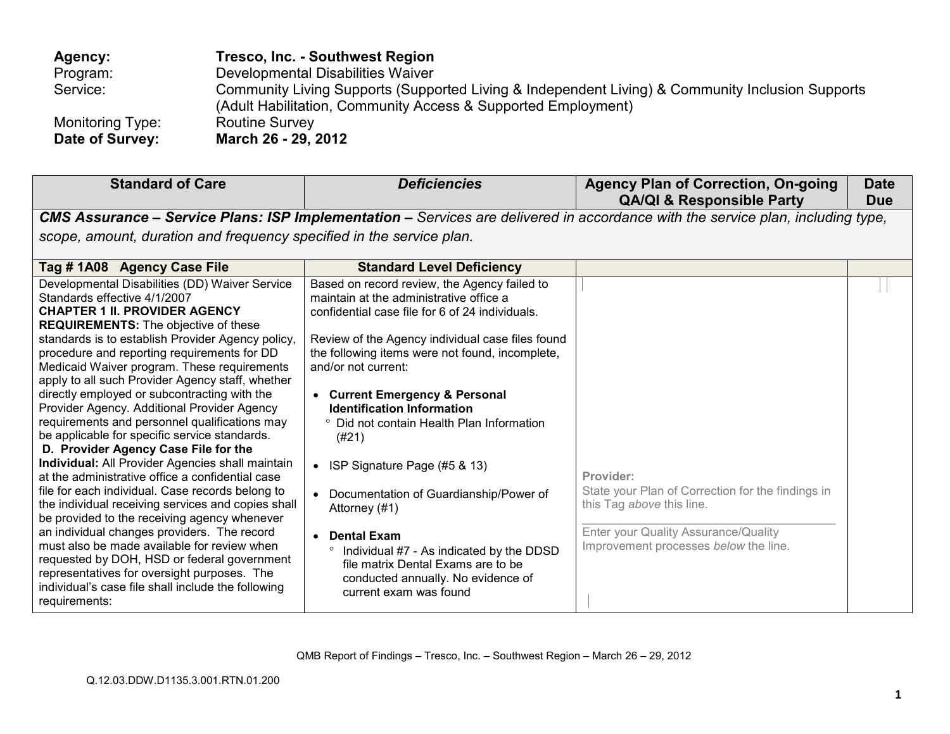| Agency:          | Tresco, Inc. - Southwest Region                                                                                                                                   |
|------------------|-------------------------------------------------------------------------------------------------------------------------------------------------------------------|
| Program:         | Developmental Disabilities Waiver                                                                                                                                 |
| Service:         | Community Living Supports (Supported Living & Independent Living) & Community Inclusion Supports<br>(Adult Habilitation, Community Access & Supported Employment) |
| Monitoring Type: | <b>Routine Survey</b>                                                                                                                                             |
| Date of Survey:  | March 26 - 29, 2012                                                                                                                                               |

| <b>Standard of Care</b>                                                                                                                                                                                                                                                                                                                                                                                                                                                                                                                                                                                                                                                                                                                                                                                                                                                                                                                                                                                                                                                                                                                                    | <b>Deficiencies</b>                                                                                                                                                                                                                                                                                                                                                                                                                                                                                                                                                                                                                                                                                | <b>Agency Plan of Correction, On-going</b><br><b>QA/QI &amp; Responsible Party</b>                                                                                           | <b>Date</b><br><b>Due</b> |
|------------------------------------------------------------------------------------------------------------------------------------------------------------------------------------------------------------------------------------------------------------------------------------------------------------------------------------------------------------------------------------------------------------------------------------------------------------------------------------------------------------------------------------------------------------------------------------------------------------------------------------------------------------------------------------------------------------------------------------------------------------------------------------------------------------------------------------------------------------------------------------------------------------------------------------------------------------------------------------------------------------------------------------------------------------------------------------------------------------------------------------------------------------|----------------------------------------------------------------------------------------------------------------------------------------------------------------------------------------------------------------------------------------------------------------------------------------------------------------------------------------------------------------------------------------------------------------------------------------------------------------------------------------------------------------------------------------------------------------------------------------------------------------------------------------------------------------------------------------------------|------------------------------------------------------------------------------------------------------------------------------------------------------------------------------|---------------------------|
|                                                                                                                                                                                                                                                                                                                                                                                                                                                                                                                                                                                                                                                                                                                                                                                                                                                                                                                                                                                                                                                                                                                                                            |                                                                                                                                                                                                                                                                                                                                                                                                                                                                                                                                                                                                                                                                                                    | CMS Assurance - Service Plans: ISP Implementation - Services are delivered in accordance with the service plan, including type,                                              |                           |
| scope, amount, duration and frequency specified in the service plan.                                                                                                                                                                                                                                                                                                                                                                                                                                                                                                                                                                                                                                                                                                                                                                                                                                                                                                                                                                                                                                                                                       |                                                                                                                                                                                                                                                                                                                                                                                                                                                                                                                                                                                                                                                                                                    |                                                                                                                                                                              |                           |
| Tag #1A08 Agency Case File                                                                                                                                                                                                                                                                                                                                                                                                                                                                                                                                                                                                                                                                                                                                                                                                                                                                                                                                                                                                                                                                                                                                 | <b>Standard Level Deficiency</b>                                                                                                                                                                                                                                                                                                                                                                                                                                                                                                                                                                                                                                                                   |                                                                                                                                                                              |                           |
| Developmental Disabilities (DD) Waiver Service<br>Standards effective 4/1/2007<br><b>CHAPTER 1 II. PROVIDER AGENCY</b><br><b>REQUIREMENTS:</b> The objective of these<br>standards is to establish Provider Agency policy,<br>procedure and reporting requirements for DD<br>Medicaid Waiver program. These requirements<br>apply to all such Provider Agency staff, whether<br>directly employed or subcontracting with the<br>Provider Agency. Additional Provider Agency<br>requirements and personnel qualifications may<br>be applicable for specific service standards.<br>D. Provider Agency Case File for the<br>Individual: All Provider Agencies shall maintain<br>at the administrative office a confidential case<br>file for each individual. Case records belong to<br>the individual receiving services and copies shall<br>be provided to the receiving agency whenever<br>an individual changes providers. The record<br>must also be made available for review when<br>requested by DOH, HSD or federal government<br>representatives for oversight purposes. The<br>individual's case file shall include the following<br>requirements: | Based on record review, the Agency failed to<br>maintain at the administrative office a<br>confidential case file for 6 of 24 individuals.<br>Review of the Agency individual case files found<br>the following items were not found, incomplete,<br>and/or not current:<br>• Current Emergency & Personal<br><b>Identification Information</b><br>° Did not contain Health Plan Information<br>(#21)<br>ISP Signature Page (#5 & 13)<br>$\bullet$<br>• Documentation of Guardianship/Power of<br>Attorney (#1)<br><b>Dental Exam</b><br>$\circ$<br>Individual #7 - As indicated by the DDSD<br>file matrix Dental Exams are to be<br>conducted annually. No evidence of<br>current exam was found | Provider:<br>State your Plan of Correction for the findings in<br>this Tag above this line.<br>Enter your Quality Assurance/Quality<br>Improvement processes below the line. |                           |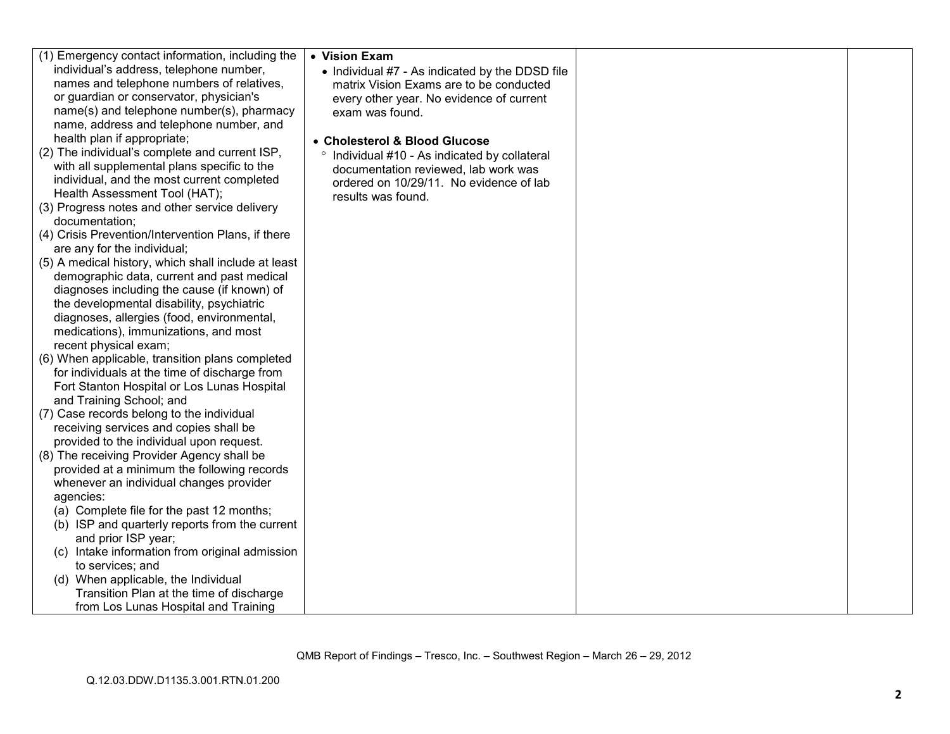| (1) Emergency contact information, including the    | • Vision Exam                                   |  |
|-----------------------------------------------------|-------------------------------------------------|--|
| individual's address, telephone number,             | • Individual #7 - As indicated by the DDSD file |  |
| names and telephone numbers of relatives,           | matrix Vision Exams are to be conducted         |  |
| or guardian or conservator, physician's             | every other year. No evidence of current        |  |
| name(s) and telephone number(s), pharmacy           | exam was found.                                 |  |
| name, address and telephone number, and             |                                                 |  |
| health plan if appropriate;                         | • Cholesterol & Blood Glucose                   |  |
| (2) The individual's complete and current ISP,      | ° Individual #10 - As indicated by collateral   |  |
| with all supplemental plans specific to the         | documentation reviewed, lab work was            |  |
| individual, and the most current completed          | ordered on 10/29/11. No evidence of lab         |  |
| Health Assessment Tool (HAT);                       | results was found.                              |  |
| (3) Progress notes and other service delivery       |                                                 |  |
| documentation;                                      |                                                 |  |
| (4) Crisis Prevention/Intervention Plans, if there  |                                                 |  |
| are any for the individual;                         |                                                 |  |
| (5) A medical history, which shall include at least |                                                 |  |
| demographic data, current and past medical          |                                                 |  |
| diagnoses including the cause (if known) of         |                                                 |  |
| the developmental disability, psychiatric           |                                                 |  |
| diagnoses, allergies (food, environmental,          |                                                 |  |
| medications), immunizations, and most               |                                                 |  |
| recent physical exam;                               |                                                 |  |
| (6) When applicable, transition plans completed     |                                                 |  |
| for individuals at the time of discharge from       |                                                 |  |
| Fort Stanton Hospital or Los Lunas Hospital         |                                                 |  |
| and Training School; and                            |                                                 |  |
| (7) Case records belong to the individual           |                                                 |  |
| receiving services and copies shall be              |                                                 |  |
| provided to the individual upon request.            |                                                 |  |
| (8) The receiving Provider Agency shall be          |                                                 |  |
| provided at a minimum the following records         |                                                 |  |
| whenever an individual changes provider             |                                                 |  |
| agencies:                                           |                                                 |  |
| (a) Complete file for the past 12 months;           |                                                 |  |
| (b) ISP and quarterly reports from the current      |                                                 |  |
| and prior ISP year;                                 |                                                 |  |
| (c) Intake information from original admission      |                                                 |  |
| to services; and                                    |                                                 |  |
| (d) When applicable, the Individual                 |                                                 |  |
| Transition Plan at the time of discharge            |                                                 |  |
| from Los Lunas Hospital and Training                |                                                 |  |
|                                                     |                                                 |  |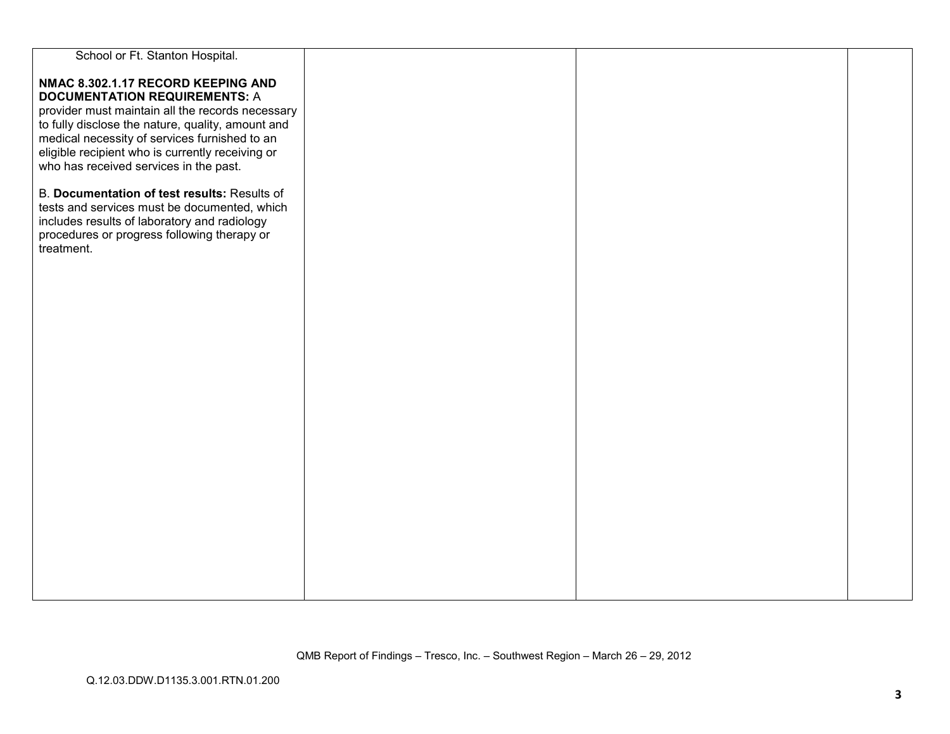| School or Ft. Stanton Hospital.                   |  |  |
|---------------------------------------------------|--|--|
|                                                   |  |  |
| NMAC 8.302.1.17 RECORD KEEPING AND                |  |  |
| <b>DOCUMENTATION REQUIREMENTS: A</b>              |  |  |
| provider must maintain all the records necessary  |  |  |
| to fully disclose the nature, quality, amount and |  |  |
| medical necessity of services furnished to an     |  |  |
| eligible recipient who is currently receiving or  |  |  |
| who has received services in the past.            |  |  |
|                                                   |  |  |
| B. Documentation of test results: Results of      |  |  |
| tests and services must be documented, which      |  |  |
| includes results of laboratory and radiology      |  |  |
| procedures or progress following therapy or       |  |  |
| treatment.                                        |  |  |
|                                                   |  |  |
|                                                   |  |  |
|                                                   |  |  |
|                                                   |  |  |
|                                                   |  |  |
|                                                   |  |  |
|                                                   |  |  |
|                                                   |  |  |
|                                                   |  |  |
|                                                   |  |  |
|                                                   |  |  |
|                                                   |  |  |
|                                                   |  |  |
|                                                   |  |  |
|                                                   |  |  |
|                                                   |  |  |
|                                                   |  |  |
|                                                   |  |  |
|                                                   |  |  |
|                                                   |  |  |
|                                                   |  |  |
|                                                   |  |  |
|                                                   |  |  |
|                                                   |  |  |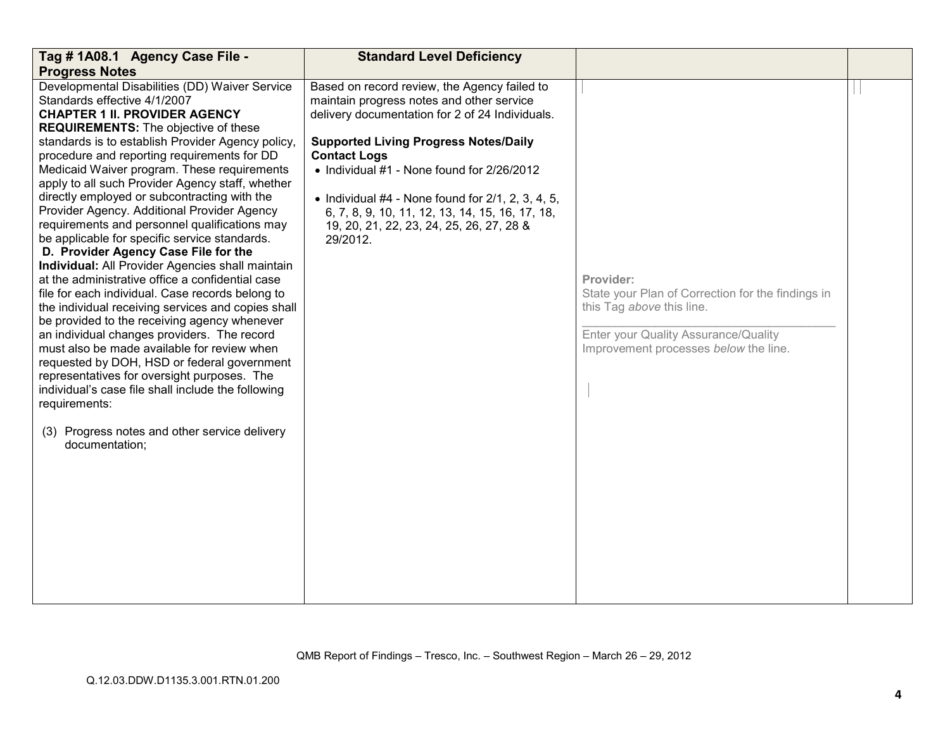| Tag # 1A08.1 Agency Case File -                                                                                                                                                                                                                                                                                                                                                                                                                                                                                                                                                                                                                                                                                                                                                                                                                                                                                                                                                                                                                                                                                                                                                                                               | <b>Standard Level Deficiency</b>                                                                                                                                                                                                                                                                                                                                                                                                       |                                                                                                                                                                              |  |
|-------------------------------------------------------------------------------------------------------------------------------------------------------------------------------------------------------------------------------------------------------------------------------------------------------------------------------------------------------------------------------------------------------------------------------------------------------------------------------------------------------------------------------------------------------------------------------------------------------------------------------------------------------------------------------------------------------------------------------------------------------------------------------------------------------------------------------------------------------------------------------------------------------------------------------------------------------------------------------------------------------------------------------------------------------------------------------------------------------------------------------------------------------------------------------------------------------------------------------|----------------------------------------------------------------------------------------------------------------------------------------------------------------------------------------------------------------------------------------------------------------------------------------------------------------------------------------------------------------------------------------------------------------------------------------|------------------------------------------------------------------------------------------------------------------------------------------------------------------------------|--|
| <b>Progress Notes</b>                                                                                                                                                                                                                                                                                                                                                                                                                                                                                                                                                                                                                                                                                                                                                                                                                                                                                                                                                                                                                                                                                                                                                                                                         |                                                                                                                                                                                                                                                                                                                                                                                                                                        |                                                                                                                                                                              |  |
| Developmental Disabilities (DD) Waiver Service<br>Standards effective 4/1/2007<br><b>CHAPTER 1 II. PROVIDER AGENCY</b><br><b>REQUIREMENTS:</b> The objective of these<br>standards is to establish Provider Agency policy,<br>procedure and reporting requirements for DD<br>Medicaid Waiver program. These requirements<br>apply to all such Provider Agency staff, whether<br>directly employed or subcontracting with the<br>Provider Agency. Additional Provider Agency<br>requirements and personnel qualifications may<br>be applicable for specific service standards.<br>D. Provider Agency Case File for the<br>Individual: All Provider Agencies shall maintain<br>at the administrative office a confidential case<br>file for each individual. Case records belong to<br>the individual receiving services and copies shall<br>be provided to the receiving agency whenever<br>an individual changes providers. The record<br>must also be made available for review when<br>requested by DOH, HSD or federal government<br>representatives for oversight purposes. The<br>individual's case file shall include the following<br>requirements:<br>(3) Progress notes and other service delivery<br>documentation; | Based on record review, the Agency failed to<br>maintain progress notes and other service<br>delivery documentation for 2 of 24 Individuals.<br><b>Supported Living Progress Notes/Daily</b><br><b>Contact Logs</b><br>• Individual #1 - None found for 2/26/2012<br>• Individual $#4$ - None found for $2/1$ , 2, 3, 4, 5,<br>6, 7, 8, 9, 10, 11, 12, 13, 14, 15, 16, 17, 18,<br>19, 20, 21, 22, 23, 24, 25, 26, 27, 28 &<br>29/2012. | Provider:<br>State your Plan of Correction for the findings in<br>this Tag above this line.<br>Enter your Quality Assurance/Quality<br>Improvement processes below the line. |  |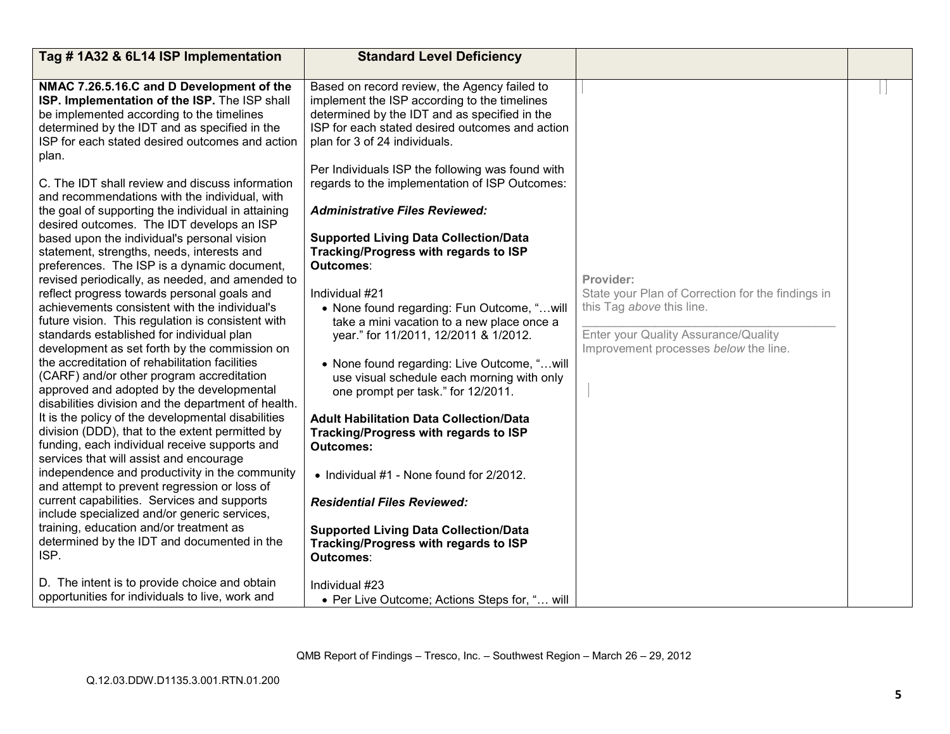| Tag #1A32 & 6L14 ISP Implementation                                                                                                                                                                                                                                                                                                                                                                                                                                                                                                                                                                                                                                                                                                                                                                                                                                                                                                                                                                                                                                                                                                                                                                                                                                                                                                                                                                                                                                                                                                                                                                                      | <b>Standard Level Deficiency</b>                                                                                                                                                                                                                                                                                                                                                                                                                                                                                                                                                                                                                                                                                                                                                                                                                                                                                                                                                                                                                                           |                                                                                                                                                                              |  |
|--------------------------------------------------------------------------------------------------------------------------------------------------------------------------------------------------------------------------------------------------------------------------------------------------------------------------------------------------------------------------------------------------------------------------------------------------------------------------------------------------------------------------------------------------------------------------------------------------------------------------------------------------------------------------------------------------------------------------------------------------------------------------------------------------------------------------------------------------------------------------------------------------------------------------------------------------------------------------------------------------------------------------------------------------------------------------------------------------------------------------------------------------------------------------------------------------------------------------------------------------------------------------------------------------------------------------------------------------------------------------------------------------------------------------------------------------------------------------------------------------------------------------------------------------------------------------------------------------------------------------|----------------------------------------------------------------------------------------------------------------------------------------------------------------------------------------------------------------------------------------------------------------------------------------------------------------------------------------------------------------------------------------------------------------------------------------------------------------------------------------------------------------------------------------------------------------------------------------------------------------------------------------------------------------------------------------------------------------------------------------------------------------------------------------------------------------------------------------------------------------------------------------------------------------------------------------------------------------------------------------------------------------------------------------------------------------------------|------------------------------------------------------------------------------------------------------------------------------------------------------------------------------|--|
|                                                                                                                                                                                                                                                                                                                                                                                                                                                                                                                                                                                                                                                                                                                                                                                                                                                                                                                                                                                                                                                                                                                                                                                                                                                                                                                                                                                                                                                                                                                                                                                                                          |                                                                                                                                                                                                                                                                                                                                                                                                                                                                                                                                                                                                                                                                                                                                                                                                                                                                                                                                                                                                                                                                            |                                                                                                                                                                              |  |
| NMAC 7.26.5.16.C and D Development of the<br>ISP. Implementation of the ISP. The ISP shall<br>be implemented according to the timelines<br>determined by the IDT and as specified in the<br>ISP for each stated desired outcomes and action<br>plan.<br>C. The IDT shall review and discuss information<br>and recommendations with the individual, with<br>the goal of supporting the individual in attaining<br>desired outcomes. The IDT develops an ISP<br>based upon the individual's personal vision<br>statement, strengths, needs, interests and<br>preferences. The ISP is a dynamic document,<br>revised periodically, as needed, and amended to<br>reflect progress towards personal goals and<br>achievements consistent with the individual's<br>future vision. This regulation is consistent with<br>standards established for individual plan<br>development as set forth by the commission on<br>the accreditation of rehabilitation facilities<br>(CARF) and/or other program accreditation<br>approved and adopted by the developmental<br>disabilities division and the department of health.<br>It is the policy of the developmental disabilities<br>division (DDD), that to the extent permitted by<br>funding, each individual receive supports and<br>services that will assist and encourage<br>independence and productivity in the community<br>and attempt to prevent regression or loss of<br>current capabilities. Services and supports<br>include specialized and/or generic services,<br>training, education and/or treatment as<br>determined by the IDT and documented in the<br>ISP. | Based on record review, the Agency failed to<br>implement the ISP according to the timelines<br>determined by the IDT and as specified in the<br>ISP for each stated desired outcomes and action<br>plan for 3 of 24 individuals.<br>Per Individuals ISP the following was found with<br>regards to the implementation of ISP Outcomes:<br><b>Administrative Files Reviewed:</b><br><b>Supported Living Data Collection/Data</b><br>Tracking/Progress with regards to ISP<br>Outcomes:<br>Individual #21<br>• None found regarding: Fun Outcome, "will<br>take a mini vacation to a new place once a<br>year." for 11/2011, 12/2011 & 1/2012.<br>• None found regarding: Live Outcome, "will<br>use visual schedule each morning with only<br>one prompt per task." for 12/2011.<br><b>Adult Habilitation Data Collection/Data</b><br>Tracking/Progress with regards to ISP<br><b>Outcomes:</b><br>• Individual #1 - None found for 2/2012.<br><b>Residential Files Reviewed:</b><br><b>Supported Living Data Collection/Data</b><br>Tracking/Progress with regards to ISP | Provider:<br>State your Plan of Correction for the findings in<br>this Tag above this line.<br>Enter your Quality Assurance/Quality<br>Improvement processes below the line. |  |
|                                                                                                                                                                                                                                                                                                                                                                                                                                                                                                                                                                                                                                                                                                                                                                                                                                                                                                                                                                                                                                                                                                                                                                                                                                                                                                                                                                                                                                                                                                                                                                                                                          | Outcomes:                                                                                                                                                                                                                                                                                                                                                                                                                                                                                                                                                                                                                                                                                                                                                                                                                                                                                                                                                                                                                                                                  |                                                                                                                                                                              |  |
| D. The intent is to provide choice and obtain<br>opportunities for individuals to live, work and                                                                                                                                                                                                                                                                                                                                                                                                                                                                                                                                                                                                                                                                                                                                                                                                                                                                                                                                                                                                                                                                                                                                                                                                                                                                                                                                                                                                                                                                                                                         | Individual #23<br>• Per Live Outcome; Actions Steps for, " will                                                                                                                                                                                                                                                                                                                                                                                                                                                                                                                                                                                                                                                                                                                                                                                                                                                                                                                                                                                                            |                                                                                                                                                                              |  |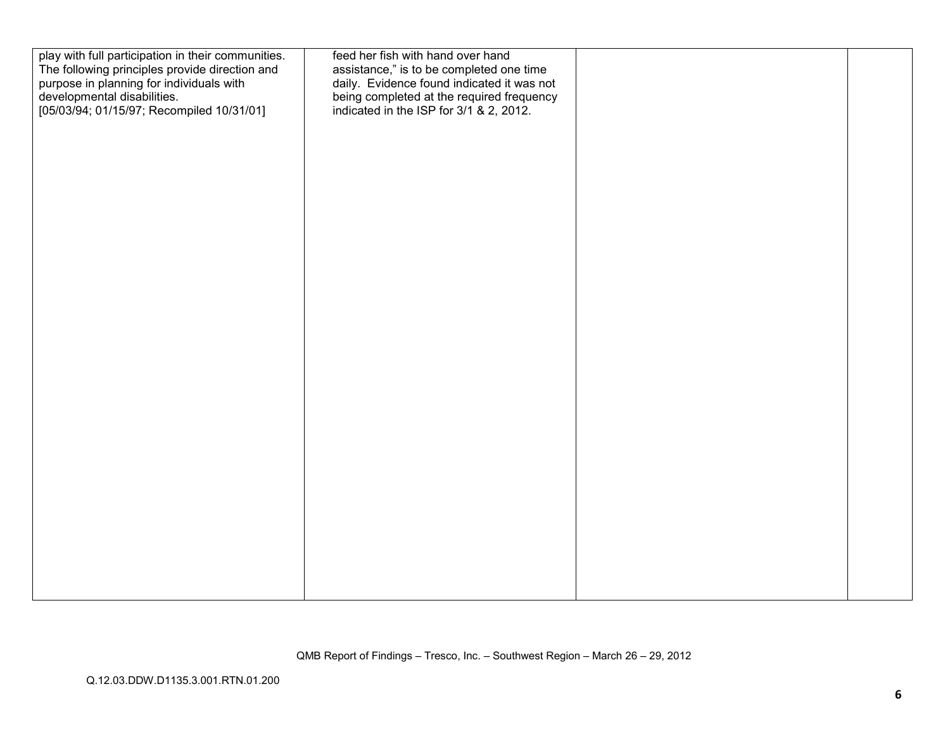| play with full participation in their communities.<br>The following principles provide direction and<br>purpose in planning for individuals with<br>developmental disabilities.<br>[05/03/94; 01/15/97; Recompiled 10/31/01] | feed her fish with hand over hand<br>assistance," is to be completed one time<br>daily. Evidence found indicated it was not<br>being completed at the required frequency<br>indicated in the ISP for 3/1 & 2, 2012. |  |
|------------------------------------------------------------------------------------------------------------------------------------------------------------------------------------------------------------------------------|---------------------------------------------------------------------------------------------------------------------------------------------------------------------------------------------------------------------|--|
|                                                                                                                                                                                                                              |                                                                                                                                                                                                                     |  |
|                                                                                                                                                                                                                              |                                                                                                                                                                                                                     |  |
|                                                                                                                                                                                                                              |                                                                                                                                                                                                                     |  |
|                                                                                                                                                                                                                              |                                                                                                                                                                                                                     |  |
|                                                                                                                                                                                                                              |                                                                                                                                                                                                                     |  |
|                                                                                                                                                                                                                              |                                                                                                                                                                                                                     |  |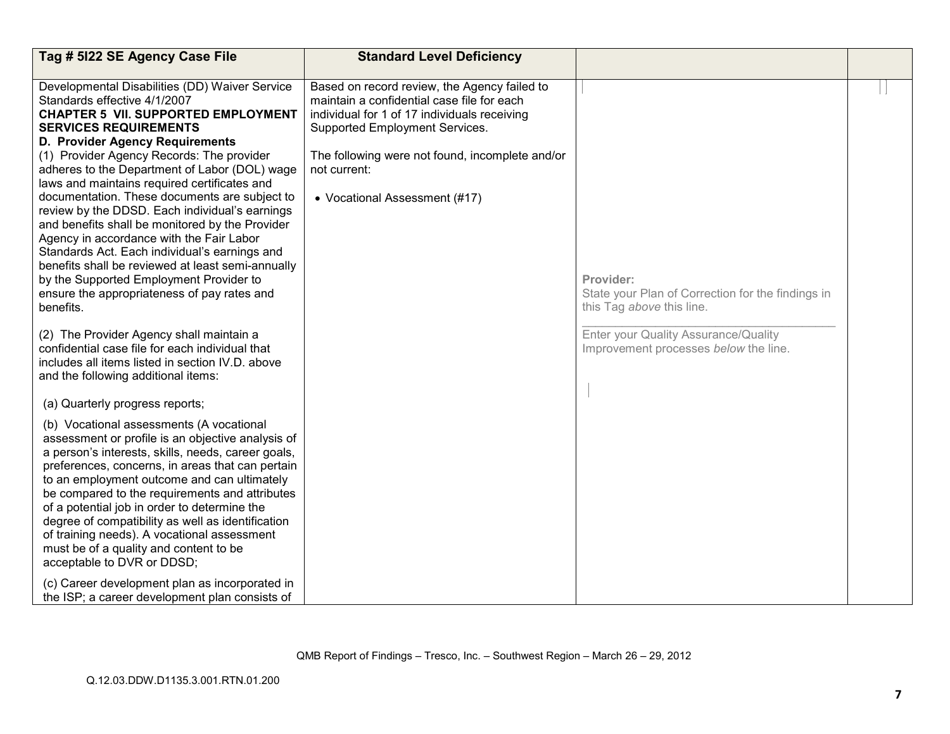| Tag # 5122 SE Agency Case File                                                                                                                                                                                                                                                                                                                                                                                                                                                                                                                                                                                                                                                                                                                               | <b>Standard Level Deficiency</b>                                                                                                                                                                                                                                                 |                                                                                             |  |
|--------------------------------------------------------------------------------------------------------------------------------------------------------------------------------------------------------------------------------------------------------------------------------------------------------------------------------------------------------------------------------------------------------------------------------------------------------------------------------------------------------------------------------------------------------------------------------------------------------------------------------------------------------------------------------------------------------------------------------------------------------------|----------------------------------------------------------------------------------------------------------------------------------------------------------------------------------------------------------------------------------------------------------------------------------|---------------------------------------------------------------------------------------------|--|
|                                                                                                                                                                                                                                                                                                                                                                                                                                                                                                                                                                                                                                                                                                                                                              |                                                                                                                                                                                                                                                                                  |                                                                                             |  |
| Developmental Disabilities (DD) Waiver Service<br>Standards effective 4/1/2007<br><b>CHAPTER 5 VII. SUPPORTED EMPLOYMENT</b><br><b>SERVICES REQUIREMENTS</b><br>D. Provider Agency Requirements<br>(1) Provider Agency Records: The provider<br>adheres to the Department of Labor (DOL) wage<br>laws and maintains required certificates and<br>documentation. These documents are subject to<br>review by the DDSD. Each individual's earnings<br>and benefits shall be monitored by the Provider<br>Agency in accordance with the Fair Labor<br>Standards Act. Each individual's earnings and<br>benefits shall be reviewed at least semi-annually<br>by the Supported Employment Provider to<br>ensure the appropriateness of pay rates and<br>benefits. | Based on record review, the Agency failed to<br>maintain a confidential case file for each<br>individual for 1 of 17 individuals receiving<br>Supported Employment Services.<br>The following were not found, incomplete and/or<br>not current:<br>• Vocational Assessment (#17) | Provider:<br>State your Plan of Correction for the findings in<br>this Tag above this line. |  |
| (2) The Provider Agency shall maintain a<br>confidential case file for each individual that<br>includes all items listed in section IV.D. above<br>and the following additional items:                                                                                                                                                                                                                                                                                                                                                                                                                                                                                                                                                                       |                                                                                                                                                                                                                                                                                  | Enter your Quality Assurance/Quality<br>Improvement processes below the line.               |  |
| (a) Quarterly progress reports;                                                                                                                                                                                                                                                                                                                                                                                                                                                                                                                                                                                                                                                                                                                              |                                                                                                                                                                                                                                                                                  |                                                                                             |  |
| (b) Vocational assessments (A vocational<br>assessment or profile is an objective analysis of<br>a person's interests, skills, needs, career goals,<br>preferences, concerns, in areas that can pertain<br>to an employment outcome and can ultimately<br>be compared to the requirements and attributes<br>of a potential job in order to determine the<br>degree of compatibility as well as identification<br>of training needs). A vocational assessment<br>must be of a quality and content to be<br>acceptable to DVR or DDSD;                                                                                                                                                                                                                         |                                                                                                                                                                                                                                                                                  |                                                                                             |  |
| (c) Career development plan as incorporated in<br>the ISP; a career development plan consists of                                                                                                                                                                                                                                                                                                                                                                                                                                                                                                                                                                                                                                                             |                                                                                                                                                                                                                                                                                  |                                                                                             |  |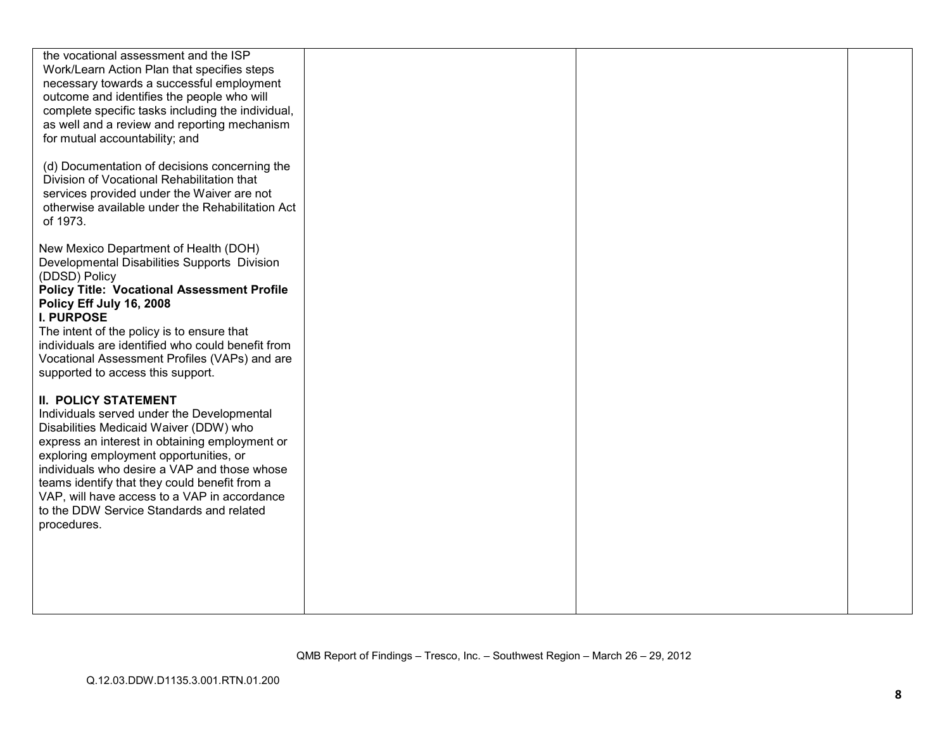| the vocational assessment and the ISP<br>Work/Learn Action Plan that specifies steps<br>necessary towards a successful employment<br>outcome and identifies the people who will<br>complete specific tasks including the individual,<br>as well and a review and reporting mechanism<br>for mutual accountability; and |
|------------------------------------------------------------------------------------------------------------------------------------------------------------------------------------------------------------------------------------------------------------------------------------------------------------------------|
|                                                                                                                                                                                                                                                                                                                        |
|                                                                                                                                                                                                                                                                                                                        |
|                                                                                                                                                                                                                                                                                                                        |
|                                                                                                                                                                                                                                                                                                                        |
|                                                                                                                                                                                                                                                                                                                        |
|                                                                                                                                                                                                                                                                                                                        |
|                                                                                                                                                                                                                                                                                                                        |
|                                                                                                                                                                                                                                                                                                                        |
|                                                                                                                                                                                                                                                                                                                        |
|                                                                                                                                                                                                                                                                                                                        |
| (d) Documentation of decisions concerning the                                                                                                                                                                                                                                                                          |
| Division of Vocational Rehabilitation that                                                                                                                                                                                                                                                                             |
| services provided under the Waiver are not                                                                                                                                                                                                                                                                             |
| otherwise available under the Rehabilitation Act                                                                                                                                                                                                                                                                       |
| of 1973.                                                                                                                                                                                                                                                                                                               |
|                                                                                                                                                                                                                                                                                                                        |
|                                                                                                                                                                                                                                                                                                                        |
| New Mexico Department of Health (DOH)                                                                                                                                                                                                                                                                                  |
| Developmental Disabilities Supports Division                                                                                                                                                                                                                                                                           |
| (DDSD) Policy                                                                                                                                                                                                                                                                                                          |
| <b>Policy Title: Vocational Assessment Profile</b>                                                                                                                                                                                                                                                                     |
| Policy Eff July 16, 2008                                                                                                                                                                                                                                                                                               |
| <b>I. PURPOSE</b>                                                                                                                                                                                                                                                                                                      |
|                                                                                                                                                                                                                                                                                                                        |
| The intent of the policy is to ensure that                                                                                                                                                                                                                                                                             |
| individuals are identified who could benefit from                                                                                                                                                                                                                                                                      |
| Vocational Assessment Profiles (VAPs) and are                                                                                                                                                                                                                                                                          |
| supported to access this support.                                                                                                                                                                                                                                                                                      |
|                                                                                                                                                                                                                                                                                                                        |
|                                                                                                                                                                                                                                                                                                                        |
| <b>II. POLICY STATEMENT</b>                                                                                                                                                                                                                                                                                            |
| Individuals served under the Developmental                                                                                                                                                                                                                                                                             |
| Disabilities Medicaid Waiver (DDW) who                                                                                                                                                                                                                                                                                 |
| express an interest in obtaining employment or                                                                                                                                                                                                                                                                         |
| exploring employment opportunities, or                                                                                                                                                                                                                                                                                 |
| individuals who desire a VAP and those whose                                                                                                                                                                                                                                                                           |
|                                                                                                                                                                                                                                                                                                                        |
| teams identify that they could benefit from a                                                                                                                                                                                                                                                                          |
| VAP, will have access to a VAP in accordance                                                                                                                                                                                                                                                                           |
| to the DDW Service Standards and related                                                                                                                                                                                                                                                                               |
| procedures.                                                                                                                                                                                                                                                                                                            |
|                                                                                                                                                                                                                                                                                                                        |
|                                                                                                                                                                                                                                                                                                                        |
|                                                                                                                                                                                                                                                                                                                        |
|                                                                                                                                                                                                                                                                                                                        |
|                                                                                                                                                                                                                                                                                                                        |
|                                                                                                                                                                                                                                                                                                                        |
|                                                                                                                                                                                                                                                                                                                        |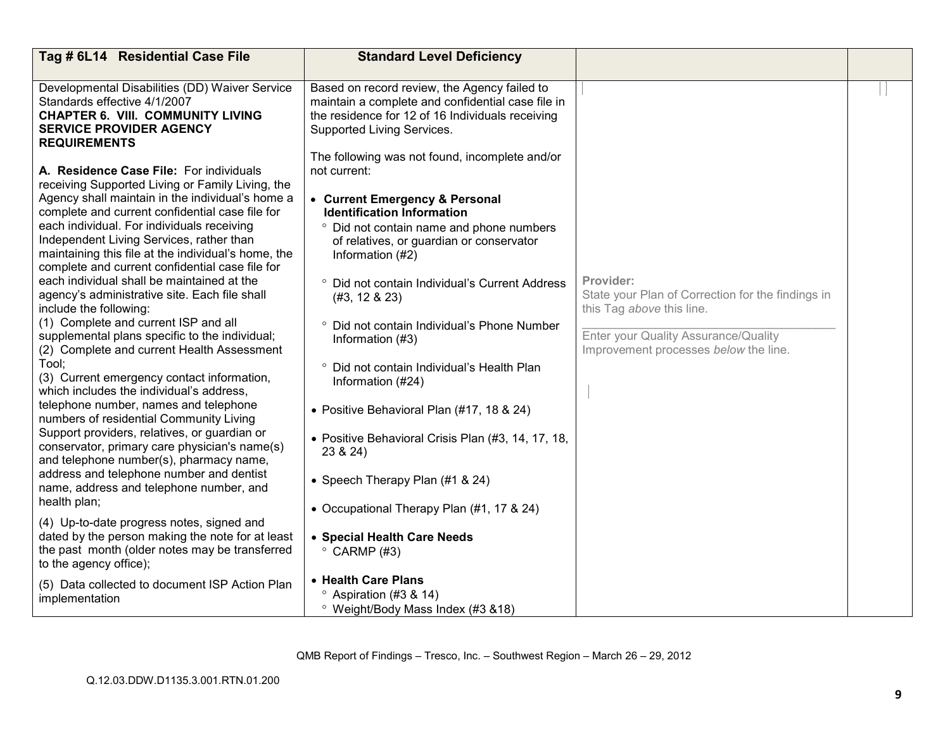| Tag # 6L14 Residential Case File                                                                                                                                                                                                                                                                         | <b>Standard Level Deficiency</b>                                                                                                                                                    |                                                                                |  |
|----------------------------------------------------------------------------------------------------------------------------------------------------------------------------------------------------------------------------------------------------------------------------------------------------------|-------------------------------------------------------------------------------------------------------------------------------------------------------------------------------------|--------------------------------------------------------------------------------|--|
|                                                                                                                                                                                                                                                                                                          |                                                                                                                                                                                     |                                                                                |  |
| Developmental Disabilities (DD) Waiver Service<br>Standards effective 4/1/2007<br><b>CHAPTER 6. VIII. COMMUNITY LIVING</b><br><b>SERVICE PROVIDER AGENCY</b><br><b>REQUIREMENTS</b>                                                                                                                      | Based on record review, the Agency failed to<br>maintain a complete and confidential case file in<br>the residence for 12 of 16 Individuals receiving<br>Supported Living Services. |                                                                                |  |
| A. Residence Case File: For individuals                                                                                                                                                                                                                                                                  | The following was not found, incomplete and/or<br>not current:                                                                                                                      |                                                                                |  |
| receiving Supported Living or Family Living, the<br>Agency shall maintain in the individual's home a<br>complete and current confidential case file for<br>each individual. For individuals receiving<br>Independent Living Services, rather than<br>maintaining this file at the individual's home, the | • Current Emergency & Personal<br><b>Identification Information</b><br>° Did not contain name and phone numbers<br>of relatives, or guardian or conservator<br>Information (#2)     |                                                                                |  |
| complete and current confidential case file for<br>each individual shall be maintained at the                                                                                                                                                                                                            | ° Did not contain Individual's Current Address                                                                                                                                      | Provider:                                                                      |  |
| agency's administrative site. Each file shall<br>include the following:<br>(1) Complete and current ISP and all                                                                                                                                                                                          | $(#3, 12 \& 23)$                                                                                                                                                                    | State your Plan of Correction for the findings in<br>this Tag above this line. |  |
| supplemental plans specific to the individual;<br>(2) Complete and current Health Assessment                                                                                                                                                                                                             | ° Did not contain Individual's Phone Number<br>Information (#3)                                                                                                                     | Enter your Quality Assurance/Quality<br>Improvement processes below the line.  |  |
| Tool;<br>(3) Current emergency contact information,<br>which includes the individual's address,                                                                                                                                                                                                          | ° Did not contain Individual's Health Plan<br>Information (#24)                                                                                                                     |                                                                                |  |
| telephone number, names and telephone<br>numbers of residential Community Living                                                                                                                                                                                                                         | • Positive Behavioral Plan (#17, 18 & 24)                                                                                                                                           |                                                                                |  |
| Support providers, relatives, or guardian or<br>conservator, primary care physician's name(s)<br>and telephone number(s), pharmacy name,                                                                                                                                                                 | • Positive Behavioral Crisis Plan (#3, 14, 17, 18,<br>23 & 24)                                                                                                                      |                                                                                |  |
| address and telephone number and dentist<br>name, address and telephone number, and<br>health plan;                                                                                                                                                                                                      | • Speech Therapy Plan (#1 & 24)                                                                                                                                                     |                                                                                |  |
|                                                                                                                                                                                                                                                                                                          | • Occupational Therapy Plan (#1, 17 & 24)                                                                                                                                           |                                                                                |  |
| (4) Up-to-date progress notes, signed and<br>dated by the person making the note for at least<br>the past month (older notes may be transferred<br>to the agency office);                                                                                                                                | • Special Health Care Needs<br>$\degree$ CARMP (#3)                                                                                                                                 |                                                                                |  |
| (5) Data collected to document ISP Action Plan                                                                                                                                                                                                                                                           | • Health Care Plans                                                                                                                                                                 |                                                                                |  |
| implementation                                                                                                                                                                                                                                                                                           | $\degree$ Aspiration (#3 & 14)<br><sup>o</sup> Weight/Body Mass Index (#3 &18)                                                                                                      |                                                                                |  |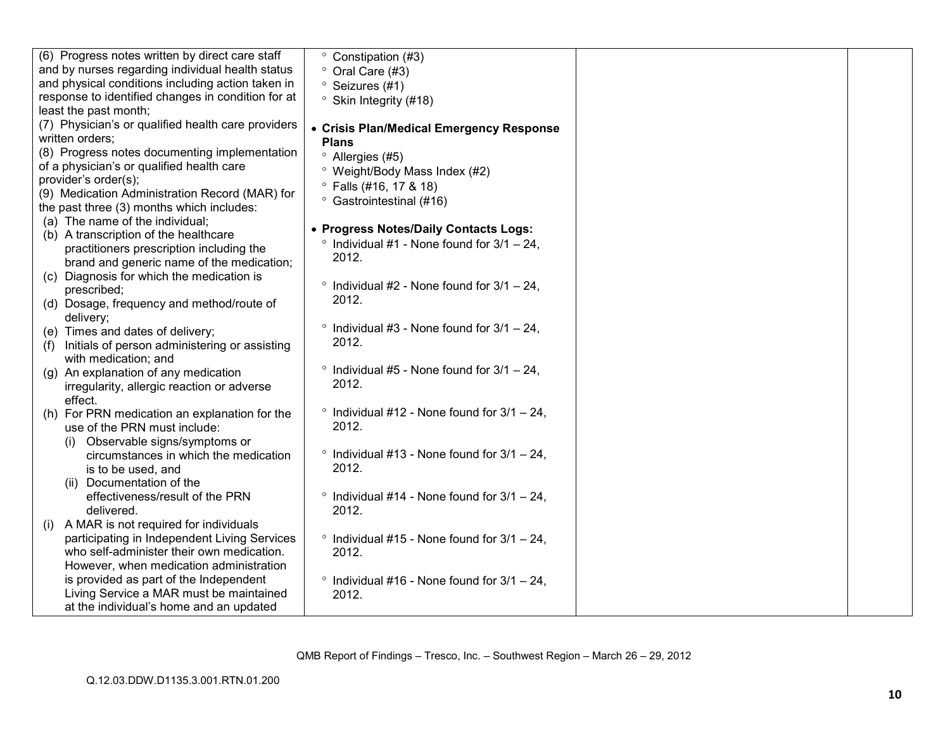| (6) Progress notes written by direct care staff             | Constipation (#3)                                               |  |
|-------------------------------------------------------------|-----------------------------------------------------------------|--|
| and by nurses regarding individual health status            | ° Oral Care (#3)                                                |  |
| and physical conditions including action taken in           | <sup>o</sup> Seizures (#1)                                      |  |
| response to identified changes in condition for at          | <sup>o</sup> Skin Integrity (#18)                               |  |
| least the past month;                                       |                                                                 |  |
| (7) Physician's or qualified health care providers          | • Crisis Plan/Medical Emergency Response                        |  |
| written orders;                                             | <b>Plans</b>                                                    |  |
| (8) Progress notes documenting implementation               | <sup>o</sup> Allergies (#5)                                     |  |
| of a physician's or qualified health care                   | <sup>o</sup> Weight/Body Mass Index (#2)                        |  |
| provider's order(s);                                        | $^{\circ}$ Falls (#16, 17 & 18)                                 |  |
| (9) Medication Administration Record (MAR) for              | <sup>o</sup> Gastrointestinal (#16)                             |  |
| the past three (3) months which includes:                   |                                                                 |  |
| (a) The name of the individual;                             | • Progress Notes/Daily Contacts Logs:                           |  |
| (b) A transcription of the healthcare                       | $\degree$ Individual #1 - None found for 3/1 - 24.              |  |
| practitioners prescription including the                    | 2012.                                                           |  |
| brand and generic name of the medication;                   |                                                                 |  |
| (c) Diagnosis for which the medication is                   | $\circ$                                                         |  |
| prescribed;                                                 | Individual #2 - None found for $3/1 - 24$ ,<br>2012.            |  |
| (d) Dosage, frequency and method/route of                   |                                                                 |  |
| delivery;                                                   |                                                                 |  |
| (e) Times and dates of delivery;                            | Individual #3 - None found for $3/1 - 24$ ,<br>$\circ$<br>2012. |  |
| Initials of person administering or assisting<br>(f)        |                                                                 |  |
| with medication; and                                        |                                                                 |  |
| (g) An explanation of any medication                        | $\degree$ Individual #5 - None found for 3/1 - 24,              |  |
| irregularity, allergic reaction or adverse                  | 2012.                                                           |  |
| effect.                                                     | $\degree$ Individual #12 - None found for 3/1 - 24,             |  |
| (h) For PRN medication an explanation for the               | 2012.                                                           |  |
| use of the PRN must include:                                |                                                                 |  |
| (i) Observable signs/symptoms or                            | $\degree$ Individual #13 - None found for 3/1 - 24,             |  |
| circumstances in which the medication<br>is to be used, and | 2012.                                                           |  |
| Documentation of the<br>(ii)                                |                                                                 |  |
| effectiveness/result of the PRN                             | $\degree$ Individual #14 - None found for 3/1 - 24,             |  |
| delivered.                                                  | 2012.                                                           |  |
| A MAR is not required for individuals<br>(i)                |                                                                 |  |
| participating in Independent Living Services                | $\degree$ Individual #15 - None found for 3/1 - 24,             |  |
| who self-administer their own medication.                   | 2012.                                                           |  |
| However, when medication administration                     |                                                                 |  |
| is provided as part of the Independent                      | $\degree$ Individual #16 - None found for 3/1 - 24,             |  |
| Living Service a MAR must be maintained                     | 2012.                                                           |  |
| at the individual's home and an updated                     |                                                                 |  |
|                                                             |                                                                 |  |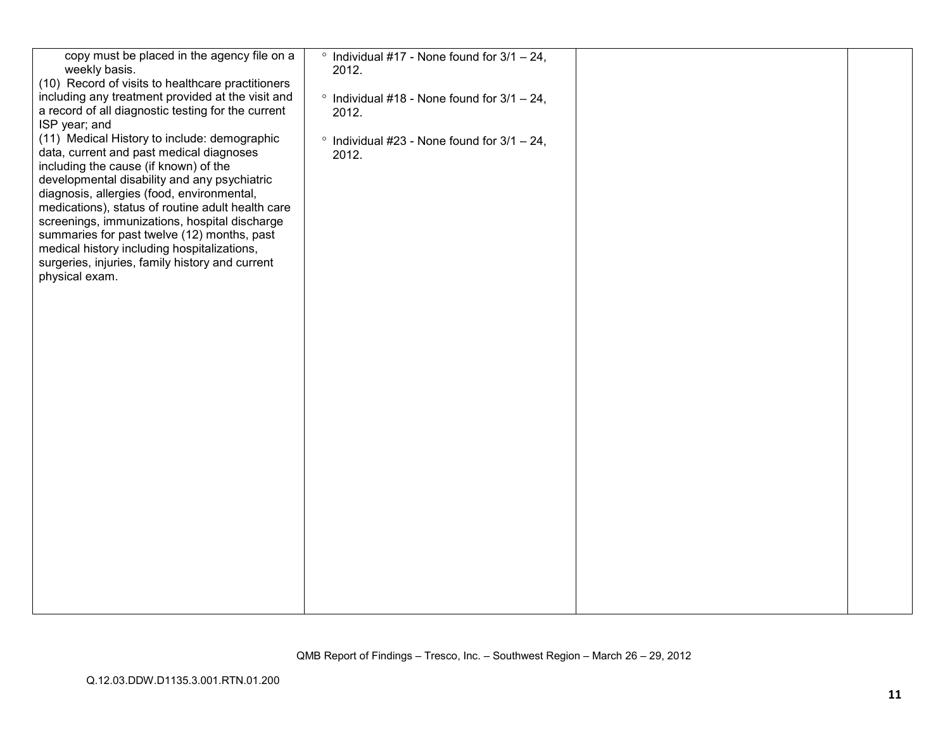| copy must be placed in the agency file on a<br>weekly basis.<br>(10) Record of visits to healthcare practitioners                                                                                                                                                                                                                                                                                                                                                                                                         | $\degree$ Individual #17 - None found for 3/1 - 24,<br>2012. |  |
|---------------------------------------------------------------------------------------------------------------------------------------------------------------------------------------------------------------------------------------------------------------------------------------------------------------------------------------------------------------------------------------------------------------------------------------------------------------------------------------------------------------------------|--------------------------------------------------------------|--|
| including any treatment provided at the visit and<br>a record of all diagnostic testing for the current                                                                                                                                                                                                                                                                                                                                                                                                                   | $\degree$ Individual #18 - None found for 3/1 - 24,<br>2012. |  |
| ISP year; and<br>(11) Medical History to include: demographic<br>data, current and past medical diagnoses<br>including the cause (if known) of the<br>developmental disability and any psychiatric<br>diagnosis, allergies (food, environmental,<br>medications), status of routine adult health care<br>screenings, immunizations, hospital discharge<br>summaries for past twelve (12) months, past<br>medical history including hospitalizations,<br>surgeries, injuries, family history and current<br>physical exam. | $\degree$ Individual #23 - None found for 3/1 - 24,<br>2012. |  |
|                                                                                                                                                                                                                                                                                                                                                                                                                                                                                                                           |                                                              |  |
|                                                                                                                                                                                                                                                                                                                                                                                                                                                                                                                           |                                                              |  |
|                                                                                                                                                                                                                                                                                                                                                                                                                                                                                                                           |                                                              |  |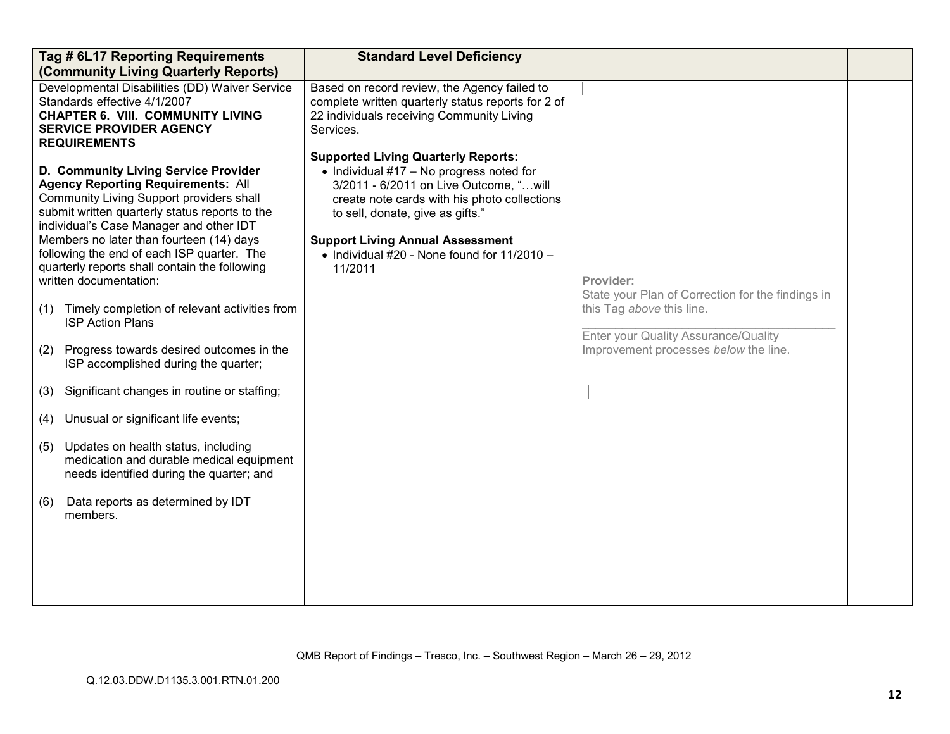| Tag # 6L17 Reporting Requirements<br>(Community Living Quarterly Reports)                                                                                                                                                                                                                                                                                                                                                                                                                                                                                                                                                                                                                                                                                                                                                                                                                                                                                                                                                                                              | <b>Standard Level Deficiency</b>                                                                                                                                                                                                                                                                                                                                                                                                                                                                    |                                                                                                                                                                              |  |
|------------------------------------------------------------------------------------------------------------------------------------------------------------------------------------------------------------------------------------------------------------------------------------------------------------------------------------------------------------------------------------------------------------------------------------------------------------------------------------------------------------------------------------------------------------------------------------------------------------------------------------------------------------------------------------------------------------------------------------------------------------------------------------------------------------------------------------------------------------------------------------------------------------------------------------------------------------------------------------------------------------------------------------------------------------------------|-----------------------------------------------------------------------------------------------------------------------------------------------------------------------------------------------------------------------------------------------------------------------------------------------------------------------------------------------------------------------------------------------------------------------------------------------------------------------------------------------------|------------------------------------------------------------------------------------------------------------------------------------------------------------------------------|--|
| Developmental Disabilities (DD) Waiver Service<br>Standards effective 4/1/2007<br><b>CHAPTER 6. VIII. COMMUNITY LIVING</b><br><b>SERVICE PROVIDER AGENCY</b><br><b>REQUIREMENTS</b><br>D. Community Living Service Provider<br><b>Agency Reporting Requirements: All</b><br>Community Living Support providers shall<br>submit written quarterly status reports to the<br>individual's Case Manager and other IDT<br>Members no later than fourteen (14) days<br>following the end of each ISP quarter. The<br>quarterly reports shall contain the following<br>written documentation:<br>Timely completion of relevant activities from<br>(1)<br><b>ISP Action Plans</b><br>Progress towards desired outcomes in the<br>(2)<br>ISP accomplished during the quarter;<br>Significant changes in routine or staffing;<br>(3)<br>Unusual or significant life events;<br>(4)<br>Updates on health status, including<br>(5)<br>medication and durable medical equipment<br>needs identified during the quarter; and<br>Data reports as determined by IDT<br>(6)<br>members. | Based on record review, the Agency failed to<br>complete written quarterly status reports for 2 of<br>22 individuals receiving Community Living<br>Services.<br><b>Supported Living Quarterly Reports:</b><br>• Individual $#17 - No$ progress noted for<br>3/2011 - 6/2011 on Live Outcome, "will<br>create note cards with his photo collections<br>to sell, donate, give as gifts."<br><b>Support Living Annual Assessment</b><br>$\bullet$ Individual #20 - None found for 11/2010 -<br>11/2011 | Provider:<br>State your Plan of Correction for the findings in<br>this Tag above this line.<br>Enter your Quality Assurance/Quality<br>Improvement processes below the line. |  |
|                                                                                                                                                                                                                                                                                                                                                                                                                                                                                                                                                                                                                                                                                                                                                                                                                                                                                                                                                                                                                                                                        |                                                                                                                                                                                                                                                                                                                                                                                                                                                                                                     |                                                                                                                                                                              |  |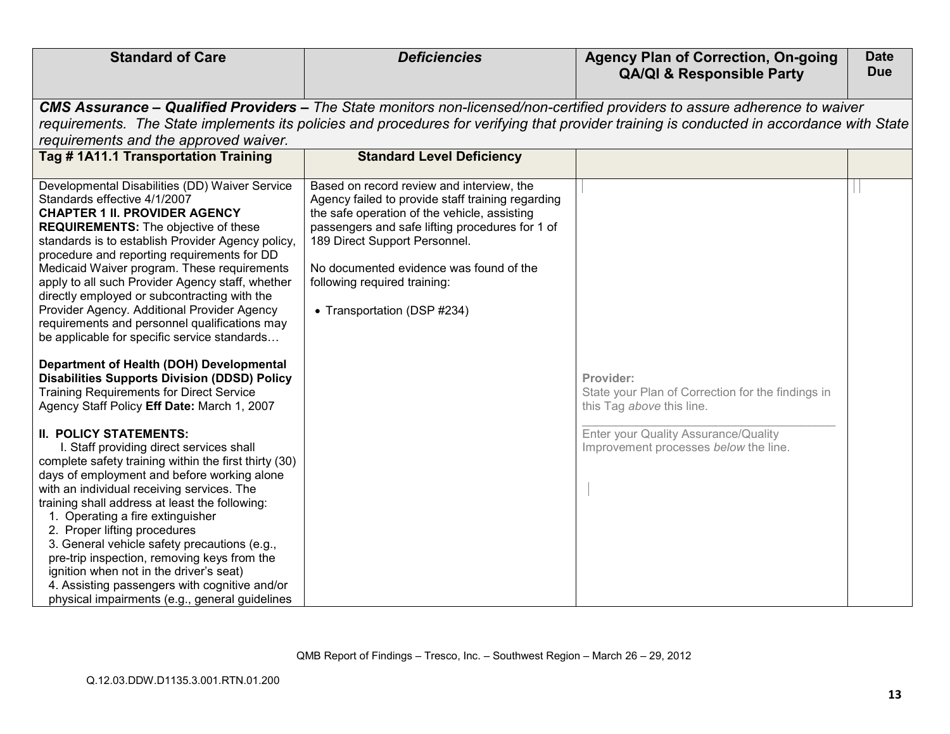| <b>Standard of Care</b>                                                                                                                                                                                                                                                                                                                                                                                                                                                                                                                                                                            | <b>Deficiencies</b>                                                                                                                                                                                                                                                                                                                          | <b>Agency Plan of Correction, On-going</b><br><b>QA/QI &amp; Responsible Party</b>                                                                                                                                                                                       | <b>Date</b><br><b>Due</b> |
|----------------------------------------------------------------------------------------------------------------------------------------------------------------------------------------------------------------------------------------------------------------------------------------------------------------------------------------------------------------------------------------------------------------------------------------------------------------------------------------------------------------------------------------------------------------------------------------------------|----------------------------------------------------------------------------------------------------------------------------------------------------------------------------------------------------------------------------------------------------------------------------------------------------------------------------------------------|--------------------------------------------------------------------------------------------------------------------------------------------------------------------------------------------------------------------------------------------------------------------------|---------------------------|
| requirements and the approved waiver.                                                                                                                                                                                                                                                                                                                                                                                                                                                                                                                                                              |                                                                                                                                                                                                                                                                                                                                              | CMS Assurance – Qualified Providers – The State monitors non-licensed/non-certified providers to assure adherence to waiver<br>requirements. The State implements its policies and procedures for verifying that provider training is conducted in accordance with State |                           |
| Tag #1A11.1 Transportation Training                                                                                                                                                                                                                                                                                                                                                                                                                                                                                                                                                                | <b>Standard Level Deficiency</b>                                                                                                                                                                                                                                                                                                             |                                                                                                                                                                                                                                                                          |                           |
| Developmental Disabilities (DD) Waiver Service<br>Standards effective 4/1/2007<br><b>CHAPTER 1 II. PROVIDER AGENCY</b><br><b>REQUIREMENTS:</b> The objective of these<br>standards is to establish Provider Agency policy,<br>procedure and reporting requirements for DD<br>Medicaid Waiver program. These requirements<br>apply to all such Provider Agency staff, whether<br>directly employed or subcontracting with the<br>Provider Agency. Additional Provider Agency<br>requirements and personnel qualifications may<br>be applicable for specific service standards                       | Based on record review and interview, the<br>Agency failed to provide staff training regarding<br>the safe operation of the vehicle, assisting<br>passengers and safe lifting procedures for 1 of<br>189 Direct Support Personnel.<br>No documented evidence was found of the<br>following required training:<br>• Transportation (DSP #234) |                                                                                                                                                                                                                                                                          |                           |
| Department of Health (DOH) Developmental<br><b>Disabilities Supports Division (DDSD) Policy</b><br><b>Training Requirements for Direct Service</b><br>Agency Staff Policy Eff Date: March 1, 2007                                                                                                                                                                                                                                                                                                                                                                                                  |                                                                                                                                                                                                                                                                                                                                              | Provider:<br>State your Plan of Correction for the findings in<br>this Tag above this line.                                                                                                                                                                              |                           |
| <b>II. POLICY STATEMENTS:</b><br>I. Staff providing direct services shall<br>complete safety training within the first thirty (30)<br>days of employment and before working alone<br>with an individual receiving services. The<br>training shall address at least the following:<br>1. Operating a fire extinguisher<br>2. Proper lifting procedures<br>3. General vehicle safety precautions (e.g.,<br>pre-trip inspection, removing keys from the<br>ignition when not in the driver's seat)<br>4. Assisting passengers with cognitive and/or<br>physical impairments (e.g., general guidelines |                                                                                                                                                                                                                                                                                                                                              | Enter your Quality Assurance/Quality<br>Improvement processes below the line.                                                                                                                                                                                            |                           |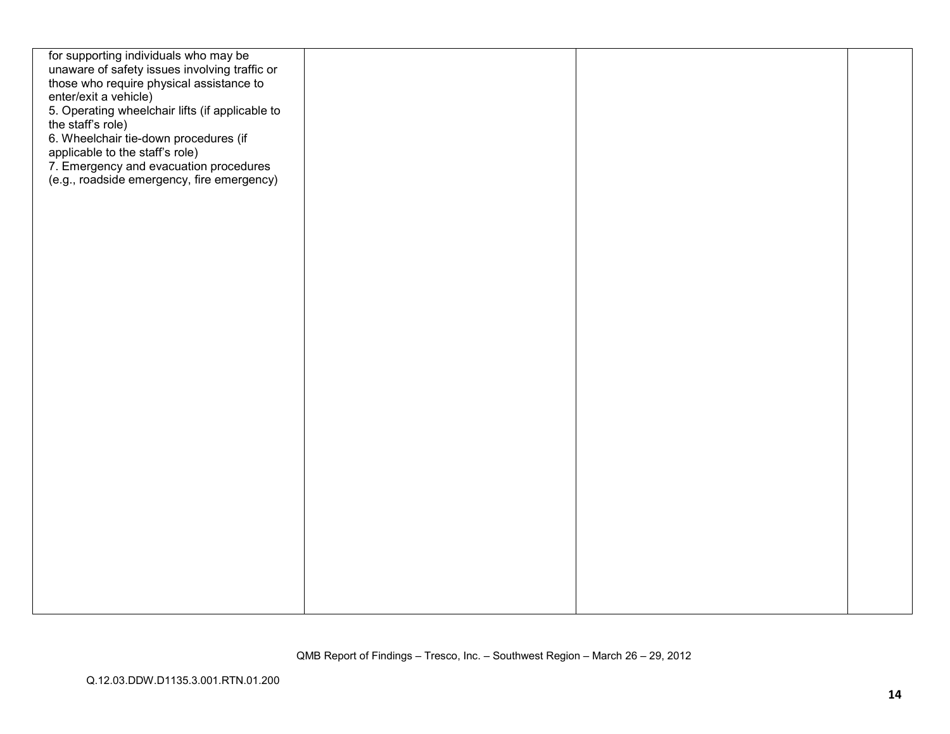| for supporting individuals who may be           |  |  |
|-------------------------------------------------|--|--|
| unaware of safety issues involving traffic or   |  |  |
| those who require physical assistance to        |  |  |
| enter/exit a vehicle)                           |  |  |
| 5. Operating wheelchair lifts (if applicable to |  |  |
| the staff's role)                               |  |  |
| 6. Wheelchair tie-down procedures (if           |  |  |
| applicable to the staff's role)                 |  |  |
| 7. Emergency and evacuation procedures          |  |  |
| (e.g., roadside emergency, fire emergency)      |  |  |
|                                                 |  |  |
|                                                 |  |  |
|                                                 |  |  |
|                                                 |  |  |
|                                                 |  |  |
|                                                 |  |  |
|                                                 |  |  |
|                                                 |  |  |
|                                                 |  |  |
|                                                 |  |  |
|                                                 |  |  |
|                                                 |  |  |
|                                                 |  |  |
|                                                 |  |  |
|                                                 |  |  |
|                                                 |  |  |
|                                                 |  |  |
|                                                 |  |  |
|                                                 |  |  |
|                                                 |  |  |
|                                                 |  |  |
|                                                 |  |  |
|                                                 |  |  |
|                                                 |  |  |
|                                                 |  |  |
|                                                 |  |  |
|                                                 |  |  |
|                                                 |  |  |
|                                                 |  |  |
|                                                 |  |  |
|                                                 |  |  |
|                                                 |  |  |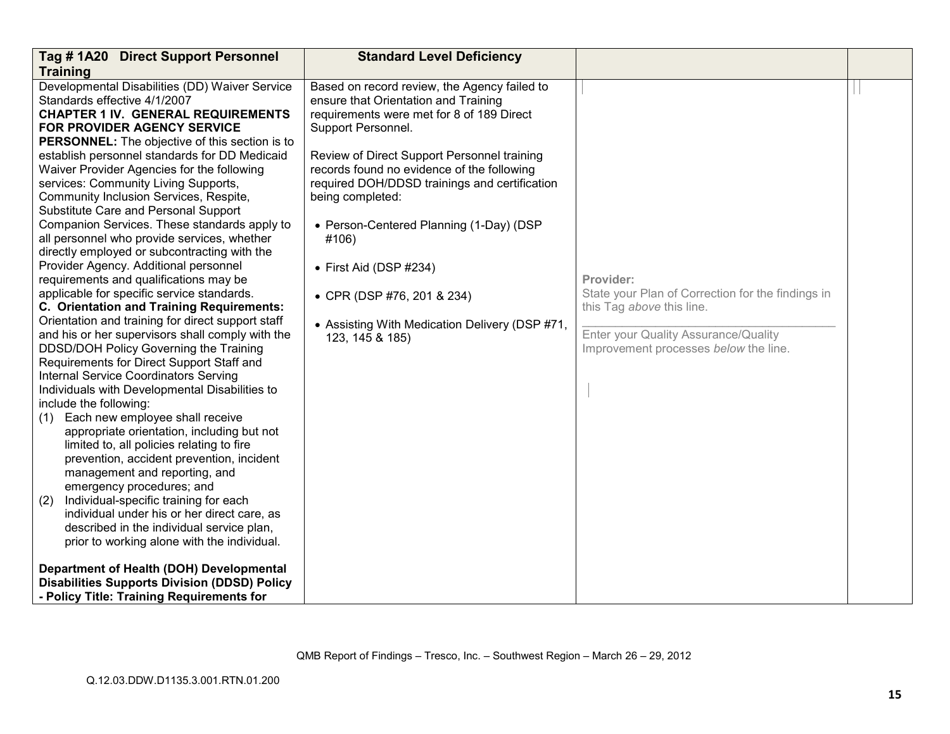| Tag #1A20 Direct Support Personnel                                                  | <b>Standard Level Deficiency</b>               |                                                   |  |
|-------------------------------------------------------------------------------------|------------------------------------------------|---------------------------------------------------|--|
| <b>Training</b>                                                                     |                                                |                                                   |  |
| Developmental Disabilities (DD) Waiver Service                                      | Based on record review, the Agency failed to   |                                                   |  |
| Standards effective 4/1/2007                                                        | ensure that Orientation and Training           |                                                   |  |
| <b>CHAPTER 1 IV. GENERAL REQUIREMENTS</b>                                           | requirements were met for 8 of 189 Direct      |                                                   |  |
| FOR PROVIDER AGENCY SERVICE                                                         | Support Personnel.                             |                                                   |  |
| <b>PERSONNEL:</b> The objective of this section is to                               |                                                |                                                   |  |
| establish personnel standards for DD Medicaid                                       | Review of Direct Support Personnel training    |                                                   |  |
| Waiver Provider Agencies for the following                                          | records found no evidence of the following     |                                                   |  |
| services: Community Living Supports,                                                | required DOH/DDSD trainings and certification  |                                                   |  |
| Community Inclusion Services, Respite,                                              | being completed:                               |                                                   |  |
| Substitute Care and Personal Support                                                |                                                |                                                   |  |
| Companion Services. These standards apply to                                        | • Person-Centered Planning (1-Day) (DSP        |                                                   |  |
| all personnel who provide services, whether                                         | #106)                                          |                                                   |  |
| directly employed or subcontracting with the                                        |                                                |                                                   |  |
| Provider Agency. Additional personnel                                               | $\bullet$ First Aid (DSP #234)                 |                                                   |  |
| requirements and qualifications may be                                              |                                                | Provider:                                         |  |
| applicable for specific service standards.                                          | • CPR (DSP #76, 201 & 234)                     | State your Plan of Correction for the findings in |  |
| C. Orientation and Training Requirements:                                           |                                                | this Tag above this line.                         |  |
| Orientation and training for direct support staff                                   | • Assisting With Medication Delivery (DSP #71, |                                                   |  |
| and his or her supervisors shall comply with the                                    | 123, 145 & 185)                                | Enter your Quality Assurance/Quality              |  |
| DDSD/DOH Policy Governing the Training<br>Requirements for Direct Support Staff and |                                                | Improvement processes below the line.             |  |
| <b>Internal Service Coordinators Serving</b>                                        |                                                |                                                   |  |
|                                                                                     |                                                |                                                   |  |
| Individuals with Developmental Disabilities to<br>include the following:            |                                                |                                                   |  |
| (1) Each new employee shall receive                                                 |                                                |                                                   |  |
| appropriate orientation, including but not                                          |                                                |                                                   |  |
| limited to, all policies relating to fire                                           |                                                |                                                   |  |
| prevention, accident prevention, incident                                           |                                                |                                                   |  |
| management and reporting, and                                                       |                                                |                                                   |  |
| emergency procedures; and                                                           |                                                |                                                   |  |
| Individual-specific training for each<br>(2)                                        |                                                |                                                   |  |
| individual under his or her direct care, as                                         |                                                |                                                   |  |
| described in the individual service plan,                                           |                                                |                                                   |  |
| prior to working alone with the individual.                                         |                                                |                                                   |  |
|                                                                                     |                                                |                                                   |  |
| Department of Health (DOH) Developmental                                            |                                                |                                                   |  |
| <b>Disabilities Supports Division (DDSD) Policy</b>                                 |                                                |                                                   |  |
| - Policy Title: Training Requirements for                                           |                                                |                                                   |  |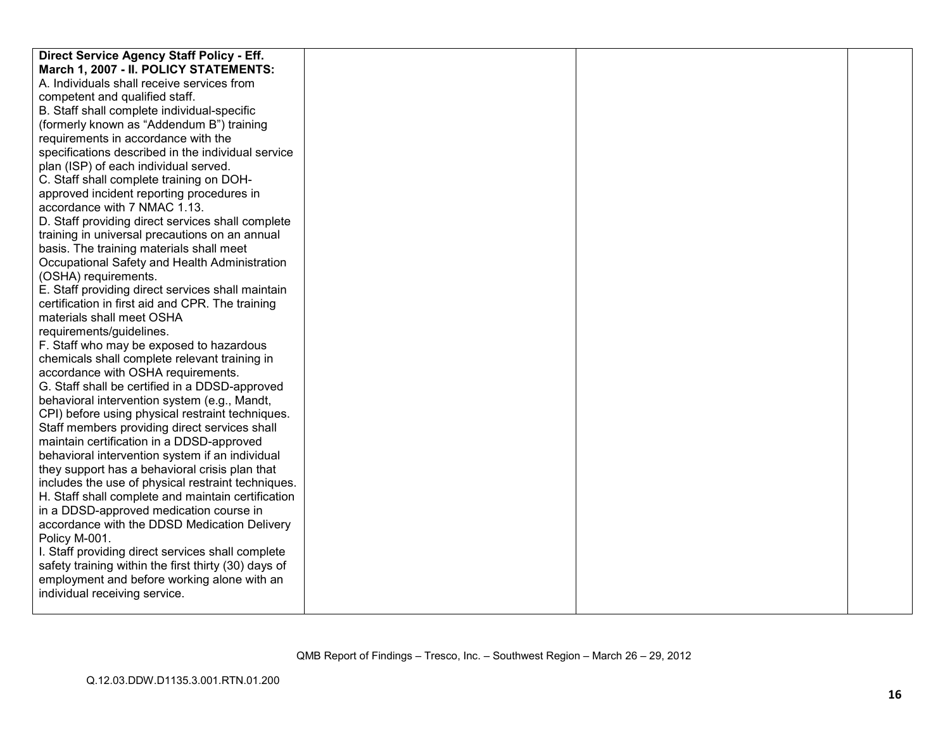| Direct Service Agency Staff Policy - Eff.            |  |  |
|------------------------------------------------------|--|--|
| March 1, 2007 - II. POLICY STATEMENTS:               |  |  |
| A. Individuals shall receive services from           |  |  |
| competent and qualified staff.                       |  |  |
| B. Staff shall complete individual-specific          |  |  |
| (formerly known as "Addendum B") training            |  |  |
| requirements in accordance with the                  |  |  |
| specifications described in the individual service   |  |  |
| plan (ISP) of each individual served.                |  |  |
| C. Staff shall complete training on DOH-             |  |  |
| approved incident reporting procedures in            |  |  |
| accordance with 7 NMAC 1.13.                         |  |  |
| D. Staff providing direct services shall complete    |  |  |
| training in universal precautions on an annual       |  |  |
| basis. The training materials shall meet             |  |  |
| Occupational Safety and Health Administration        |  |  |
| (OSHA) requirements.                                 |  |  |
| E. Staff providing direct services shall maintain    |  |  |
| certification in first aid and CPR. The training     |  |  |
| materials shall meet OSHA                            |  |  |
| requirements/guidelines.                             |  |  |
| F. Staff who may be exposed to hazardous             |  |  |
| chemicals shall complete relevant training in        |  |  |
| accordance with OSHA requirements.                   |  |  |
| G. Staff shall be certified in a DDSD-approved       |  |  |
| behavioral intervention system (e.g., Mandt,         |  |  |
| CPI) before using physical restraint techniques.     |  |  |
| Staff members providing direct services shall        |  |  |
| maintain certification in a DDSD-approved            |  |  |
| behavioral intervention system if an individual      |  |  |
| they support has a behavioral crisis plan that       |  |  |
| includes the use of physical restraint techniques.   |  |  |
| H. Staff shall complete and maintain certification   |  |  |
| in a DDSD-approved medication course in              |  |  |
| accordance with the DDSD Medication Delivery         |  |  |
| Policy M-001.                                        |  |  |
| I. Staff providing direct services shall complete    |  |  |
| safety training within the first thirty (30) days of |  |  |
| employment and before working alone with an          |  |  |
| individual receiving service.                        |  |  |
|                                                      |  |  |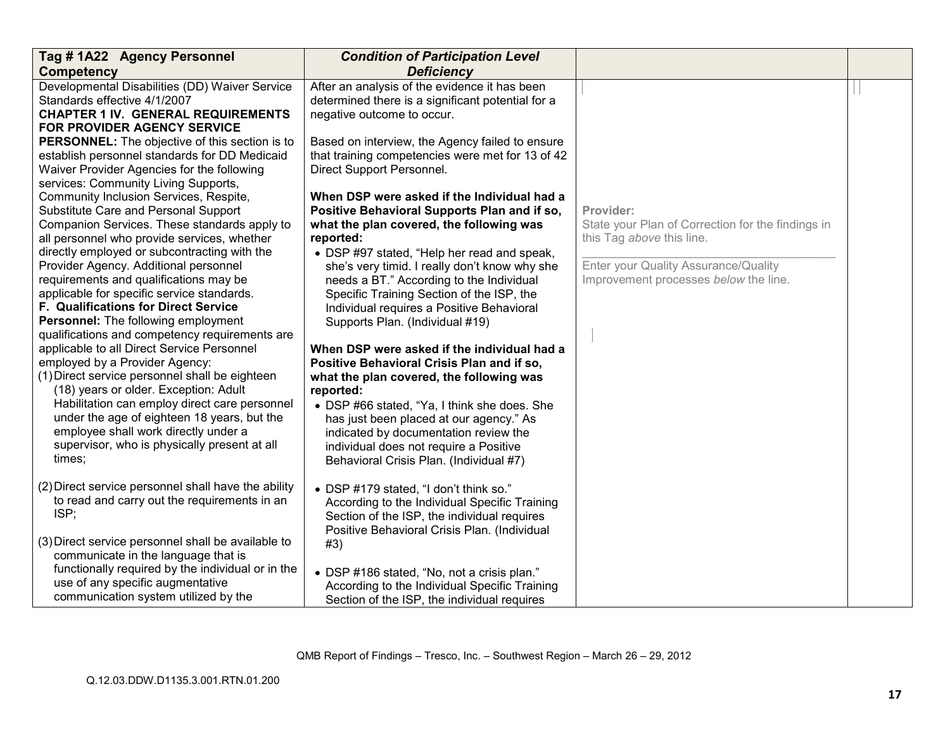| Tag #1A22 Agency Personnel                                                                          | <b>Condition of Participation Level</b>           |                                                   |  |
|-----------------------------------------------------------------------------------------------------|---------------------------------------------------|---------------------------------------------------|--|
| <b>Competency</b>                                                                                   | <b>Deficiency</b>                                 |                                                   |  |
| Developmental Disabilities (DD) Waiver Service                                                      | After an analysis of the evidence it has been     |                                                   |  |
| Standards effective 4/1/2007                                                                        | determined there is a significant potential for a |                                                   |  |
| <b>CHAPTER 1 IV. GENERAL REQUIREMENTS</b>                                                           | negative outcome to occur.                        |                                                   |  |
| <b>FOR PROVIDER AGENCY SERVICE</b>                                                                  |                                                   |                                                   |  |
| <b>PERSONNEL:</b> The objective of this section is to                                               | Based on interview, the Agency failed to ensure   |                                                   |  |
| establish personnel standards for DD Medicaid                                                       | that training competencies were met for 13 of 42  |                                                   |  |
| Waiver Provider Agencies for the following                                                          | Direct Support Personnel.                         |                                                   |  |
| services: Community Living Supports,                                                                |                                                   |                                                   |  |
| Community Inclusion Services, Respite,                                                              | When DSP were asked if the Individual had a       |                                                   |  |
| Substitute Care and Personal Support                                                                | Positive Behavioral Supports Plan and if so,      | Provider:                                         |  |
| Companion Services. These standards apply to                                                        | what the plan covered, the following was          | State your Plan of Correction for the findings in |  |
| all personnel who provide services, whether                                                         | reported:                                         | this Tag above this line.                         |  |
| directly employed or subcontracting with the                                                        | • DSP #97 stated, "Help her read and speak,       |                                                   |  |
| Provider Agency. Additional personnel                                                               | she's very timid. I really don't know why she     | Enter your Quality Assurance/Quality              |  |
| requirements and qualifications may be                                                              | needs a BT." According to the Individual          | Improvement processes below the line.             |  |
| applicable for specific service standards.                                                          | Specific Training Section of the ISP, the         |                                                   |  |
| <b>F. Qualifications for Direct Service</b>                                                         | Individual requires a Positive Behavioral         |                                                   |  |
| Personnel: The following employment                                                                 | Supports Plan. (Individual #19)                   |                                                   |  |
| qualifications and competency requirements are                                                      |                                                   |                                                   |  |
| applicable to all Direct Service Personnel                                                          | When DSP were asked if the individual had a       |                                                   |  |
| employed by a Provider Agency:                                                                      | Positive Behavioral Crisis Plan and if so,        |                                                   |  |
| (1) Direct service personnel shall be eighteen                                                      | what the plan covered, the following was          |                                                   |  |
| (18) years or older. Exception: Adult                                                               | reported:                                         |                                                   |  |
| Habilitation can employ direct care personnel                                                       | • DSP #66 stated, "Ya, I think she does. She      |                                                   |  |
| under the age of eighteen 18 years, but the                                                         | has just been placed at our agency." As           |                                                   |  |
| employee shall work directly under a                                                                | indicated by documentation review the             |                                                   |  |
| supervisor, who is physically present at all                                                        | individual does not require a Positive            |                                                   |  |
| times;                                                                                              | Behavioral Crisis Plan. (Individual #7)           |                                                   |  |
|                                                                                                     |                                                   |                                                   |  |
| (2) Direct service personnel shall have the ability<br>to read and carry out the requirements in an | • DSP #179 stated, "I don't think so."            |                                                   |  |
| ISP;                                                                                                | According to the Individual Specific Training     |                                                   |  |
|                                                                                                     | Section of the ISP, the individual requires       |                                                   |  |
| (3) Direct service personnel shall be available to                                                  | Positive Behavioral Crisis Plan. (Individual      |                                                   |  |
| communicate in the language that is                                                                 | #3)                                               |                                                   |  |
| functionally required by the individual or in the                                                   |                                                   |                                                   |  |
| use of any specific augmentative                                                                    | • DSP #186 stated, "No, not a crisis plan."       |                                                   |  |
| communication system utilized by the                                                                | According to the Individual Specific Training     |                                                   |  |
|                                                                                                     | Section of the ISP, the individual requires       |                                                   |  |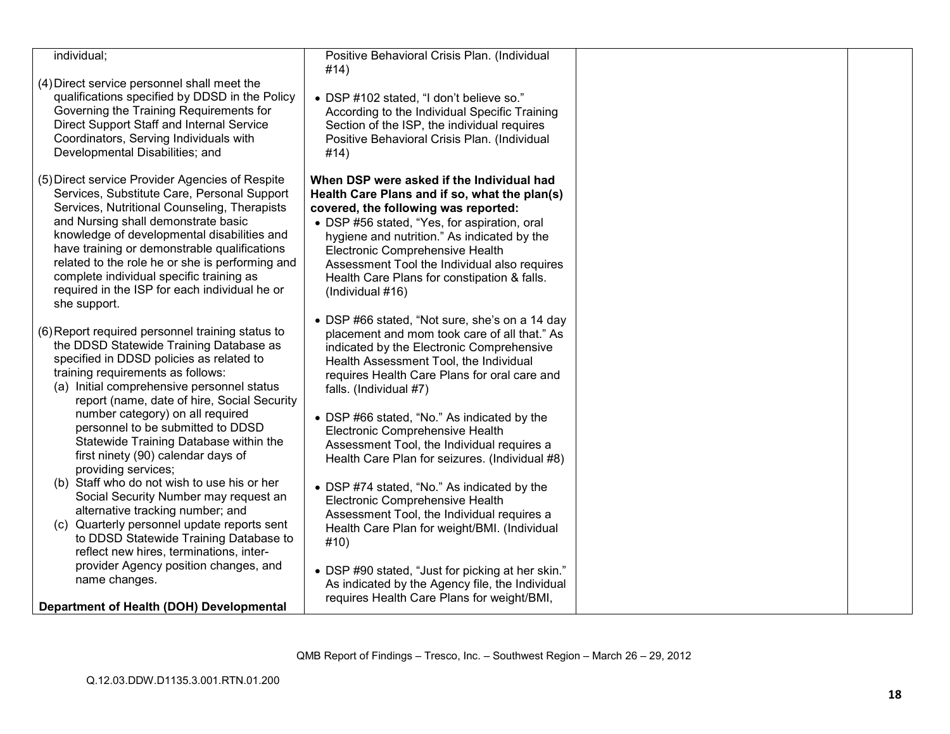| individual;                                                                                                                                                                                                                                                                                                                                                                                                                                          | Positive Behavioral Crisis Plan. (Individual<br>#14)                                                                                                                                                                                                                                                                                                                                    |  |
|------------------------------------------------------------------------------------------------------------------------------------------------------------------------------------------------------------------------------------------------------------------------------------------------------------------------------------------------------------------------------------------------------------------------------------------------------|-----------------------------------------------------------------------------------------------------------------------------------------------------------------------------------------------------------------------------------------------------------------------------------------------------------------------------------------------------------------------------------------|--|
| (4) Direct service personnel shall meet the<br>qualifications specified by DDSD in the Policy<br>Governing the Training Requirements for<br>Direct Support Staff and Internal Service<br>Coordinators, Serving Individuals with<br>Developmental Disabilities; and                                                                                                                                                                                   | • DSP #102 stated, "I don't believe so."<br>According to the Individual Specific Training<br>Section of the ISP, the individual requires<br>Positive Behavioral Crisis Plan. (Individual<br>#14)                                                                                                                                                                                        |  |
| (5) Direct service Provider Agencies of Respite<br>Services, Substitute Care, Personal Support<br>Services, Nutritional Counseling, Therapists<br>and Nursing shall demonstrate basic<br>knowledge of developmental disabilities and<br>have training or demonstrable qualifications<br>related to the role he or she is performing and<br>complete individual specific training as<br>required in the ISP for each individual he or<br>she support. | When DSP were asked if the Individual had<br>Health Care Plans and if so, what the plan(s)<br>covered, the following was reported:<br>• DSP #56 stated, "Yes, for aspiration, oral<br>hygiene and nutrition." As indicated by the<br>Electronic Comprehensive Health<br>Assessment Tool the Individual also requires<br>Health Care Plans for constipation & falls.<br>(Individual #16) |  |
| (6) Report required personnel training status to<br>the DDSD Statewide Training Database as<br>specified in DDSD policies as related to<br>training requirements as follows:<br>(a) Initial comprehensive personnel status<br>report (name, date of hire, Social Security                                                                                                                                                                            | • DSP #66 stated, "Not sure, she's on a 14 day<br>placement and mom took care of all that." As<br>indicated by the Electronic Comprehensive<br>Health Assessment Tool, the Individual<br>requires Health Care Plans for oral care and<br>falls. (Individual #7)                                                                                                                         |  |
| number category) on all required<br>personnel to be submitted to DDSD<br>Statewide Training Database within the<br>first ninety (90) calendar days of<br>providing services;                                                                                                                                                                                                                                                                         | • DSP #66 stated, "No." As indicated by the<br>Electronic Comprehensive Health<br>Assessment Tool, the Individual requires a<br>Health Care Plan for seizures. (Individual #8)                                                                                                                                                                                                          |  |
| (b) Staff who do not wish to use his or her<br>Social Security Number may request an<br>alternative tracking number; and<br>(c) Quarterly personnel update reports sent<br>to DDSD Statewide Training Database to<br>reflect new hires, terminations, inter-                                                                                                                                                                                         | • DSP #74 stated, "No." As indicated by the<br>Electronic Comprehensive Health<br>Assessment Tool, the Individual requires a<br>Health Care Plan for weight/BMI. (Individual<br>#10)                                                                                                                                                                                                    |  |
| provider Agency position changes, and<br>name changes.<br>Department of Health (DOH) Developmental                                                                                                                                                                                                                                                                                                                                                   | • DSP #90 stated, "Just for picking at her skin."<br>As indicated by the Agency file, the Individual<br>requires Health Care Plans for weight/BMI,                                                                                                                                                                                                                                      |  |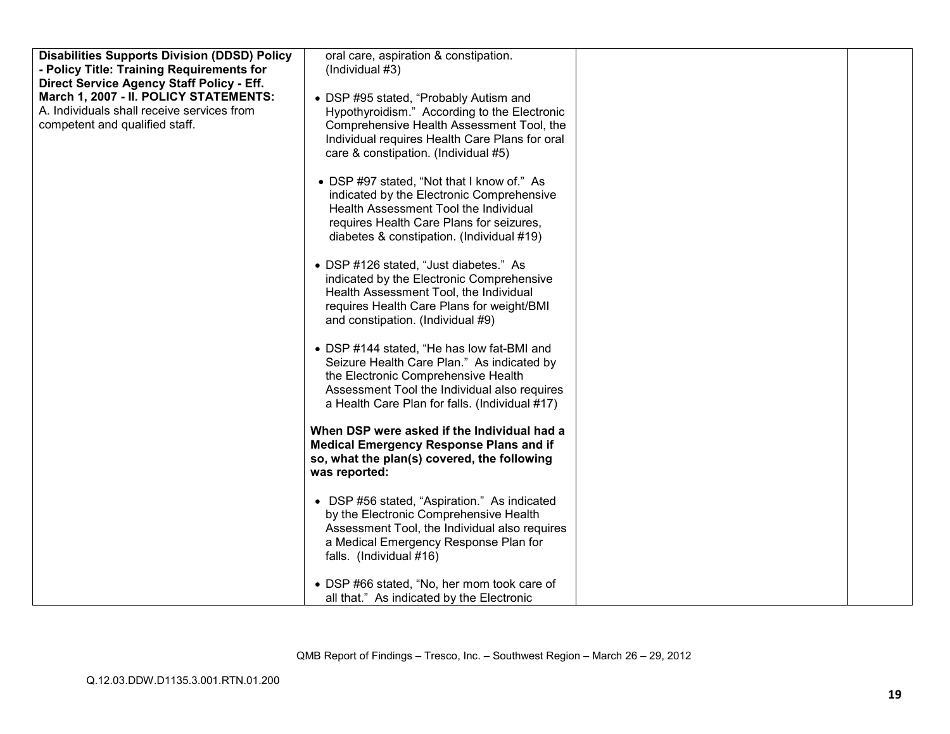| <b>Disabilities Supports Division (DDSD) Policy</b>                                 | oral care, aspiration & constipation.                                                     |  |
|-------------------------------------------------------------------------------------|-------------------------------------------------------------------------------------------|--|
| - Policy Title: Training Requirements for                                           | (Individual #3)                                                                           |  |
| Direct Service Agency Staff Policy - Eff.<br>March 1, 2007 - II. POLICY STATEMENTS: |                                                                                           |  |
| A. Individuals shall receive services from                                          | • DSP #95 stated, "Probably Autism and                                                    |  |
| competent and qualified staff.                                                      | Hypothyroidism." According to the Electronic<br>Comprehensive Health Assessment Tool, the |  |
|                                                                                     | Individual requires Health Care Plans for oral                                            |  |
|                                                                                     | care & constipation. (Individual #5)                                                      |  |
|                                                                                     |                                                                                           |  |
|                                                                                     | • DSP #97 stated, "Not that I know of." As                                                |  |
|                                                                                     | indicated by the Electronic Comprehensive                                                 |  |
|                                                                                     | Health Assessment Tool the Individual                                                     |  |
|                                                                                     | requires Health Care Plans for seizures,                                                  |  |
|                                                                                     | diabetes & constipation. (Individual #19)                                                 |  |
|                                                                                     |                                                                                           |  |
|                                                                                     | • DSP #126 stated, "Just diabetes." As<br>indicated by the Electronic Comprehensive       |  |
|                                                                                     | Health Assessment Tool, the Individual                                                    |  |
|                                                                                     | requires Health Care Plans for weight/BMI                                                 |  |
|                                                                                     | and constipation. (Individual #9)                                                         |  |
|                                                                                     |                                                                                           |  |
|                                                                                     | • DSP #144 stated, "He has low fat-BMI and                                                |  |
|                                                                                     | Seizure Health Care Plan." As indicated by                                                |  |
|                                                                                     | the Electronic Comprehensive Health                                                       |  |
|                                                                                     | Assessment Tool the Individual also requires                                              |  |
|                                                                                     | a Health Care Plan for falls. (Individual #17)                                            |  |
|                                                                                     | When DSP were asked if the Individual had a                                               |  |
|                                                                                     | <b>Medical Emergency Response Plans and if</b>                                            |  |
|                                                                                     | so, what the plan(s) covered, the following                                               |  |
|                                                                                     | was reported:                                                                             |  |
|                                                                                     |                                                                                           |  |
|                                                                                     | • DSP #56 stated, "Aspiration." As indicated                                              |  |
|                                                                                     | by the Electronic Comprehensive Health<br>Assessment Tool, the Individual also requires   |  |
|                                                                                     | a Medical Emergency Response Plan for                                                     |  |
|                                                                                     | falls. (Individual #16)                                                                   |  |
|                                                                                     |                                                                                           |  |
|                                                                                     | • DSP #66 stated, "No, her mom took care of                                               |  |
|                                                                                     | all that." As indicated by the Electronic                                                 |  |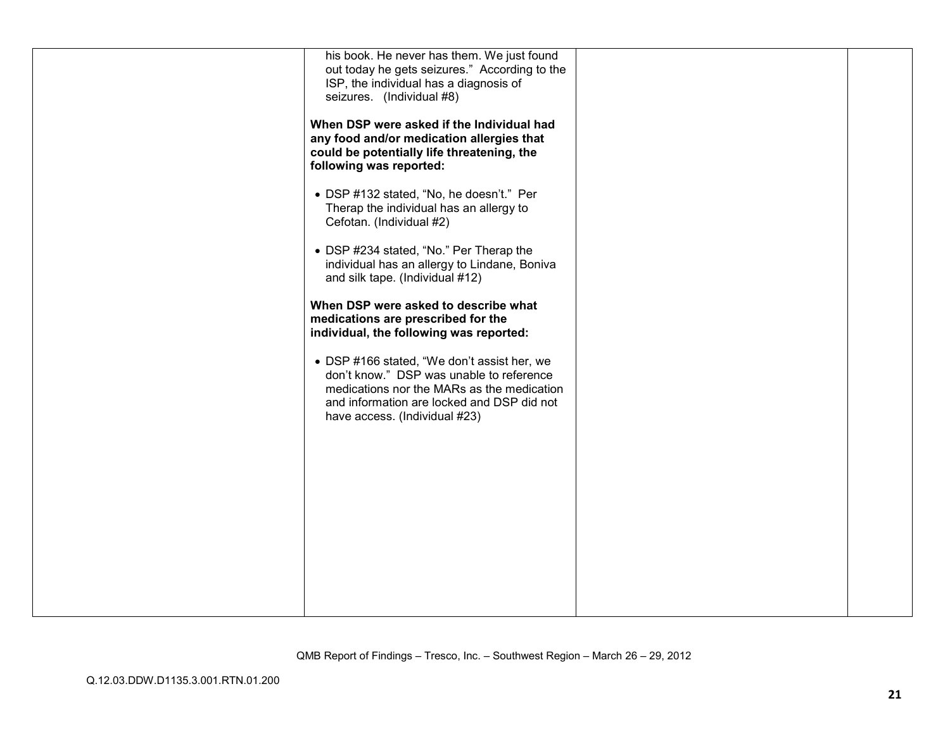| his book. He never has them. We just found    |  |
|-----------------------------------------------|--|
| out today he gets seizures." According to the |  |
| ISP, the individual has a diagnosis of        |  |
| seizures. (Individual #8)                     |  |
|                                               |  |
| When DSP were asked if the Individual had     |  |
| any food and/or medication allergies that     |  |
| could be potentially life threatening, the    |  |
| following was reported:                       |  |
|                                               |  |
| • DSP #132 stated, "No, he doesn't." Per      |  |
| Therap the individual has an allergy to       |  |
| Cefotan. (Individual #2)                      |  |
|                                               |  |
| • DSP #234 stated, "No." Per Therap the       |  |
| individual has an allergy to Lindane, Boniva  |  |
| and silk tape. (Individual #12)               |  |
|                                               |  |
| When DSP were asked to describe what          |  |
| medications are prescribed for the            |  |
| individual, the following was reported:       |  |
|                                               |  |
| • DSP #166 stated, "We don't assist her, we   |  |
| don't know." DSP was unable to reference      |  |
| medications nor the MARs as the medication    |  |
| and information are locked and DSP did not    |  |
| have access. (Individual #23)                 |  |
|                                               |  |
|                                               |  |
|                                               |  |
|                                               |  |
|                                               |  |
|                                               |  |
|                                               |  |
|                                               |  |
|                                               |  |
|                                               |  |
|                                               |  |
|                                               |  |
|                                               |  |
|                                               |  |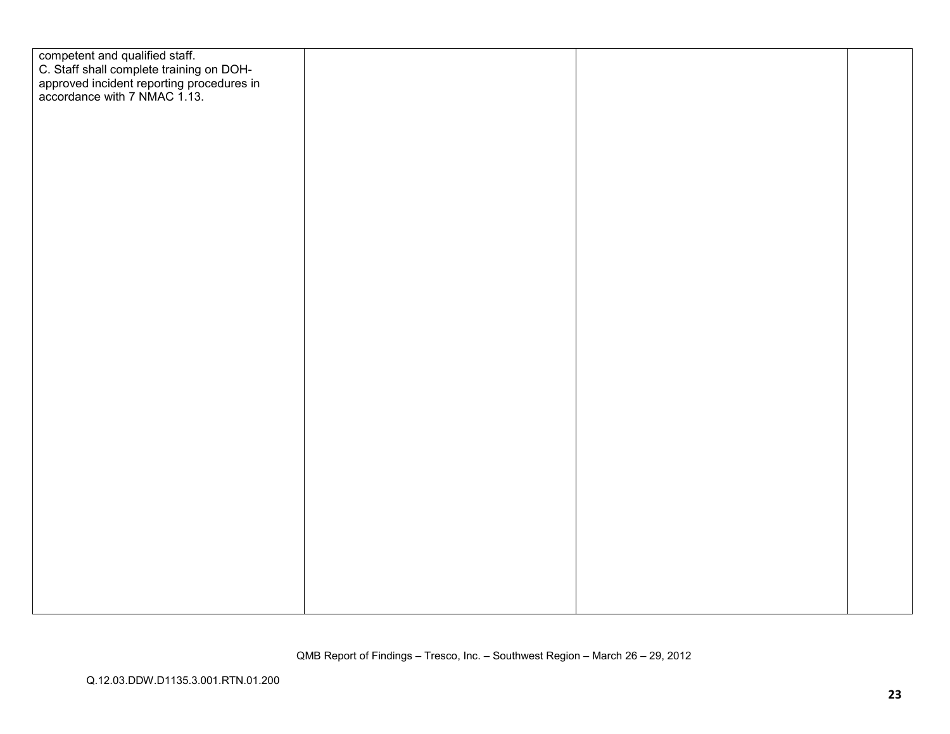| competent and qualified staff.<br>C. Staff shall complete training on DOH-<br>approved incident reporting procedures in<br>accordance with 7 NMAC 1.13. |  |  |
|---------------------------------------------------------------------------------------------------------------------------------------------------------|--|--|
|                                                                                                                                                         |  |  |
|                                                                                                                                                         |  |  |
|                                                                                                                                                         |  |  |
|                                                                                                                                                         |  |  |
|                                                                                                                                                         |  |  |
|                                                                                                                                                         |  |  |
|                                                                                                                                                         |  |  |
|                                                                                                                                                         |  |  |
|                                                                                                                                                         |  |  |
|                                                                                                                                                         |  |  |
|                                                                                                                                                         |  |  |
|                                                                                                                                                         |  |  |
|                                                                                                                                                         |  |  |
|                                                                                                                                                         |  |  |
|                                                                                                                                                         |  |  |
|                                                                                                                                                         |  |  |
|                                                                                                                                                         |  |  |
|                                                                                                                                                         |  |  |
|                                                                                                                                                         |  |  |
|                                                                                                                                                         |  |  |
|                                                                                                                                                         |  |  |
|                                                                                                                                                         |  |  |
|                                                                                                                                                         |  |  |
|                                                                                                                                                         |  |  |
|                                                                                                                                                         |  |  |
|                                                                                                                                                         |  |  |
|                                                                                                                                                         |  |  |
|                                                                                                                                                         |  |  |
|                                                                                                                                                         |  |  |
|                                                                                                                                                         |  |  |
|                                                                                                                                                         |  |  |
|                                                                                                                                                         |  |  |
|                                                                                                                                                         |  |  |
|                                                                                                                                                         |  |  |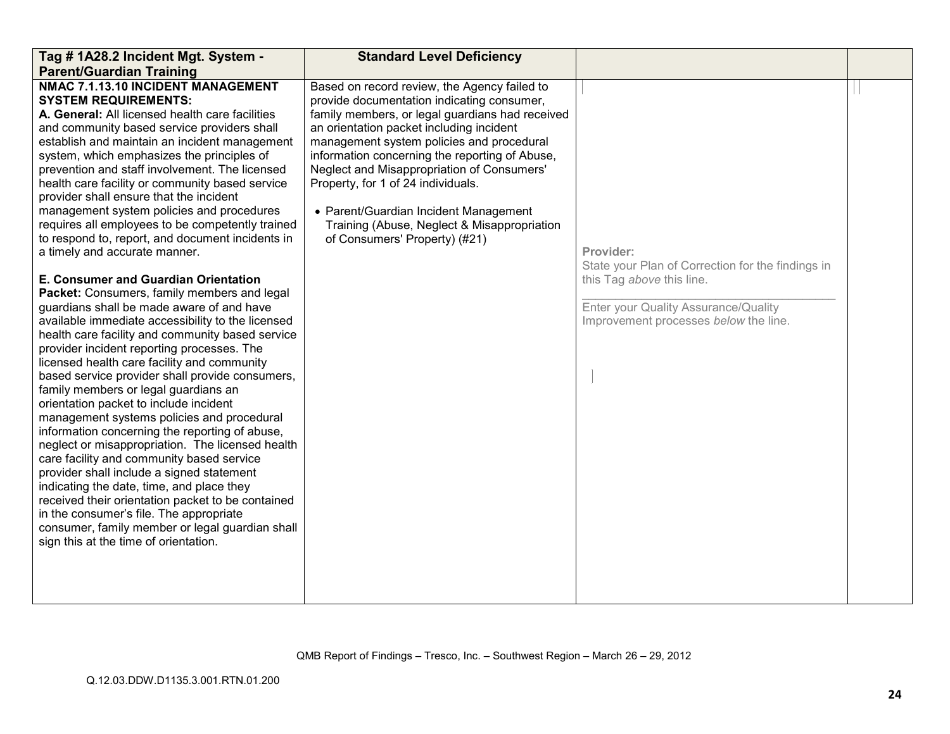| Tag # 1A28.2 Incident Mgt. System -                                                                                                                                                                                                                                                                                                                                                                                                                                                                                                                                                                                                                                                                                                                                                                                                                                                                                                                                                                                                                                                                                                                                                                                                                                                                                                                                                                                                                                                                                                                                            | <b>Standard Level Deficiency</b>                                                                                                                                                                                                                                                                                                                                                                                                                                                                      |                                                                                                                                                                              |  |
|--------------------------------------------------------------------------------------------------------------------------------------------------------------------------------------------------------------------------------------------------------------------------------------------------------------------------------------------------------------------------------------------------------------------------------------------------------------------------------------------------------------------------------------------------------------------------------------------------------------------------------------------------------------------------------------------------------------------------------------------------------------------------------------------------------------------------------------------------------------------------------------------------------------------------------------------------------------------------------------------------------------------------------------------------------------------------------------------------------------------------------------------------------------------------------------------------------------------------------------------------------------------------------------------------------------------------------------------------------------------------------------------------------------------------------------------------------------------------------------------------------------------------------------------------------------------------------|-------------------------------------------------------------------------------------------------------------------------------------------------------------------------------------------------------------------------------------------------------------------------------------------------------------------------------------------------------------------------------------------------------------------------------------------------------------------------------------------------------|------------------------------------------------------------------------------------------------------------------------------------------------------------------------------|--|
| <b>Parent/Guardian Training</b>                                                                                                                                                                                                                                                                                                                                                                                                                                                                                                                                                                                                                                                                                                                                                                                                                                                                                                                                                                                                                                                                                                                                                                                                                                                                                                                                                                                                                                                                                                                                                |                                                                                                                                                                                                                                                                                                                                                                                                                                                                                                       |                                                                                                                                                                              |  |
| NMAC 7.1.13.10 INCIDENT MANAGEMENT<br><b>SYSTEM REQUIREMENTS:</b><br>A. General: All licensed health care facilities<br>and community based service providers shall<br>establish and maintain an incident management<br>system, which emphasizes the principles of<br>prevention and staff involvement. The licensed<br>health care facility or community based service<br>provider shall ensure that the incident<br>management system policies and procedures<br>requires all employees to be competently trained<br>to respond to, report, and document incidents in<br>a timely and accurate manner.<br>E. Consumer and Guardian Orientation<br>Packet: Consumers, family members and legal<br>guardians shall be made aware of and have<br>available immediate accessibility to the licensed<br>health care facility and community based service<br>provider incident reporting processes. The<br>licensed health care facility and community<br>based service provider shall provide consumers,<br>family members or legal guardians an<br>orientation packet to include incident<br>management systems policies and procedural<br>information concerning the reporting of abuse,<br>neglect or misappropriation. The licensed health<br>care facility and community based service<br>provider shall include a signed statement<br>indicating the date, time, and place they<br>received their orientation packet to be contained<br>in the consumer's file. The appropriate<br>consumer, family member or legal guardian shall<br>sign this at the time of orientation. | Based on record review, the Agency failed to<br>provide documentation indicating consumer,<br>family members, or legal guardians had received<br>an orientation packet including incident<br>management system policies and procedural<br>information concerning the reporting of Abuse,<br>Neglect and Misappropriation of Consumers'<br>Property, for 1 of 24 individuals.<br>• Parent/Guardian Incident Management<br>Training (Abuse, Neglect & Misappropriation<br>of Consumers' Property) (#21) | Provider:<br>State your Plan of Correction for the findings in<br>this Tag above this line.<br>Enter your Quality Assurance/Quality<br>Improvement processes below the line. |  |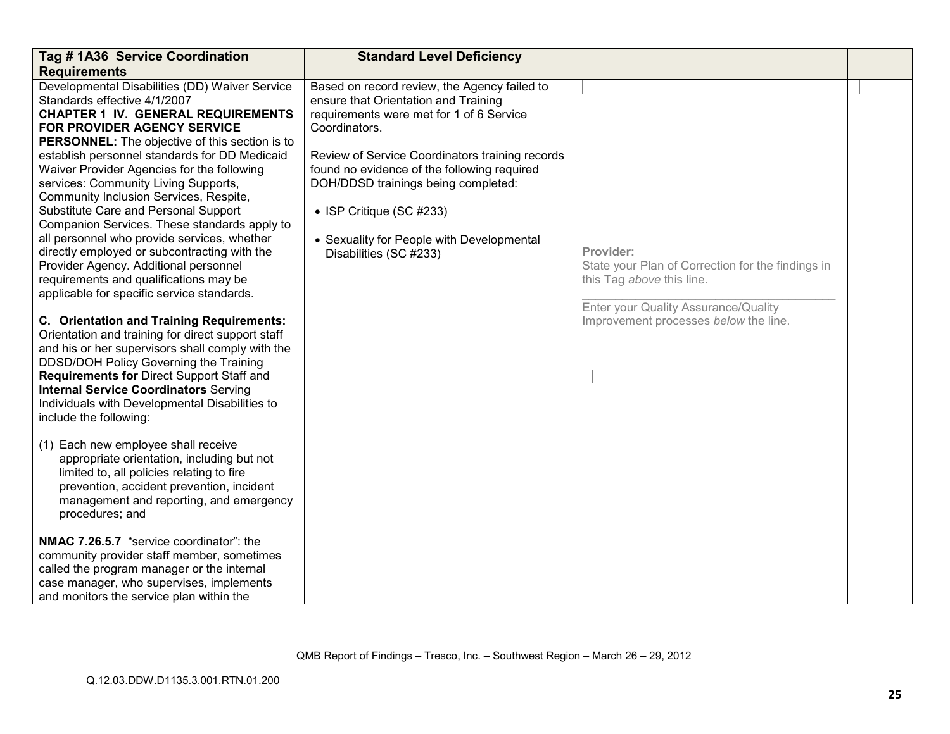| Tag # 1A36 Service Coordination                                                                                                                                                                                                                                                                                                                                                                                                                                                                                                                                                                                                                                                                                                                                                                                                                                                                                                                                                                                                                                                                                                                                                                                                         | <b>Standard Level Deficiency</b>                                                                                                                                                                                                                                                                                                                                                              |                                                                                                                                                                              |  |
|-----------------------------------------------------------------------------------------------------------------------------------------------------------------------------------------------------------------------------------------------------------------------------------------------------------------------------------------------------------------------------------------------------------------------------------------------------------------------------------------------------------------------------------------------------------------------------------------------------------------------------------------------------------------------------------------------------------------------------------------------------------------------------------------------------------------------------------------------------------------------------------------------------------------------------------------------------------------------------------------------------------------------------------------------------------------------------------------------------------------------------------------------------------------------------------------------------------------------------------------|-----------------------------------------------------------------------------------------------------------------------------------------------------------------------------------------------------------------------------------------------------------------------------------------------------------------------------------------------------------------------------------------------|------------------------------------------------------------------------------------------------------------------------------------------------------------------------------|--|
| <b>Requirements</b>                                                                                                                                                                                                                                                                                                                                                                                                                                                                                                                                                                                                                                                                                                                                                                                                                                                                                                                                                                                                                                                                                                                                                                                                                     |                                                                                                                                                                                                                                                                                                                                                                                               |                                                                                                                                                                              |  |
| Developmental Disabilities (DD) Waiver Service<br>Standards effective 4/1/2007<br><b>CHAPTER 1 IV. GENERAL REQUIREMENTS</b><br>FOR PROVIDER AGENCY SERVICE<br><b>PERSONNEL:</b> The objective of this section is to<br>establish personnel standards for DD Medicaid<br>Waiver Provider Agencies for the following<br>services: Community Living Supports,<br>Community Inclusion Services, Respite,<br>Substitute Care and Personal Support<br>Companion Services. These standards apply to<br>all personnel who provide services, whether<br>directly employed or subcontracting with the<br>Provider Agency. Additional personnel<br>requirements and qualifications may be<br>applicable for specific service standards.<br>C. Orientation and Training Requirements:<br>Orientation and training for direct support staff<br>and his or her supervisors shall comply with the<br>DDSD/DOH Policy Governing the Training<br>Requirements for Direct Support Staff and<br><b>Internal Service Coordinators Serving</b><br>Individuals with Developmental Disabilities to<br>include the following:<br>(1) Each new employee shall receive<br>appropriate orientation, including but not<br>limited to, all policies relating to fire | Based on record review, the Agency failed to<br>ensure that Orientation and Training<br>requirements were met for 1 of 6 Service<br>Coordinators.<br>Review of Service Coordinators training records<br>found no evidence of the following required<br>DOH/DDSD trainings being completed:<br>• ISP Critique (SC #233)<br>• Sexuality for People with Developmental<br>Disabilities (SC #233) | Provider:<br>State your Plan of Correction for the findings in<br>this Tag above this line.<br>Enter your Quality Assurance/Quality<br>Improvement processes below the line. |  |
| prevention, accident prevention, incident<br>management and reporting, and emergency<br>procedures; and<br>NMAC 7.26.5.7 "service coordinator": the                                                                                                                                                                                                                                                                                                                                                                                                                                                                                                                                                                                                                                                                                                                                                                                                                                                                                                                                                                                                                                                                                     |                                                                                                                                                                                                                                                                                                                                                                                               |                                                                                                                                                                              |  |
| community provider staff member, sometimes<br>called the program manager or the internal<br>case manager, who supervises, implements<br>and monitors the service plan within the                                                                                                                                                                                                                                                                                                                                                                                                                                                                                                                                                                                                                                                                                                                                                                                                                                                                                                                                                                                                                                                        |                                                                                                                                                                                                                                                                                                                                                                                               |                                                                                                                                                                              |  |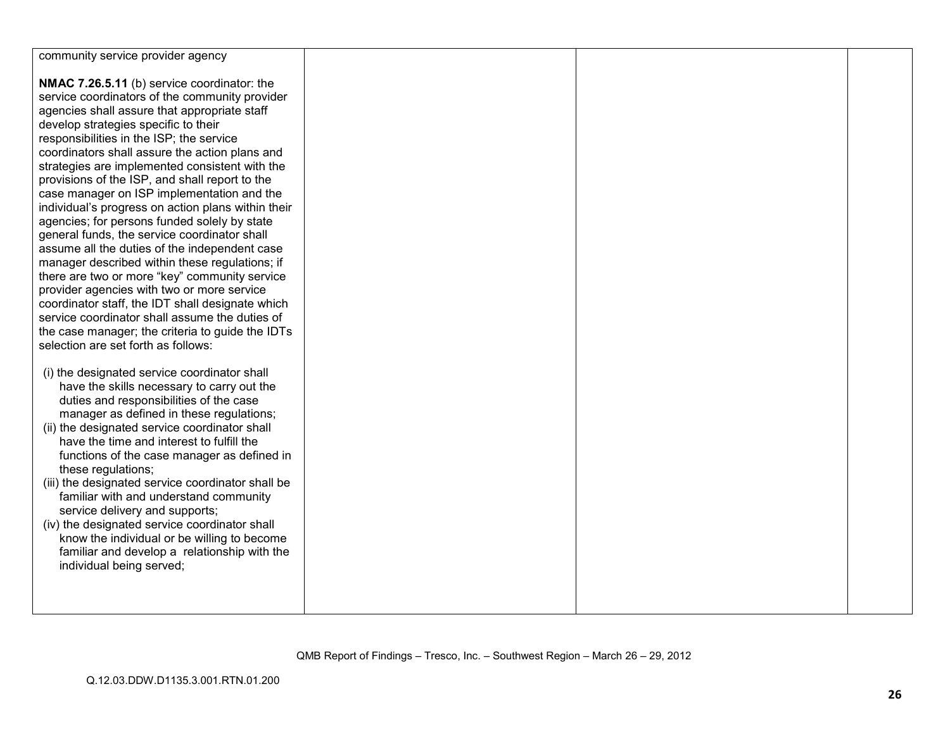| community service provider agency                  |  |  |
|----------------------------------------------------|--|--|
|                                                    |  |  |
| NMAC 7.26.5.11 (b) service coordinator: the        |  |  |
| service coordinators of the community provider     |  |  |
| agencies shall assure that appropriate staff       |  |  |
| develop strategies specific to their               |  |  |
| responsibilities in the ISP; the service           |  |  |
| coordinators shall assure the action plans and     |  |  |
| strategies are implemented consistent with the     |  |  |
|                                                    |  |  |
| provisions of the ISP, and shall report to the     |  |  |
| case manager on ISP implementation and the         |  |  |
| individual's progress on action plans within their |  |  |
| agencies; for persons funded solely by state       |  |  |
| general funds, the service coordinator shall       |  |  |
| assume all the duties of the independent case      |  |  |
| manager described within these regulations; if     |  |  |
| there are two or more "key" community service      |  |  |
| provider agencies with two or more service         |  |  |
| coordinator staff, the IDT shall designate which   |  |  |
| service coordinator shall assume the duties of     |  |  |
| the case manager; the criteria to guide the IDTs   |  |  |
| selection are set forth as follows:                |  |  |
|                                                    |  |  |
| (i) the designated service coordinator shall       |  |  |
| have the skills necessary to carry out the         |  |  |
|                                                    |  |  |
| duties and responsibilities of the case            |  |  |
| manager as defined in these regulations;           |  |  |
| (ii) the designated service coordinator shall      |  |  |
| have the time and interest to fulfill the          |  |  |
| functions of the case manager as defined in        |  |  |
| these regulations;                                 |  |  |
| (iii) the designated service coordinator shall be  |  |  |
| familiar with and understand community             |  |  |
| service delivery and supports;                     |  |  |
| (iv) the designated service coordinator shall      |  |  |
| know the individual or be willing to become        |  |  |
| familiar and develop a relationship with the       |  |  |
| individual being served;                           |  |  |
|                                                    |  |  |
|                                                    |  |  |
|                                                    |  |  |
|                                                    |  |  |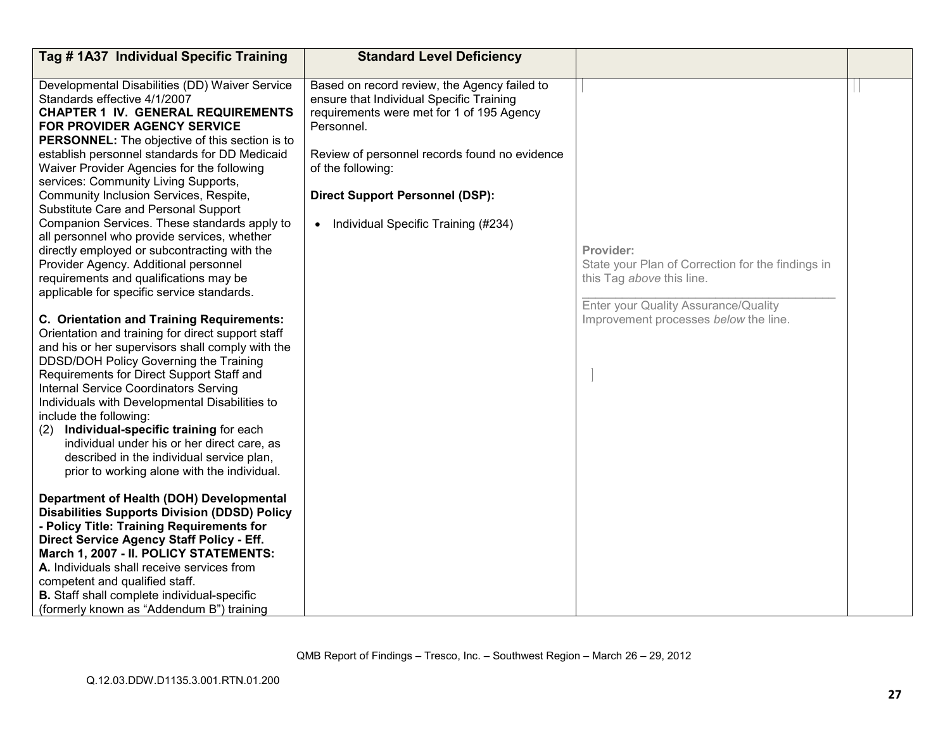| Tag # 1A37 Individual Specific Training                                                                                                                                                                                                                                                                                                                                                                                                                                                                                                                                                                                                                                                                                                                                                                                                                                     | <b>Standard Level Deficiency</b>                                                                                                                                                                                                                                                                             |                                                                                                                                                                              |  |
|-----------------------------------------------------------------------------------------------------------------------------------------------------------------------------------------------------------------------------------------------------------------------------------------------------------------------------------------------------------------------------------------------------------------------------------------------------------------------------------------------------------------------------------------------------------------------------------------------------------------------------------------------------------------------------------------------------------------------------------------------------------------------------------------------------------------------------------------------------------------------------|--------------------------------------------------------------------------------------------------------------------------------------------------------------------------------------------------------------------------------------------------------------------------------------------------------------|------------------------------------------------------------------------------------------------------------------------------------------------------------------------------|--|
| Developmental Disabilities (DD) Waiver Service<br>Standards effective 4/1/2007<br><b>CHAPTER 1 IV. GENERAL REQUIREMENTS</b><br>FOR PROVIDER AGENCY SERVICE<br>PERSONNEL: The objective of this section is to<br>establish personnel standards for DD Medicaid<br>Waiver Provider Agencies for the following<br>services: Community Living Supports,<br>Community Inclusion Services, Respite,<br>Substitute Care and Personal Support<br>Companion Services. These standards apply to<br>all personnel who provide services, whether<br>directly employed or subcontracting with the<br>Provider Agency. Additional personnel<br>requirements and qualifications may be<br>applicable for specific service standards.<br>C. Orientation and Training Requirements:<br>Orientation and training for direct support staff<br>and his or her supervisors shall comply with the | Based on record review, the Agency failed to<br>ensure that Individual Specific Training<br>requirements were met for 1 of 195 Agency<br>Personnel.<br>Review of personnel records found no evidence<br>of the following:<br><b>Direct Support Personnel (DSP):</b><br>• Individual Specific Training (#234) | Provider:<br>State your Plan of Correction for the findings in<br>this Tag above this line.<br>Enter your Quality Assurance/Quality<br>Improvement processes below the line. |  |
| DDSD/DOH Policy Governing the Training<br>Requirements for Direct Support Staff and<br><b>Internal Service Coordinators Serving</b><br>Individuals with Developmental Disabilities to<br>include the following:<br>Individual-specific training for each<br>(2)<br>individual under his or her direct care, as<br>described in the individual service plan,<br>prior to working alone with the individual.                                                                                                                                                                                                                                                                                                                                                                                                                                                                  |                                                                                                                                                                                                                                                                                                              |                                                                                                                                                                              |  |
| Department of Health (DOH) Developmental<br><b>Disabilities Supports Division (DDSD) Policy</b><br>- Policy Title: Training Requirements for<br>Direct Service Agency Staff Policy - Eff.<br>March 1, 2007 - II. POLICY STATEMENTS:<br>A. Individuals shall receive services from<br>competent and qualified staff.<br><b>B.</b> Staff shall complete individual-specific<br>(formerly known as "Addendum B") training                                                                                                                                                                                                                                                                                                                                                                                                                                                      |                                                                                                                                                                                                                                                                                                              |                                                                                                                                                                              |  |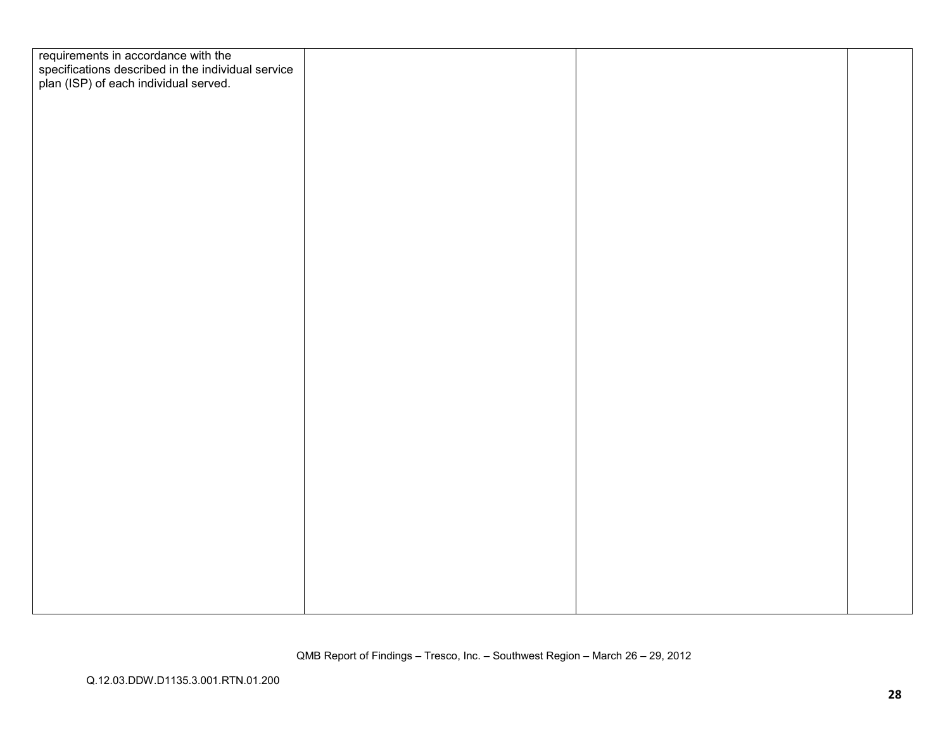| requirements in accordance with the                                                         |  |  |
|---------------------------------------------------------------------------------------------|--|--|
| specifications described in the individual service<br>plan (ISP) of each individual served. |  |  |
|                                                                                             |  |  |
|                                                                                             |  |  |
|                                                                                             |  |  |
|                                                                                             |  |  |
|                                                                                             |  |  |
|                                                                                             |  |  |
|                                                                                             |  |  |
|                                                                                             |  |  |
|                                                                                             |  |  |
|                                                                                             |  |  |
|                                                                                             |  |  |
|                                                                                             |  |  |
|                                                                                             |  |  |
|                                                                                             |  |  |
|                                                                                             |  |  |
|                                                                                             |  |  |
|                                                                                             |  |  |
|                                                                                             |  |  |
|                                                                                             |  |  |
|                                                                                             |  |  |
|                                                                                             |  |  |
|                                                                                             |  |  |
|                                                                                             |  |  |
|                                                                                             |  |  |
|                                                                                             |  |  |
|                                                                                             |  |  |
|                                                                                             |  |  |
|                                                                                             |  |  |
|                                                                                             |  |  |
|                                                                                             |  |  |
|                                                                                             |  |  |
|                                                                                             |  |  |
|                                                                                             |  |  |
|                                                                                             |  |  |
|                                                                                             |  |  |
|                                                                                             |  |  |
|                                                                                             |  |  |
|                                                                                             |  |  |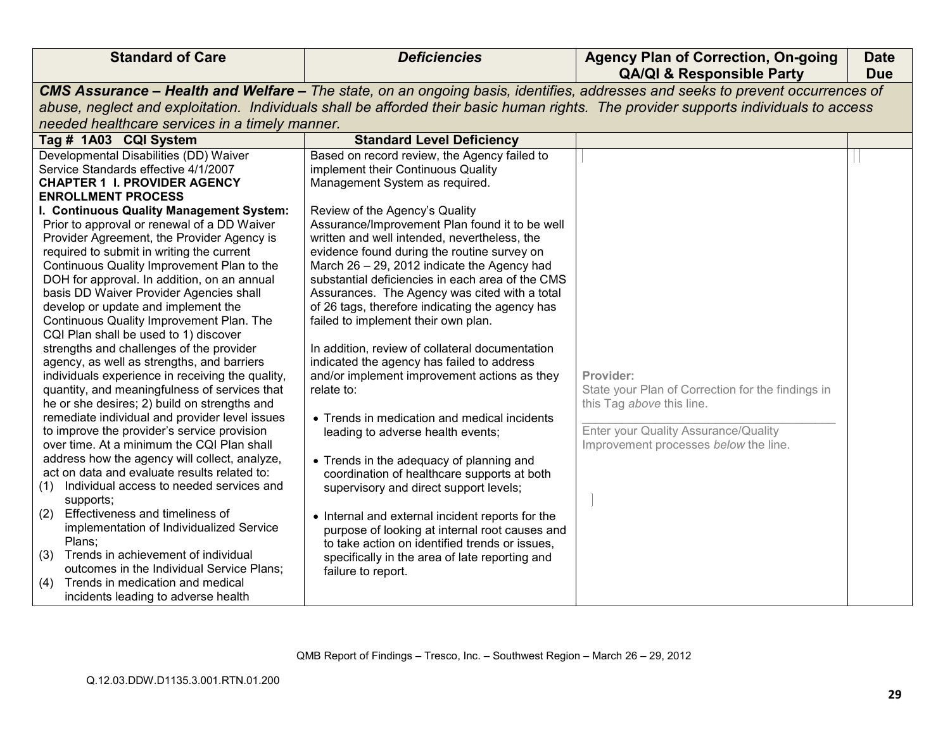| CMS Assurance - Health and Welfare - The state, on an ongoing basis, identifies, addresses and seeks to prevent occurrences of<br>abuse, neglect and exploitation. Individuals shall be afforded their basic human rights. The provider supports individuals to access<br>needed healthcare services in a timely manner.<br>Tag # 1A03 CQI System<br><b>Standard Level Deficiency</b><br>Developmental Disabilities (DD) Waiver<br>Based on record review, the Agency failed to<br>implement their Continuous Quality<br>Service Standards effective 4/1/2007<br><b>CHAPTER 1 I. PROVIDER AGENCY</b><br>Management System as required.<br><b>ENROLLMENT PROCESS</b><br>I. Continuous Quality Management System:<br>Review of the Agency's Quality<br>Prior to approval or renewal of a DD Waiver<br>Assurance/Improvement Plan found it to be well<br>Provider Agreement, the Provider Agency is<br>written and well intended, nevertheless, the                                                                                                                                                                                                                                                                                                                                                                                                                                                                                                                                                                                                                                                                                                                                                                                                                                                                                                                                                                                                                                                                                                                                |                                                                                                                                                                              |  |
|---------------------------------------------------------------------------------------------------------------------------------------------------------------------------------------------------------------------------------------------------------------------------------------------------------------------------------------------------------------------------------------------------------------------------------------------------------------------------------------------------------------------------------------------------------------------------------------------------------------------------------------------------------------------------------------------------------------------------------------------------------------------------------------------------------------------------------------------------------------------------------------------------------------------------------------------------------------------------------------------------------------------------------------------------------------------------------------------------------------------------------------------------------------------------------------------------------------------------------------------------------------------------------------------------------------------------------------------------------------------------------------------------------------------------------------------------------------------------------------------------------------------------------------------------------------------------------------------------------------------------------------------------------------------------------------------------------------------------------------------------------------------------------------------------------------------------------------------------------------------------------------------------------------------------------------------------------------------------------------------------------------------------------------------------------------------------------|------------------------------------------------------------------------------------------------------------------------------------------------------------------------------|--|
|                                                                                                                                                                                                                                                                                                                                                                                                                                                                                                                                                                                                                                                                                                                                                                                                                                                                                                                                                                                                                                                                                                                                                                                                                                                                                                                                                                                                                                                                                                                                                                                                                                                                                                                                                                                                                                                                                                                                                                                                                                                                                 |                                                                                                                                                                              |  |
|                                                                                                                                                                                                                                                                                                                                                                                                                                                                                                                                                                                                                                                                                                                                                                                                                                                                                                                                                                                                                                                                                                                                                                                                                                                                                                                                                                                                                                                                                                                                                                                                                                                                                                                                                                                                                                                                                                                                                                                                                                                                                 |                                                                                                                                                                              |  |
|                                                                                                                                                                                                                                                                                                                                                                                                                                                                                                                                                                                                                                                                                                                                                                                                                                                                                                                                                                                                                                                                                                                                                                                                                                                                                                                                                                                                                                                                                                                                                                                                                                                                                                                                                                                                                                                                                                                                                                                                                                                                                 |                                                                                                                                                                              |  |
|                                                                                                                                                                                                                                                                                                                                                                                                                                                                                                                                                                                                                                                                                                                                                                                                                                                                                                                                                                                                                                                                                                                                                                                                                                                                                                                                                                                                                                                                                                                                                                                                                                                                                                                                                                                                                                                                                                                                                                                                                                                                                 |                                                                                                                                                                              |  |
| required to submit in writing the current<br>evidence found during the routine survey on<br>Continuous Quality Improvement Plan to the<br>March 26 - 29, 2012 indicate the Agency had<br>DOH for approval. In addition, on an annual<br>substantial deficiencies in each area of the CMS<br>basis DD Waiver Provider Agencies shall<br>Assurances. The Agency was cited with a total<br>develop or update and implement the<br>of 26 tags, therefore indicating the agency has<br>Continuous Quality Improvement Plan. The<br>failed to implement their own plan.<br>CQI Plan shall be used to 1) discover<br>strengths and challenges of the provider<br>In addition, review of collateral documentation<br>agency, as well as strengths, and barriers<br>indicated the agency has failed to address<br>individuals experience in receiving the quality,<br>and/or implement improvement actions as they<br>quantity, and meaningfulness of services that<br>relate to:<br>he or she desires; 2) build on strengths and<br>remediate individual and provider level issues<br>• Trends in medication and medical incidents<br>to improve the provider's service provision<br>leading to adverse health events;<br>over time. At a minimum the CQI Plan shall<br>address how the agency will collect, analyze,<br>• Trends in the adequacy of planning and<br>act on data and evaluate results related to:<br>coordination of healthcare supports at both<br>Individual access to needed services and<br>(1)<br>supervisory and direct support levels;<br>supports;<br>Effectiveness and timeliness of<br>(2)<br>• Internal and external incident reports for the<br>implementation of Individualized Service<br>purpose of looking at internal root causes and<br>Plans;<br>to take action on identified trends or issues,<br>Trends in achievement of individual<br>(3)<br>specifically in the area of late reporting and<br>outcomes in the Individual Service Plans;<br>failure to report.<br>Trends in medication and medical<br>(4)<br>incidents leading to adverse health | Provider:<br>State your Plan of Correction for the findings in<br>this Tag above this line.<br>Enter your Quality Assurance/Quality<br>Improvement processes below the line. |  |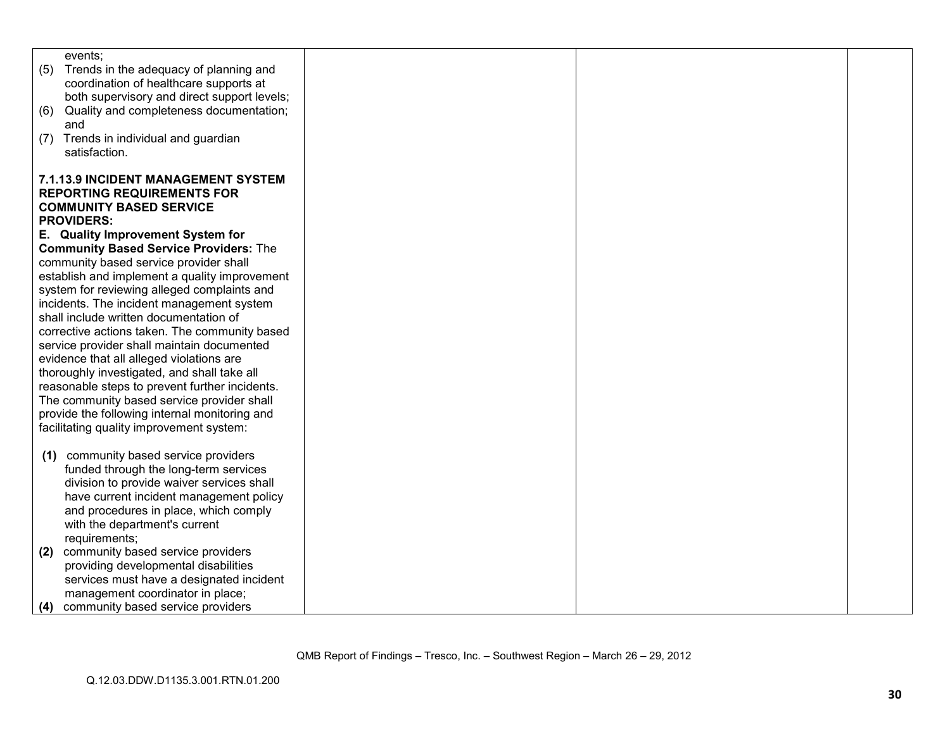| events;                                        |  |  |
|------------------------------------------------|--|--|
| (5)<br>Trends in the adequacy of planning and  |  |  |
| coordination of healthcare supports at         |  |  |
| both supervisory and direct support levels;    |  |  |
| Quality and completeness documentation;<br>(6) |  |  |
| and                                            |  |  |
| Trends in individual and guardian<br>(7)       |  |  |
| satisfaction.                                  |  |  |
|                                                |  |  |
| 7.1.13.9 INCIDENT MANAGEMENT SYSTEM            |  |  |
| <b>REPORTING REQUIREMENTS FOR</b>              |  |  |
| <b>COMMUNITY BASED SERVICE</b>                 |  |  |
| <b>PROVIDERS:</b>                              |  |  |
| E. Quality Improvement System for              |  |  |
| <b>Community Based Service Providers: The</b>  |  |  |
| community based service provider shall         |  |  |
| establish and implement a quality improvement  |  |  |
| system for reviewing alleged complaints and    |  |  |
| incidents. The incident management system      |  |  |
| shall include written documentation of         |  |  |
| corrective actions taken. The community based  |  |  |
| service provider shall maintain documented     |  |  |
| evidence that all alleged violations are       |  |  |
| thoroughly investigated, and shall take all    |  |  |
| reasonable steps to prevent further incidents. |  |  |
| The community based service provider shall     |  |  |
|                                                |  |  |
| provide the following internal monitoring and  |  |  |
| facilitating quality improvement system:       |  |  |
|                                                |  |  |
| community based service providers<br>(1)       |  |  |
| funded through the long-term services          |  |  |
| division to provide waiver services shall      |  |  |
| have current incident management policy        |  |  |
| and procedures in place, which comply          |  |  |
| with the department's current                  |  |  |
| requirements;                                  |  |  |
| community based service providers<br>(2)       |  |  |
| providing developmental disabilities           |  |  |
| services must have a designated incident       |  |  |
| management coordinator in place;               |  |  |
| community based service providers<br>(4)       |  |  |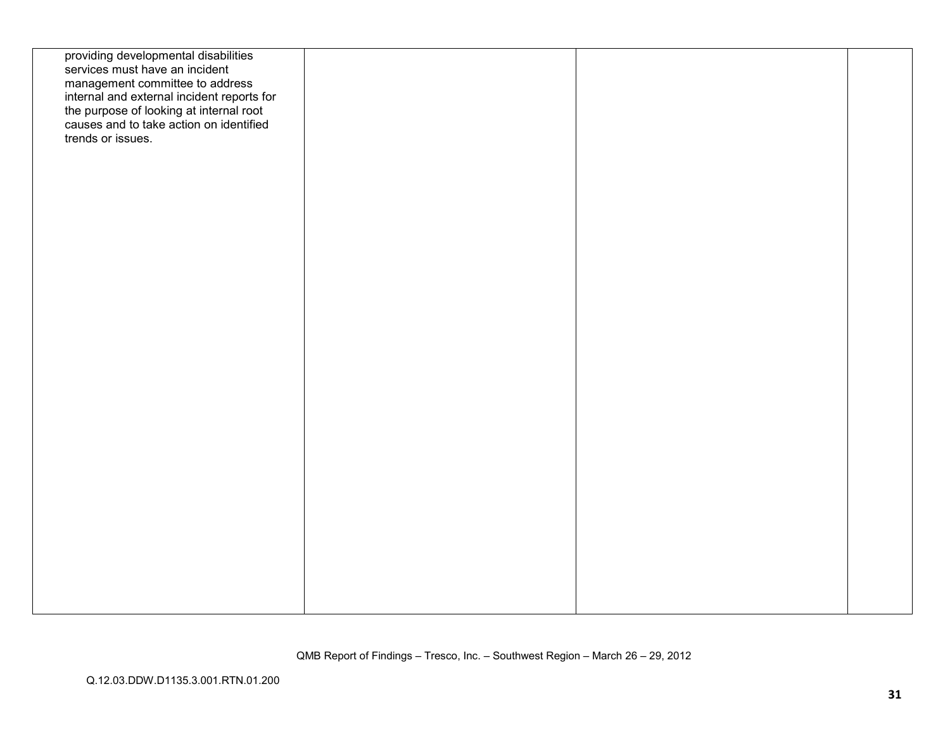| providing developmental disabilities<br>services must have an incident<br>management committee to address<br>internal and external incident reports for<br>the purpose of looking at internal root<br>causes and to take action on identified<br>trends or issues. |  |  |
|--------------------------------------------------------------------------------------------------------------------------------------------------------------------------------------------------------------------------------------------------------------------|--|--|
|                                                                                                                                                                                                                                                                    |  |  |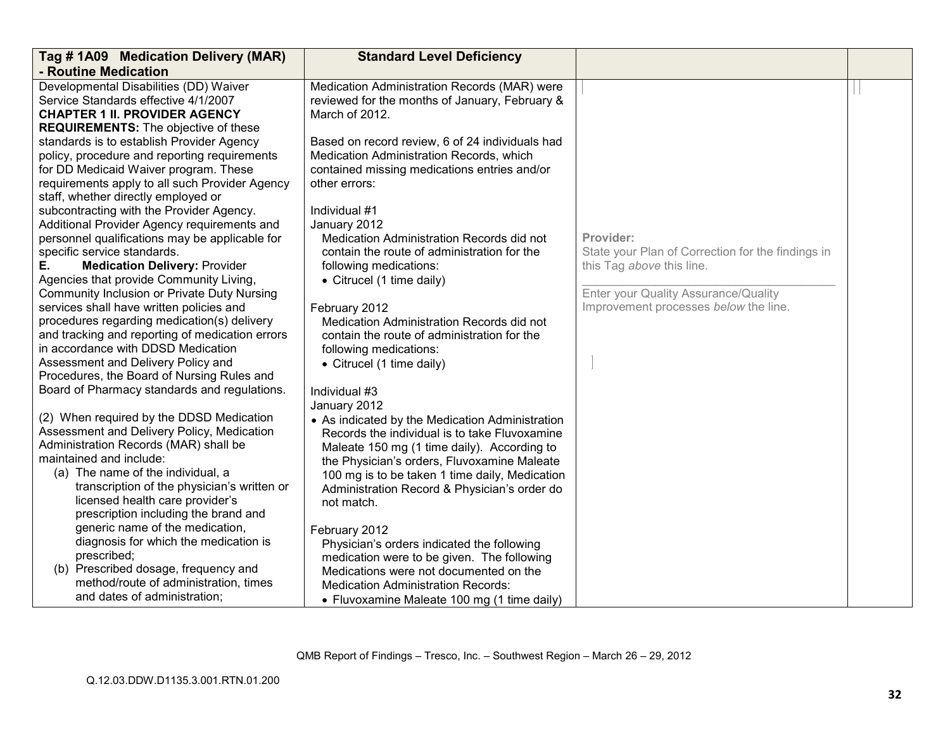| Tag # 1A09 Medication Delivery (MAR)            | <b>Standard Level Deficiency</b>                |                                                   |  |
|-------------------------------------------------|-------------------------------------------------|---------------------------------------------------|--|
| - Routine Medication                            |                                                 |                                                   |  |
| Developmental Disabilities (DD) Waiver          | Medication Administration Records (MAR) were    |                                                   |  |
| Service Standards effective 4/1/2007            | reviewed for the months of January, February &  |                                                   |  |
| <b>CHAPTER 1 II. PROVIDER AGENCY</b>            | March of 2012.                                  |                                                   |  |
| <b>REQUIREMENTS:</b> The objective of these     |                                                 |                                                   |  |
| standards is to establish Provider Agency       | Based on record review, 6 of 24 individuals had |                                                   |  |
| policy, procedure and reporting requirements    | Medication Administration Records, which        |                                                   |  |
| for DD Medicaid Waiver program. These           | contained missing medications entries and/or    |                                                   |  |
| requirements apply to all such Provider Agency  | other errors:                                   |                                                   |  |
| staff, whether directly employed or             |                                                 |                                                   |  |
| subcontracting with the Provider Agency.        | Individual #1                                   |                                                   |  |
| Additional Provider Agency requirements and     | January 2012                                    |                                                   |  |
| personnel qualifications may be applicable for  | Medication Administration Records did not       | Provider:                                         |  |
| specific service standards.                     | contain the route of administration for the     | State your Plan of Correction for the findings in |  |
| Е.<br><b>Medication Delivery: Provider</b>      | following medications:                          | this Tag above this line.                         |  |
| Agencies that provide Community Living,         | • Citrucel (1 time daily)                       |                                                   |  |
| Community Inclusion or Private Duty Nursing     |                                                 | Enter your Quality Assurance/Quality              |  |
| services shall have written policies and        | February 2012                                   | Improvement processes below the line.             |  |
| procedures regarding medication(s) delivery     | Medication Administration Records did not       |                                                   |  |
| and tracking and reporting of medication errors | contain the route of administration for the     |                                                   |  |
| in accordance with DDSD Medication              | following medications:                          |                                                   |  |
| Assessment and Delivery Policy and              | • Citrucel (1 time daily)                       |                                                   |  |
| Procedures, the Board of Nursing Rules and      |                                                 |                                                   |  |
| Board of Pharmacy standards and regulations.    | Individual #3                                   |                                                   |  |
|                                                 | January 2012                                    |                                                   |  |
| (2) When required by the DDSD Medication        | • As indicated by the Medication Administration |                                                   |  |
| Assessment and Delivery Policy, Medication      | Records the individual is to take Fluvoxamine   |                                                   |  |
| Administration Records (MAR) shall be           | Maleate 150 mg (1 time daily). According to     |                                                   |  |
| maintained and include:                         | the Physician's orders, Fluvoxamine Maleate     |                                                   |  |
| (a) The name of the individual, a               | 100 mg is to be taken 1 time daily, Medication  |                                                   |  |
| transcription of the physician's written or     | Administration Record & Physician's order do    |                                                   |  |
| licensed health care provider's                 | not match.                                      |                                                   |  |
| prescription including the brand and            |                                                 |                                                   |  |
| generic name of the medication,                 | February 2012                                   |                                                   |  |
| diagnosis for which the medication is           | Physician's orders indicated the following      |                                                   |  |
| prescribed;                                     | medication were to be given. The following      |                                                   |  |
| (b) Prescribed dosage, frequency and            | Medications were not documented on the          |                                                   |  |
| method/route of administration, times           | <b>Medication Administration Records:</b>       |                                                   |  |
| and dates of administration;                    | • Fluvoxamine Maleate 100 mg (1 time daily)     |                                                   |  |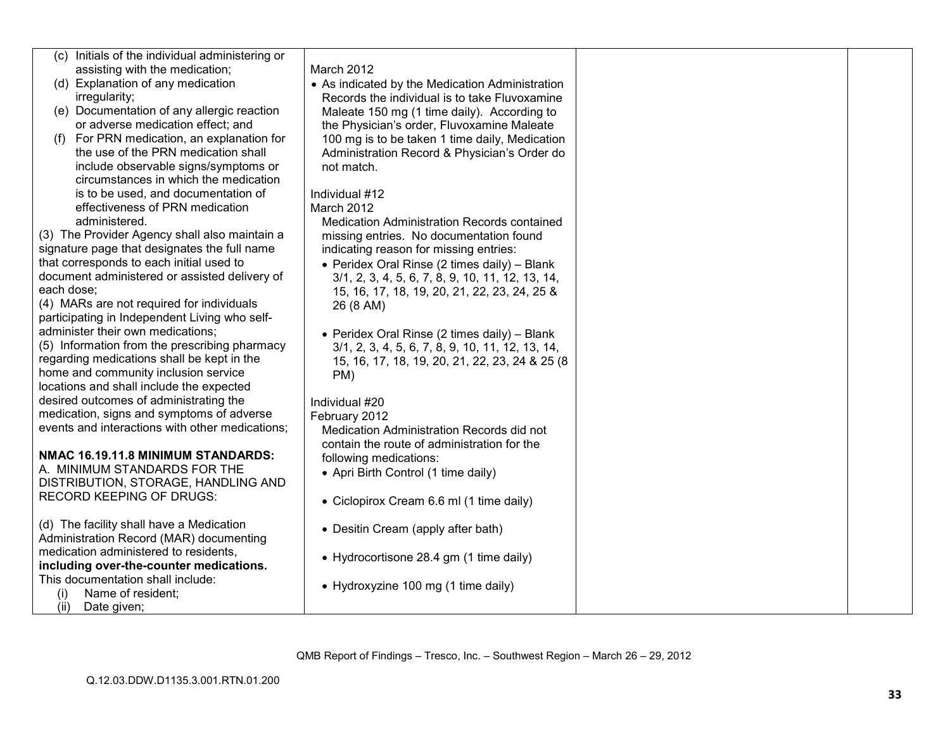| (c) Initials of the individual administering or |                                                  |  |
|-------------------------------------------------|--------------------------------------------------|--|
| assisting with the medication;                  | March 2012                                       |  |
| (d) Explanation of any medication               | • As indicated by the Medication Administration  |  |
| irregularity;                                   | Records the individual is to take Fluvoxamine    |  |
| (e) Documentation of any allergic reaction      | Maleate 150 mg (1 time daily). According to      |  |
| or adverse medication effect; and               | the Physician's order, Fluvoxamine Maleate       |  |
| For PRN medication, an explanation for<br>(1)   | 100 mg is to be taken 1 time daily, Medication   |  |
| the use of the PRN medication shall             | Administration Record & Physician's Order do     |  |
| include observable signs/symptoms or            | not match.                                       |  |
| circumstances in which the medication           |                                                  |  |
| is to be used, and documentation of             | Individual #12                                   |  |
| effectiveness of PRN medication                 | March 2012                                       |  |
| administered.                                   | Medication Administration Records contained      |  |
| (3) The Provider Agency shall also maintain a   | missing entries. No documentation found          |  |
| signature page that designates the full name    | indicating reason for missing entries:           |  |
| that corresponds to each initial used to        | • Peridex Oral Rinse (2 times daily) - Blank     |  |
| document administered or assisted delivery of   | 3/1, 2, 3, 4, 5, 6, 7, 8, 9, 10, 11, 12, 13, 14, |  |
| each dose;                                      | 15, 16, 17, 18, 19, 20, 21, 22, 23, 24, 25 &     |  |
| (4) MARs are not required for individuals       | 26 (8 AM)                                        |  |
| participating in Independent Living who self-   |                                                  |  |
| administer their own medications;               | • Peridex Oral Rinse (2 times daily) - Blank     |  |
| (5) Information from the prescribing pharmacy   | 3/1, 2, 3, 4, 5, 6, 7, 8, 9, 10, 11, 12, 13, 14, |  |
| regarding medications shall be kept in the      | 15, 16, 17, 18, 19, 20, 21, 22, 23, 24 & 25 (8)  |  |
| home and community inclusion service            | PM)                                              |  |
| locations and shall include the expected        |                                                  |  |
| desired outcomes of administrating the          | Individual #20                                   |  |
| medication, signs and symptoms of adverse       | February 2012                                    |  |
| events and interactions with other medications; | Medication Administration Records did not        |  |
|                                                 | contain the route of administration for the      |  |
| NMAC 16.19.11.8 MINIMUM STANDARDS:              | following medications:                           |  |
| A. MINIMUM STANDARDS FOR THE                    |                                                  |  |
| DISTRIBUTION, STORAGE, HANDLING AND             | • Apri Birth Control (1 time daily)              |  |
| <b>RECORD KEEPING OF DRUGS:</b>                 |                                                  |  |
|                                                 | • Ciclopirox Cream 6.6 ml (1 time daily)         |  |
| (d) The facility shall have a Medication        |                                                  |  |
| Administration Record (MAR) documenting         | • Desitin Cream (apply after bath)               |  |
| medication administered to residents,           |                                                  |  |
| including over-the-counter medications.         | • Hydrocortisone 28.4 gm (1 time daily)          |  |
| This documentation shall include:               |                                                  |  |
| Name of resident;<br>(i)                        | • Hydroxyzine 100 mg (1 time daily)              |  |
| (ii)<br>Date given;                             |                                                  |  |
|                                                 |                                                  |  |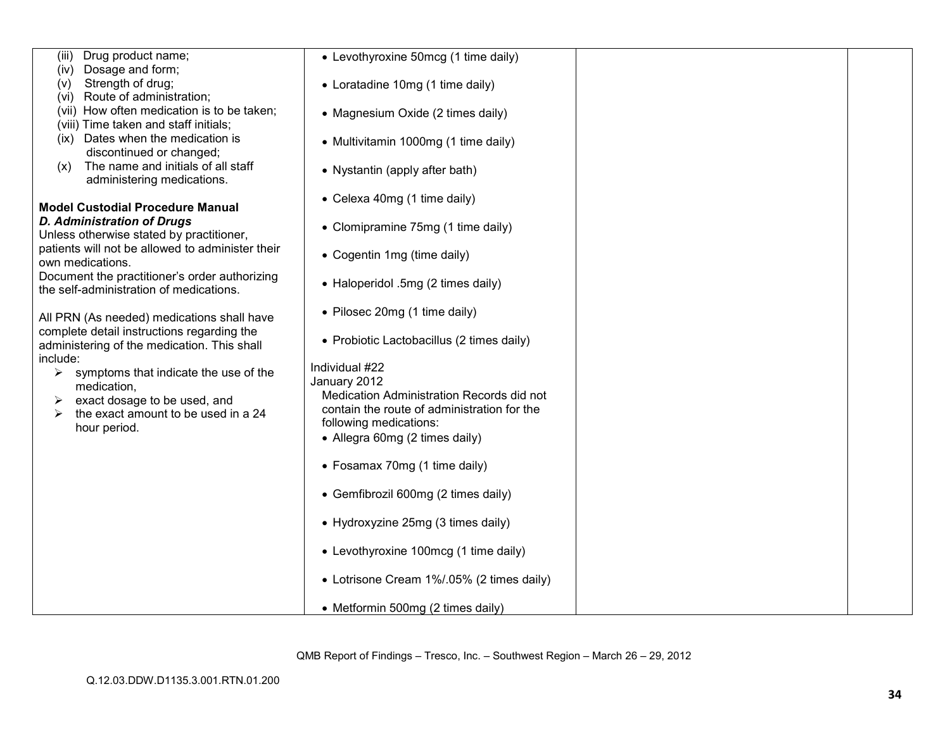| Drug product name;<br>(iii)                                                               | • Levothyroxine 50mcg (1 time daily)                      |  |
|-------------------------------------------------------------------------------------------|-----------------------------------------------------------|--|
| Dosage and form;<br>(iv)<br>Strength of drug;                                             |                                                           |  |
| (V)<br>Route of administration;<br>(vi)                                                   | • Loratadine 10mg (1 time daily)                          |  |
| (vii) How often medication is to be taken;                                                | • Magnesium Oxide (2 times daily)                         |  |
| (viii) Time taken and staff initials;                                                     |                                                           |  |
| (ix) Dates when the medication is                                                         | • Multivitamin 1000mg (1 time daily)                      |  |
| discontinued or changed;                                                                  |                                                           |  |
| The name and initials of all staff<br>(x)<br>administering medications.                   | • Nystantin (apply after bath)                            |  |
|                                                                                           |                                                           |  |
| <b>Model Custodial Procedure Manual</b>                                                   | • Celexa 40mg (1 time daily)                              |  |
| <b>D. Administration of Drugs</b>                                                         | • Clomipramine 75mg (1 time daily)                        |  |
| Unless otherwise stated by practitioner,                                                  |                                                           |  |
| patients will not be allowed to administer their<br>own medications.                      | • Cogentin 1mg (time daily)                               |  |
| Document the practitioner's order authorizing                                             |                                                           |  |
| the self-administration of medications.                                                   | • Haloperidol .5mg (2 times daily)                        |  |
|                                                                                           | • Pilosec 20mg (1 time daily)                             |  |
| All PRN (As needed) medications shall have                                                |                                                           |  |
| complete detail instructions regarding the<br>administering of the medication. This shall | • Probiotic Lactobacillus (2 times daily)                 |  |
| include:                                                                                  |                                                           |  |
| symptoms that indicate the use of the<br>➤                                                | Individual #22                                            |  |
| medication,                                                                               | January 2012<br>Medication Administration Records did not |  |
| exact dosage to be used, and                                                              | contain the route of administration for the               |  |
| the exact amount to be used in a 24<br>⋗<br>hour period.                                  | following medications:                                    |  |
|                                                                                           | • Allegra 60mg (2 times daily)                            |  |
|                                                                                           |                                                           |  |
|                                                                                           | • Fosamax 70mg (1 time daily)                             |  |
|                                                                                           | • Gemfibrozil 600mg (2 times daily)                       |  |
|                                                                                           |                                                           |  |
|                                                                                           | • Hydroxyzine 25mg (3 times daily)                        |  |
|                                                                                           |                                                           |  |
|                                                                                           | • Levothyroxine 100mcg (1 time daily)                     |  |
|                                                                                           | • Lotrisone Cream 1%/.05% (2 times daily)                 |  |
|                                                                                           | • Metformin 500mg (2 times daily)                         |  |
|                                                                                           |                                                           |  |

QMB Report of Findings – Tresco, Inc. – Southwest Region – March 26 – 29, 2012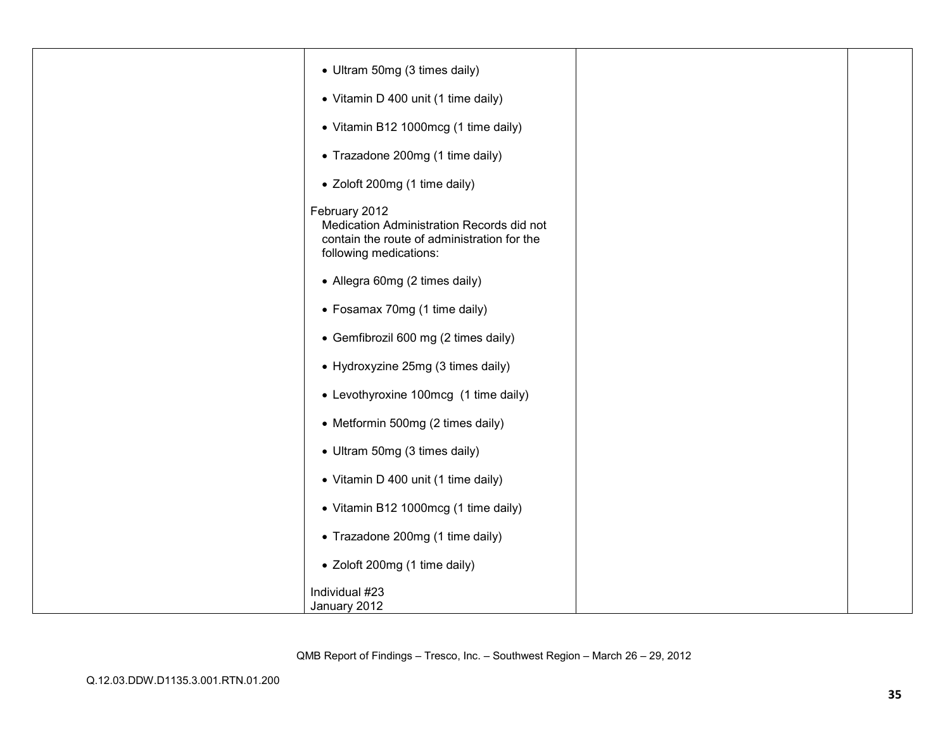| • Ultram 50mg (3 times daily)                                                                                                       |  |
|-------------------------------------------------------------------------------------------------------------------------------------|--|
| • Vitamin D 400 unit (1 time daily)                                                                                                 |  |
| • Vitamin B12 1000mcg (1 time daily)                                                                                                |  |
| • Trazadone 200mg (1 time daily)                                                                                                    |  |
| • Zoloft 200mg (1 time daily)                                                                                                       |  |
| February 2012<br>Medication Administration Records did not<br>contain the route of administration for the<br>following medications: |  |
| • Allegra 60mg (2 times daily)                                                                                                      |  |
| • Fosamax 70mg (1 time daily)                                                                                                       |  |
| • Gemfibrozil 600 mg (2 times daily)                                                                                                |  |
| • Hydroxyzine 25mg (3 times daily)                                                                                                  |  |
| • Levothyroxine 100mcg (1 time daily)                                                                                               |  |
| • Metformin 500mg (2 times daily)                                                                                                   |  |
| • Ultram 50mg (3 times daily)                                                                                                       |  |
| • Vitamin D 400 unit (1 time daily)                                                                                                 |  |
| • Vitamin B12 1000mcg (1 time daily)                                                                                                |  |
| • Trazadone 200mg (1 time daily)                                                                                                    |  |
| • Zoloft 200mg (1 time daily)                                                                                                       |  |
| Individual #23<br>January 2012                                                                                                      |  |

QMB Report of Findings – Tresco, Inc. – Southwest Region – March 26 – 29, 2012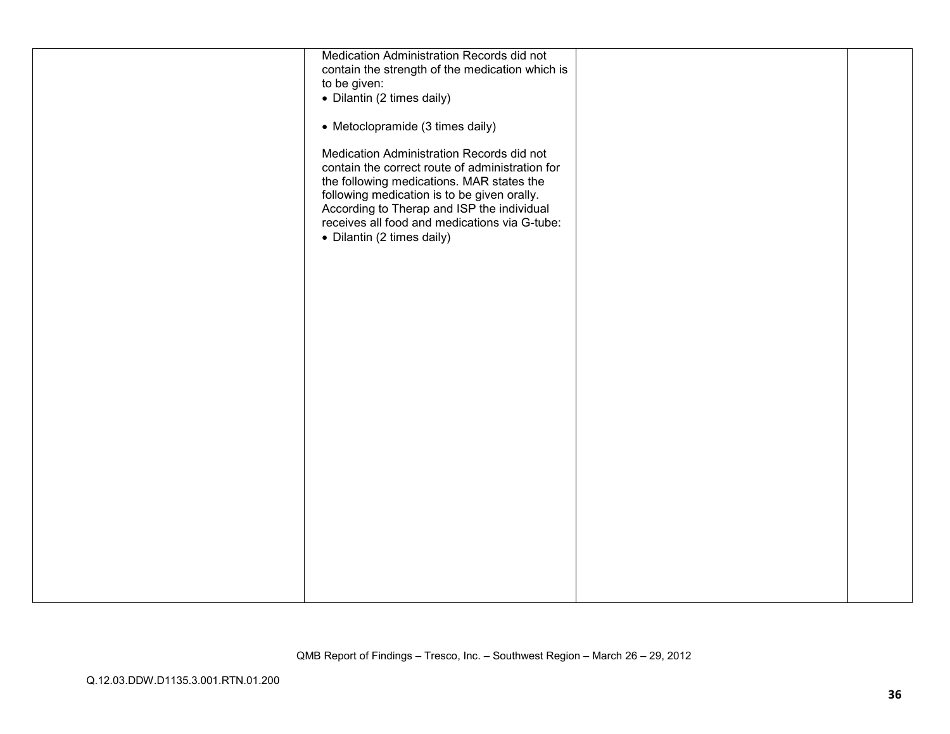| Medication Administration Records did not<br>contain the strength of the medication which is                                                                                                                                                                                                                          |  |
|-----------------------------------------------------------------------------------------------------------------------------------------------------------------------------------------------------------------------------------------------------------------------------------------------------------------------|--|
| to be given:<br>• Dilantin (2 times daily)                                                                                                                                                                                                                                                                            |  |
| • Metoclopramide (3 times daily)                                                                                                                                                                                                                                                                                      |  |
| Medication Administration Records did not<br>contain the correct route of administration for<br>the following medications. MAR states the<br>following medication is to be given orally.<br>According to Therap and ISP the individual<br>receives all food and medications via G-tube:<br>• Dilantin (2 times daily) |  |
|                                                                                                                                                                                                                                                                                                                       |  |
|                                                                                                                                                                                                                                                                                                                       |  |
|                                                                                                                                                                                                                                                                                                                       |  |
|                                                                                                                                                                                                                                                                                                                       |  |
|                                                                                                                                                                                                                                                                                                                       |  |
|                                                                                                                                                                                                                                                                                                                       |  |
|                                                                                                                                                                                                                                                                                                                       |  |
|                                                                                                                                                                                                                                                                                                                       |  |
|                                                                                                                                                                                                                                                                                                                       |  |
|                                                                                                                                                                                                                                                                                                                       |  |
|                                                                                                                                                                                                                                                                                                                       |  |
|                                                                                                                                                                                                                                                                                                                       |  |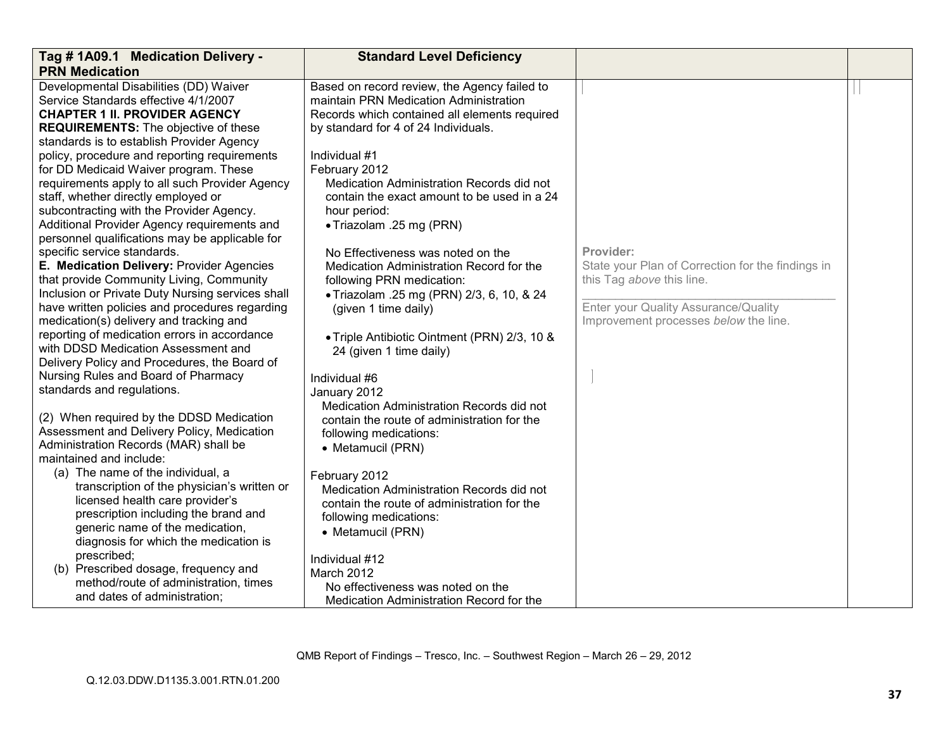| Tag # 1A09.1 Medication Delivery -               | <b>Standard Level Deficiency</b>              |                                                   |  |
|--------------------------------------------------|-----------------------------------------------|---------------------------------------------------|--|
| <b>PRN Medication</b>                            |                                               |                                                   |  |
| Developmental Disabilities (DD) Waiver           | Based on record review, the Agency failed to  |                                                   |  |
| Service Standards effective 4/1/2007             | maintain PRN Medication Administration        |                                                   |  |
| <b>CHAPTER 1 II. PROVIDER AGENCY</b>             | Records which contained all elements required |                                                   |  |
| <b>REQUIREMENTS:</b> The objective of these      | by standard for 4 of 24 Individuals.          |                                                   |  |
| standards is to establish Provider Agency        |                                               |                                                   |  |
| policy, procedure and reporting requirements     | Individual #1                                 |                                                   |  |
| for DD Medicaid Waiver program. These            | February 2012                                 |                                                   |  |
| requirements apply to all such Provider Agency   | Medication Administration Records did not     |                                                   |  |
| staff, whether directly employed or              | contain the exact amount to be used in a 24   |                                                   |  |
| subcontracting with the Provider Agency.         | hour period:                                  |                                                   |  |
| Additional Provider Agency requirements and      | • Triazolam .25 mg (PRN)                      |                                                   |  |
| personnel qualifications may be applicable for   |                                               |                                                   |  |
| specific service standards.                      | No Effectiveness was noted on the             | Provider:                                         |  |
| E. Medication Delivery: Provider Agencies        | Medication Administration Record for the      | State your Plan of Correction for the findings in |  |
| that provide Community Living, Community         | following PRN medication:                     | this Tag above this line.                         |  |
| Inclusion or Private Duty Nursing services shall | · Triazolam .25 mg (PRN) 2/3, 6, 10, & 24     |                                                   |  |
| have written policies and procedures regarding   | (given 1 time daily)                          | Enter your Quality Assurance/Quality              |  |
| medication(s) delivery and tracking and          |                                               | Improvement processes below the line.             |  |
| reporting of medication errors in accordance     | • Triple Antibiotic Ointment (PRN) 2/3, 10 &  |                                                   |  |
| with DDSD Medication Assessment and              | 24 (given 1 time daily)                       |                                                   |  |
| Delivery Policy and Procedures, the Board of     |                                               |                                                   |  |
| Nursing Rules and Board of Pharmacy              | Individual #6                                 |                                                   |  |
| standards and regulations.                       | January 2012                                  |                                                   |  |
|                                                  | Medication Administration Records did not     |                                                   |  |
| (2) When required by the DDSD Medication         | contain the route of administration for the   |                                                   |  |
| Assessment and Delivery Policy, Medication       | following medications:                        |                                                   |  |
| Administration Records (MAR) shall be            | • Metamucil (PRN)                             |                                                   |  |
| maintained and include:                          |                                               |                                                   |  |
| (a) The name of the individual, a                | February 2012                                 |                                                   |  |
| transcription of the physician's written or      | Medication Administration Records did not     |                                                   |  |
| licensed health care provider's                  | contain the route of administration for the   |                                                   |  |
| prescription including the brand and             | following medications:                        |                                                   |  |
| generic name of the medication,                  |                                               |                                                   |  |
| diagnosis for which the medication is            | • Metamucil (PRN)                             |                                                   |  |
| prescribed;                                      |                                               |                                                   |  |
| (b) Prescribed dosage, frequency and             | Individual #12                                |                                                   |  |
| method/route of administration, times            | March 2012                                    |                                                   |  |
| and dates of administration;                     | No effectiveness was noted on the             |                                                   |  |
|                                                  | Medication Administration Record for the      |                                                   |  |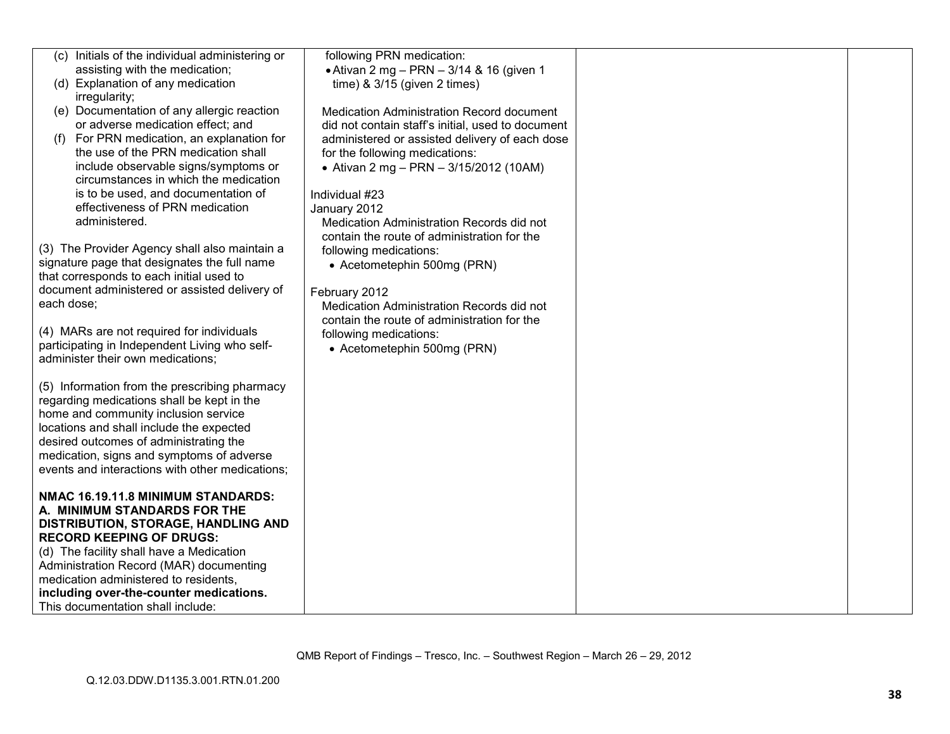|            | (c) Initials of the individual administering or | following PRN medication:                         |  |
|------------|-------------------------------------------------|---------------------------------------------------|--|
|            | assisting with the medication;                  | • Ativan 2 mg - PRN - 3/14 & 16 (given 1          |  |
|            | (d) Explanation of any medication               | time) $& 3/15$ (given 2 times)                    |  |
|            | irregularity;                                   |                                                   |  |
|            | (e) Documentation of any allergic reaction      | Medication Administration Record document         |  |
|            | or adverse medication effect; and               | did not contain staff's initial, used to document |  |
| (f)        | For PRN medication, an explanation for          | administered or assisted delivery of each dose    |  |
|            | the use of the PRN medication shall             | for the following medications:                    |  |
|            | include observable signs/symptoms or            | • Ativan 2 mg - PRN - 3/15/2012 (10AM)            |  |
|            | circumstances in which the medication           |                                                   |  |
|            | is to be used, and documentation of             | Individual #23                                    |  |
|            | effectiveness of PRN medication                 | January 2012                                      |  |
|            | administered.                                   | Medication Administration Records did not         |  |
|            |                                                 | contain the route of administration for the       |  |
|            | (3) The Provider Agency shall also maintain a   | following medications:                            |  |
|            | signature page that designates the full name    | • Acetometephin 500mg (PRN)                       |  |
|            | that corresponds to each initial used to        |                                                   |  |
|            | document administered or assisted delivery of   | February 2012                                     |  |
| each dose; |                                                 | Medication Administration Records did not         |  |
|            |                                                 | contain the route of administration for the       |  |
|            | (4) MARs are not required for individuals       | following medications:                            |  |
|            | participating in Independent Living who self-   | • Acetometephin 500mg (PRN)                       |  |
|            | administer their own medications;               |                                                   |  |
|            |                                                 |                                                   |  |
|            | (5) Information from the prescribing pharmacy   |                                                   |  |
|            | regarding medications shall be kept in the      |                                                   |  |
|            | home and community inclusion service            |                                                   |  |
|            | locations and shall include the expected        |                                                   |  |
|            | desired outcomes of administrating the          |                                                   |  |
|            | medication, signs and symptoms of adverse       |                                                   |  |
|            | events and interactions with other medications; |                                                   |  |
|            |                                                 |                                                   |  |
|            | NMAC 16.19.11.8 MINIMUM STANDARDS:              |                                                   |  |
|            | A. MINIMUM STANDARDS FOR THE                    |                                                   |  |
|            | DISTRIBUTION, STORAGE, HANDLING AND             |                                                   |  |
|            | <b>RECORD KEEPING OF DRUGS:</b>                 |                                                   |  |
|            | (d) The facility shall have a Medication        |                                                   |  |
|            | Administration Record (MAR) documenting         |                                                   |  |
|            | medication administered to residents.           |                                                   |  |
|            | including over-the-counter medications.         |                                                   |  |
|            | This documentation shall include:               |                                                   |  |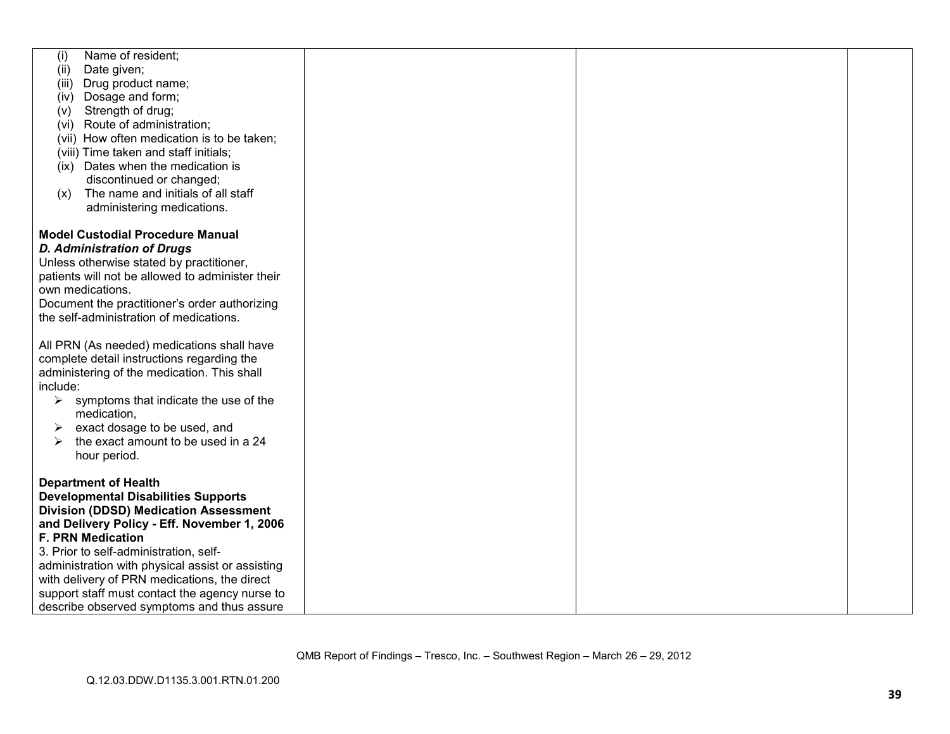| Name of resident;                                            |  |  |
|--------------------------------------------------------------|--|--|
| (i)                                                          |  |  |
| Date given;<br>(ii)                                          |  |  |
| Drug product name;<br>(iii)                                  |  |  |
| (iv) Dosage and form;                                        |  |  |
| Strength of drug;<br>(v)                                     |  |  |
| (vi) Route of administration;                                |  |  |
| (vii) How often medication is to be taken;                   |  |  |
| (viii) Time taken and staff initials;                        |  |  |
| (ix) Dates when the medication is                            |  |  |
| discontinued or changed;                                     |  |  |
|                                                              |  |  |
| The name and initials of all staff<br>(x)                    |  |  |
| administering medications.                                   |  |  |
|                                                              |  |  |
| <b>Model Custodial Procedure Manual</b>                      |  |  |
| <b>D. Administration of Drugs</b>                            |  |  |
| Unless otherwise stated by practitioner,                     |  |  |
| patients will not be allowed to administer their             |  |  |
| own medications.                                             |  |  |
| Document the practitioner's order authorizing                |  |  |
| the self-administration of medications.                      |  |  |
|                                                              |  |  |
| All PRN (As needed) medications shall have                   |  |  |
| complete detail instructions regarding the                   |  |  |
|                                                              |  |  |
| administering of the medication. This shall                  |  |  |
| include:                                                     |  |  |
| symptoms that indicate the use of the<br>➤                   |  |  |
| medication,                                                  |  |  |
| exact dosage to be used, and<br>➤                            |  |  |
| the exact amount to be used in a 24<br>$\blacktriangleright$ |  |  |
| hour period.                                                 |  |  |
|                                                              |  |  |
| <b>Department of Health</b>                                  |  |  |
| <b>Developmental Disabilities Supports</b>                   |  |  |
| <b>Division (DDSD) Medication Assessment</b>                 |  |  |
| and Delivery Policy - Eff. November 1, 2006                  |  |  |
| <b>F. PRN Medication</b>                                     |  |  |
| 3. Prior to self-administration, self-                       |  |  |
| administration with physical assist or assisting             |  |  |
| with delivery of PRN medications, the direct                 |  |  |
| support staff must contact the agency nurse to               |  |  |
|                                                              |  |  |
| describe observed symptoms and thus assure                   |  |  |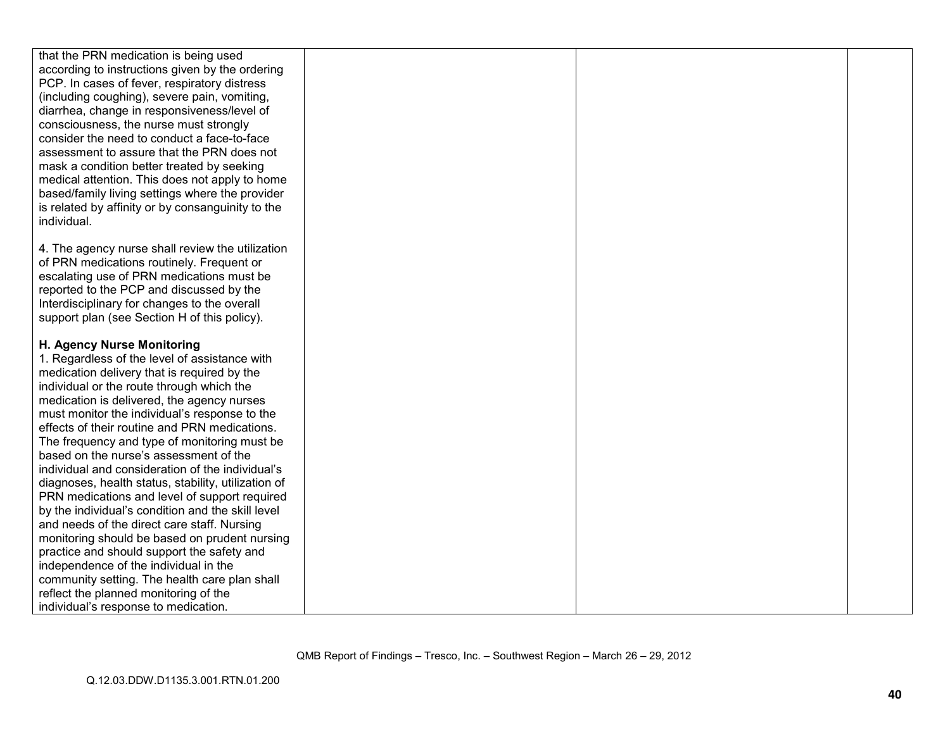| that the PRN medication is being used               |  |  |
|-----------------------------------------------------|--|--|
| according to instructions given by the ordering     |  |  |
| PCP. In cases of fever, respiratory distress        |  |  |
| (including coughing), severe pain, vomiting,        |  |  |
|                                                     |  |  |
| diarrhea, change in responsiveness/level of         |  |  |
| consciousness, the nurse must strongly              |  |  |
| consider the need to conduct a face-to-face         |  |  |
| assessment to assure that the PRN does not          |  |  |
| mask a condition better treated by seeking          |  |  |
| medical attention. This does not apply to home      |  |  |
| based/family living settings where the provider     |  |  |
| is related by affinity or by consanguinity to the   |  |  |
| individual.                                         |  |  |
|                                                     |  |  |
| 4. The agency nurse shall review the utilization    |  |  |
| of PRN medications routinely. Frequent or           |  |  |
| escalating use of PRN medications must be           |  |  |
| reported to the PCP and discussed by the            |  |  |
| Interdisciplinary for changes to the overall        |  |  |
| support plan (see Section H of this policy).        |  |  |
|                                                     |  |  |
| H. Agency Nurse Monitoring                          |  |  |
| 1. Regardless of the level of assistance with       |  |  |
| medication delivery that is required by the         |  |  |
| individual or the route through which the           |  |  |
| medication is delivered, the agency nurses          |  |  |
| must monitor the individual's response to the       |  |  |
| effects of their routine and PRN medications.       |  |  |
| The frequency and type of monitoring must be        |  |  |
| based on the nurse's assessment of the              |  |  |
| individual and consideration of the individual's    |  |  |
| diagnoses, health status, stability, utilization of |  |  |
| PRN medications and level of support required       |  |  |
| by the individual's condition and the skill level   |  |  |
| and needs of the direct care staff. Nursing         |  |  |
| monitoring should be based on prudent nursing       |  |  |
| practice and should support the safety and          |  |  |
| independence of the individual in the               |  |  |
| community setting. The health care plan shall       |  |  |
| reflect the planned monitoring of the               |  |  |
| individual's response to medication.                |  |  |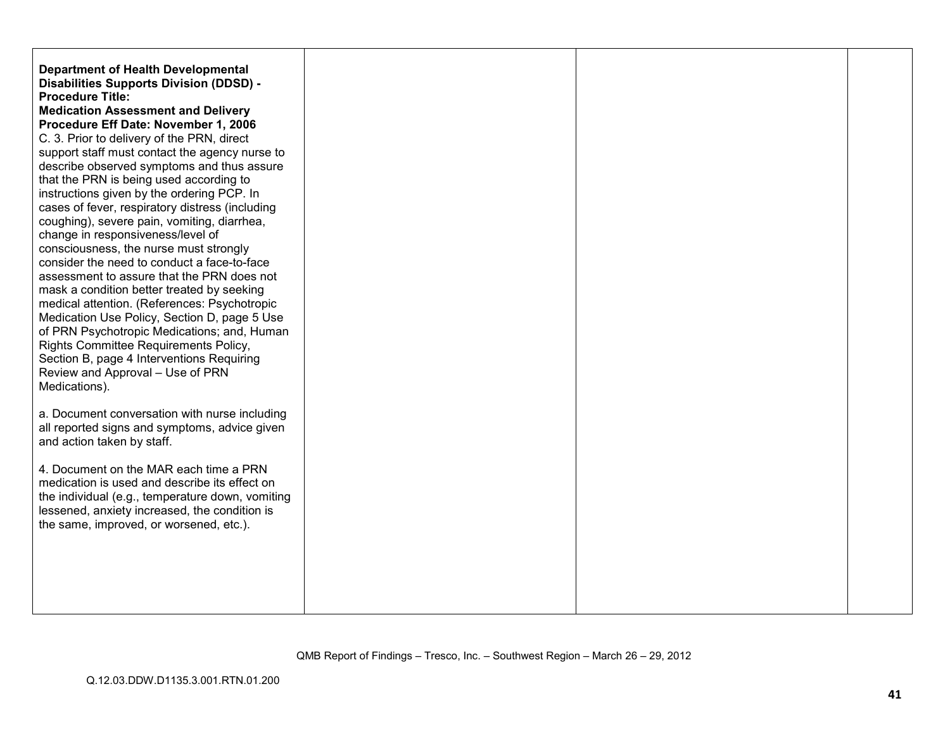| <b>Department of Health Developmental</b><br>Disabilities Supports Division (DDSD) -<br><b>Procedure Title:</b><br><b>Medication Assessment and Delivery</b><br>Procedure Eff Date: November 1, 2006<br>C. 3. Prior to delivery of the PRN, direct<br>support staff must contact the agency nurse to<br>describe observed symptoms and thus assure<br>that the PRN is being used according to<br>instructions given by the ordering PCP. In<br>cases of fever, respiratory distress (including<br>coughing), severe pain, vomiting, diarrhea,<br>change in responsiveness/level of<br>consciousness, the nurse must strongly<br>consider the need to conduct a face-to-face<br>assessment to assure that the PRN does not<br>mask a condition better treated by seeking<br>medical attention. (References: Psychotropic<br>Medication Use Policy, Section D, page 5 Use<br>of PRN Psychotropic Medications; and, Human<br>Rights Committee Requirements Policy,<br>Section B, page 4 Interventions Requiring<br>Review and Approval - Use of PRN<br>Medications).<br>a. Document conversation with nurse including<br>all reported signs and symptoms, advice given<br>and action taken by staff.<br>4. Document on the MAR each time a PRN |  |  |
|---------------------------------------------------------------------------------------------------------------------------------------------------------------------------------------------------------------------------------------------------------------------------------------------------------------------------------------------------------------------------------------------------------------------------------------------------------------------------------------------------------------------------------------------------------------------------------------------------------------------------------------------------------------------------------------------------------------------------------------------------------------------------------------------------------------------------------------------------------------------------------------------------------------------------------------------------------------------------------------------------------------------------------------------------------------------------------------------------------------------------------------------------------------------------------------------------------------------------------------------|--|--|
| medication is used and describe its effect on<br>the individual (e.g., temperature down, vomiting<br>lessened, anxiety increased, the condition is<br>the same, improved, or worsened, etc.).                                                                                                                                                                                                                                                                                                                                                                                                                                                                                                                                                                                                                                                                                                                                                                                                                                                                                                                                                                                                                                               |  |  |
|                                                                                                                                                                                                                                                                                                                                                                                                                                                                                                                                                                                                                                                                                                                                                                                                                                                                                                                                                                                                                                                                                                                                                                                                                                             |  |  |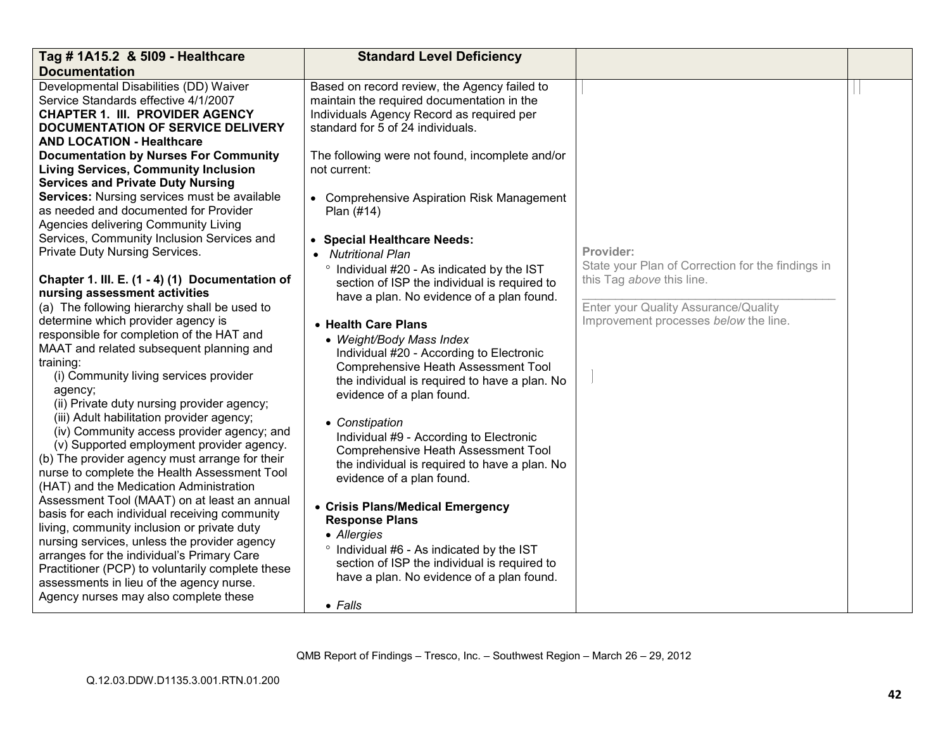| Tag # 1A15.2 & 5109 - Healthcare                                                                                                                                                                                                                                                                                                                                                                                                                                                                                                                                                                                                                                                                                                                                                                                                                                                                                                                                                                                                                                                                                                                                                                                                                                                                                                                                                                                                                                                                                                                                                                                                                            | <b>Standard Level Deficiency</b>                                                                                                                                                                                                                                                                                                                                                                                                                                                                                                                                                                                                                                                                                                                                                                                                                                                                                                                                                                                                                                                                                                                                         |                                                                                                                                                                              |  |
|-------------------------------------------------------------------------------------------------------------------------------------------------------------------------------------------------------------------------------------------------------------------------------------------------------------------------------------------------------------------------------------------------------------------------------------------------------------------------------------------------------------------------------------------------------------------------------------------------------------------------------------------------------------------------------------------------------------------------------------------------------------------------------------------------------------------------------------------------------------------------------------------------------------------------------------------------------------------------------------------------------------------------------------------------------------------------------------------------------------------------------------------------------------------------------------------------------------------------------------------------------------------------------------------------------------------------------------------------------------------------------------------------------------------------------------------------------------------------------------------------------------------------------------------------------------------------------------------------------------------------------------------------------------|--------------------------------------------------------------------------------------------------------------------------------------------------------------------------------------------------------------------------------------------------------------------------------------------------------------------------------------------------------------------------------------------------------------------------------------------------------------------------------------------------------------------------------------------------------------------------------------------------------------------------------------------------------------------------------------------------------------------------------------------------------------------------------------------------------------------------------------------------------------------------------------------------------------------------------------------------------------------------------------------------------------------------------------------------------------------------------------------------------------------------------------------------------------------------|------------------------------------------------------------------------------------------------------------------------------------------------------------------------------|--|
| <b>Documentation</b><br>Developmental Disabilities (DD) Waiver<br>Service Standards effective 4/1/2007<br><b>CHAPTER 1. III. PROVIDER AGENCY</b><br><b>DOCUMENTATION OF SERVICE DELIVERY</b><br><b>AND LOCATION - Healthcare</b><br><b>Documentation by Nurses For Community</b><br><b>Living Services, Community Inclusion</b><br><b>Services and Private Duty Nursing</b><br>Services: Nursing services must be available<br>as needed and documented for Provider<br>Agencies delivering Community Living<br>Services, Community Inclusion Services and<br>Private Duty Nursing Services.<br>Chapter 1. III. E. (1 - 4) (1) Documentation of<br>nursing assessment activities<br>(a) The following hierarchy shall be used to<br>determine which provider agency is<br>responsible for completion of the HAT and<br>MAAT and related subsequent planning and<br>training:<br>(i) Community living services provider<br>agency;<br>(ii) Private duty nursing provider agency;<br>(iii) Adult habilitation provider agency;<br>(iv) Community access provider agency; and<br>(v) Supported employment provider agency.<br>(b) The provider agency must arrange for their<br>nurse to complete the Health Assessment Tool<br>(HAT) and the Medication Administration<br>Assessment Tool (MAAT) on at least an annual<br>basis for each individual receiving community<br>living, community inclusion or private duty<br>nursing services, unless the provider agency<br>arranges for the individual's Primary Care<br>Practitioner (PCP) to voluntarily complete these<br>assessments in lieu of the agency nurse.<br>Agency nurses may also complete these | Based on record review, the Agency failed to<br>maintain the required documentation in the<br>Individuals Agency Record as required per<br>standard for 5 of 24 individuals.<br>The following were not found, incomplete and/or<br>not current:<br>• Comprehensive Aspiration Risk Management<br>Plan (#14)<br>• Special Healthcare Needs:<br>• Nutritional Plan<br>° Individual #20 - As indicated by the IST<br>section of ISP the individual is required to<br>have a plan. No evidence of a plan found.<br>• Health Care Plans<br>• Weight/Body Mass Index<br>Individual #20 - According to Electronic<br><b>Comprehensive Heath Assessment Tool</b><br>the individual is required to have a plan. No<br>evidence of a plan found.<br>• Constipation<br>Individual #9 - According to Electronic<br><b>Comprehensive Heath Assessment Tool</b><br>the individual is required to have a plan. No<br>evidence of a plan found.<br>• Crisis Plans/Medical Emergency<br><b>Response Plans</b><br>• Allergies<br>° Individual #6 - As indicated by the IST<br>section of ISP the individual is required to<br>have a plan. No evidence of a plan found.<br>$\bullet$ Falls | Provider:<br>State your Plan of Correction for the findings in<br>this Tag above this line.<br>Enter your Quality Assurance/Quality<br>Improvement processes below the line. |  |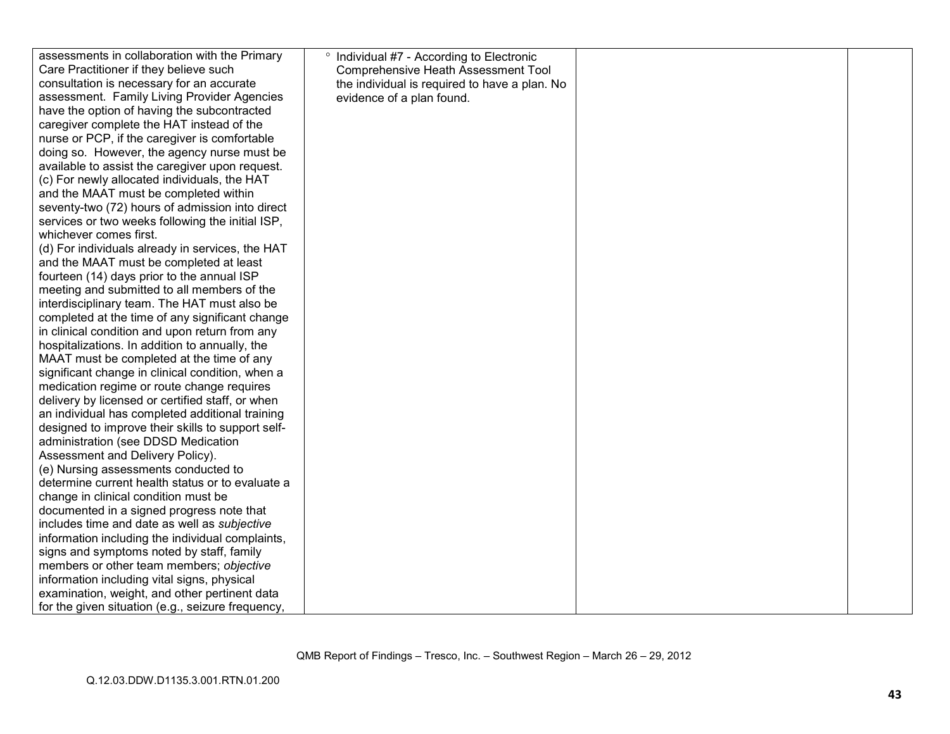| assessments in collaboration with the Primary     | Individual #7 - According to Electronic<br>$\circ$ |  |
|---------------------------------------------------|----------------------------------------------------|--|
| Care Practitioner if they believe such            | <b>Comprehensive Heath Assessment Tool</b>         |  |
| consultation is necessary for an accurate         | the individual is required to have a plan. No      |  |
| assessment. Family Living Provider Agencies       | evidence of a plan found.                          |  |
| have the option of having the subcontracted       |                                                    |  |
| caregiver complete the HAT instead of the         |                                                    |  |
| nurse or PCP, if the caregiver is comfortable     |                                                    |  |
| doing so. However, the agency nurse must be       |                                                    |  |
| available to assist the caregiver upon request.   |                                                    |  |
| (c) For newly allocated individuals, the HAT      |                                                    |  |
| and the MAAT must be completed within             |                                                    |  |
| seventy-two (72) hours of admission into direct   |                                                    |  |
| services or two weeks following the initial ISP,  |                                                    |  |
| whichever comes first.                            |                                                    |  |
| (d) For individuals already in services, the HAT  |                                                    |  |
| and the MAAT must be completed at least           |                                                    |  |
| fourteen (14) days prior to the annual ISP        |                                                    |  |
| meeting and submitted to all members of the       |                                                    |  |
| interdisciplinary team. The HAT must also be      |                                                    |  |
| completed at the time of any significant change   |                                                    |  |
| in clinical condition and upon return from any    |                                                    |  |
| hospitalizations. In addition to annually, the    |                                                    |  |
| MAAT must be completed at the time of any         |                                                    |  |
| significant change in clinical condition, when a  |                                                    |  |
| medication regime or route change requires        |                                                    |  |
| delivery by licensed or certified staff, or when  |                                                    |  |
| an individual has completed additional training   |                                                    |  |
| designed to improve their skills to support self- |                                                    |  |
| administration (see DDSD Medication               |                                                    |  |
| Assessment and Delivery Policy).                  |                                                    |  |
| (e) Nursing assessments conducted to              |                                                    |  |
| determine current health status or to evaluate a  |                                                    |  |
| change in clinical condition must be              |                                                    |  |
| documented in a signed progress note that         |                                                    |  |
| includes time and date as well as subjective      |                                                    |  |
| information including the individual complaints,  |                                                    |  |
| signs and symptoms noted by staff, family         |                                                    |  |
| members or other team members; objective          |                                                    |  |
| information including vital signs, physical       |                                                    |  |
| examination, weight, and other pertinent data     |                                                    |  |
| for the given situation (e.g., seizure frequency, |                                                    |  |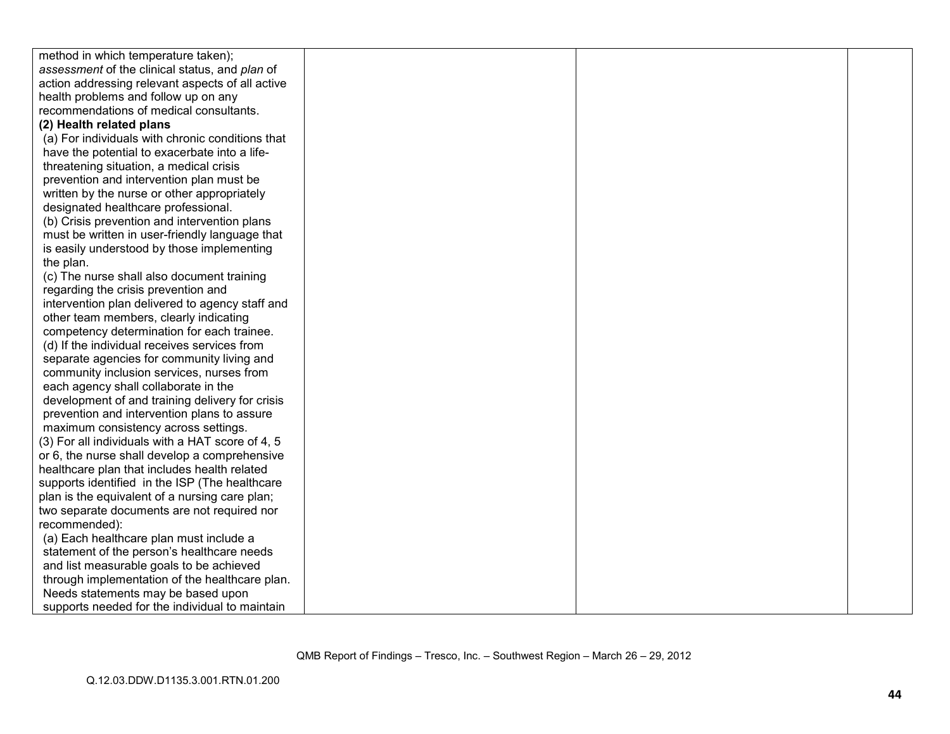| method in which temperature taken);              |  |  |
|--------------------------------------------------|--|--|
| assessment of the clinical status, and plan of   |  |  |
| action addressing relevant aspects of all active |  |  |
| health problems and follow up on any             |  |  |
| recommendations of medical consultants.          |  |  |
| (2) Health related plans                         |  |  |
| (a) For individuals with chronic conditions that |  |  |
| have the potential to exacerbate into a life-    |  |  |
| threatening situation, a medical crisis          |  |  |
| prevention and intervention plan must be         |  |  |
| written by the nurse or other appropriately      |  |  |
| designated healthcare professional.              |  |  |
| (b) Crisis prevention and intervention plans     |  |  |
| must be written in user-friendly language that   |  |  |
| is easily understood by those implementing       |  |  |
| the plan.                                        |  |  |
| (c) The nurse shall also document training       |  |  |
| regarding the crisis prevention and              |  |  |
| intervention plan delivered to agency staff and  |  |  |
| other team members, clearly indicating           |  |  |
| competency determination for each trainee.       |  |  |
| (d) If the individual receives services from     |  |  |
| separate agencies for community living and       |  |  |
| community inclusion services, nurses from        |  |  |
| each agency shall collaborate in the             |  |  |
| development of and training delivery for crisis  |  |  |
| prevention and intervention plans to assure      |  |  |
| maximum consistency across settings.             |  |  |
| (3) For all individuals with a HAT score of 4, 5 |  |  |
| or 6, the nurse shall develop a comprehensive    |  |  |
| healthcare plan that includes health related     |  |  |
| supports identified in the ISP (The healthcare   |  |  |
| plan is the equivalent of a nursing care plan;   |  |  |
| two separate documents are not required nor      |  |  |
| recommended):                                    |  |  |
| (a) Each healthcare plan must include a          |  |  |
| statement of the person's healthcare needs       |  |  |
| and list measurable goals to be achieved         |  |  |
| through implementation of the healthcare plan.   |  |  |
| Needs statements may be based upon               |  |  |
| supports needed for the individual to maintain   |  |  |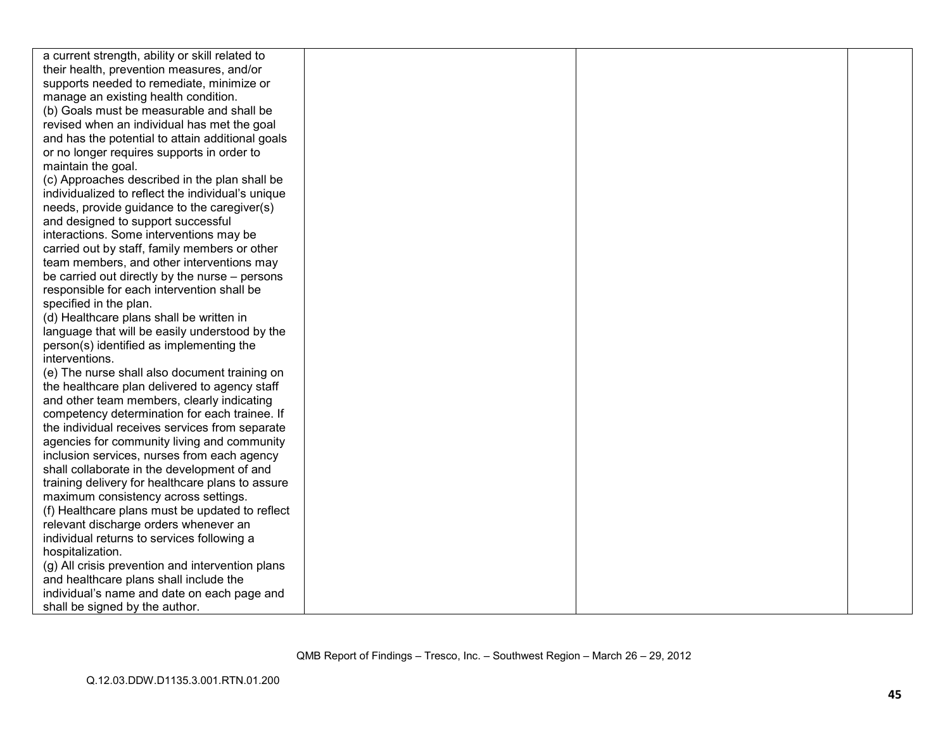| a current strength, ability or skill related to   |  |  |
|---------------------------------------------------|--|--|
| their health, prevention measures, and/or         |  |  |
| supports needed to remediate, minimize or         |  |  |
| manage an existing health condition.              |  |  |
| (b) Goals must be measurable and shall be         |  |  |
| revised when an individual has met the goal       |  |  |
| and has the potential to attain additional goals  |  |  |
| or no longer requires supports in order to        |  |  |
| maintain the goal.                                |  |  |
| (c) Approaches described in the plan shall be     |  |  |
| individualized to reflect the individual's unique |  |  |
| needs, provide guidance to the caregiver(s)       |  |  |
| and designed to support successful                |  |  |
| interactions. Some interventions may be           |  |  |
| carried out by staff, family members or other     |  |  |
| team members, and other interventions may         |  |  |
| be carried out directly by the nurse – persons    |  |  |
| responsible for each intervention shall be        |  |  |
| specified in the plan.                            |  |  |
| (d) Healthcare plans shall be written in          |  |  |
| language that will be easily understood by the    |  |  |
| person(s) identified as implementing the          |  |  |
| interventions.                                    |  |  |
| (e) The nurse shall also document training on     |  |  |
| the healthcare plan delivered to agency staff     |  |  |
| and other team members, clearly indicating        |  |  |
| competency determination for each trainee. If     |  |  |
| the individual receives services from separate    |  |  |
| agencies for community living and community       |  |  |
| inclusion services, nurses from each agency       |  |  |
| shall collaborate in the development of and       |  |  |
| training delivery for healthcare plans to assure  |  |  |
| maximum consistency across settings.              |  |  |
| (f) Healthcare plans must be updated to reflect   |  |  |
| relevant discharge orders whenever an             |  |  |
| individual returns to services following a        |  |  |
| hospitalization.                                  |  |  |
| (g) All crisis prevention and intervention plans  |  |  |
| and healthcare plans shall include the            |  |  |
| individual's name and date on each page and       |  |  |
| shall be signed by the author.                    |  |  |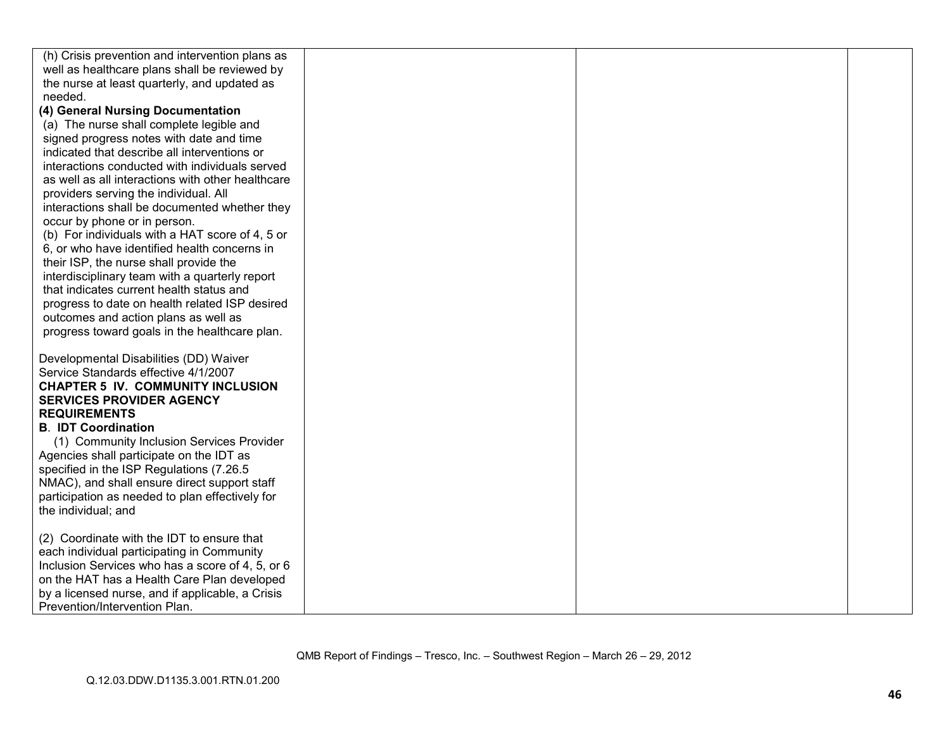| (h) Crisis prevention and intervention plans as   |  |  |
|---------------------------------------------------|--|--|
| well as healthcare plans shall be reviewed by     |  |  |
| the nurse at least quarterly, and updated as      |  |  |
| needed.                                           |  |  |
| (4) General Nursing Documentation                 |  |  |
| (a) The nurse shall complete legible and          |  |  |
| signed progress notes with date and time          |  |  |
| indicated that describe all interventions or      |  |  |
| interactions conducted with individuals served    |  |  |
| as well as all interactions with other healthcare |  |  |
| providers serving the individual. All             |  |  |
| interactions shall be documented whether they     |  |  |
| occur by phone or in person.                      |  |  |
| (b) For individuals with a HAT score of 4, 5 or   |  |  |
| 6, or who have identified health concerns in      |  |  |
| their ISP, the nurse shall provide the            |  |  |
| interdisciplinary team with a quarterly report    |  |  |
| that indicates current health status and          |  |  |
| progress to date on health related ISP desired    |  |  |
| outcomes and action plans as well as              |  |  |
| progress toward goals in the healthcare plan.     |  |  |
|                                                   |  |  |
| Developmental Disabilities (DD) Waiver            |  |  |
| Service Standards effective 4/1/2007              |  |  |
| <b>CHAPTER 5 IV. COMMUNITY INCLUSION</b>          |  |  |
| <b>SERVICES PROVIDER AGENCY</b>                   |  |  |
| <b>REQUIREMENTS</b>                               |  |  |
| <b>B. IDT Coordination</b>                        |  |  |
| (1) Community Inclusion Services Provider         |  |  |
| Agencies shall participate on the IDT as          |  |  |
| specified in the ISP Regulations (7.26.5)         |  |  |
| NMAC), and shall ensure direct support staff      |  |  |
| participation as needed to plan effectively for   |  |  |
| the individual; and                               |  |  |
|                                                   |  |  |
| (2) Coordinate with the IDT to ensure that        |  |  |
| each individual participating in Community        |  |  |
| Inclusion Services who has a score of 4, 5, or 6  |  |  |
| on the HAT has a Health Care Plan developed       |  |  |
| by a licensed nurse, and if applicable, a Crisis  |  |  |
| Prevention/Intervention Plan.                     |  |  |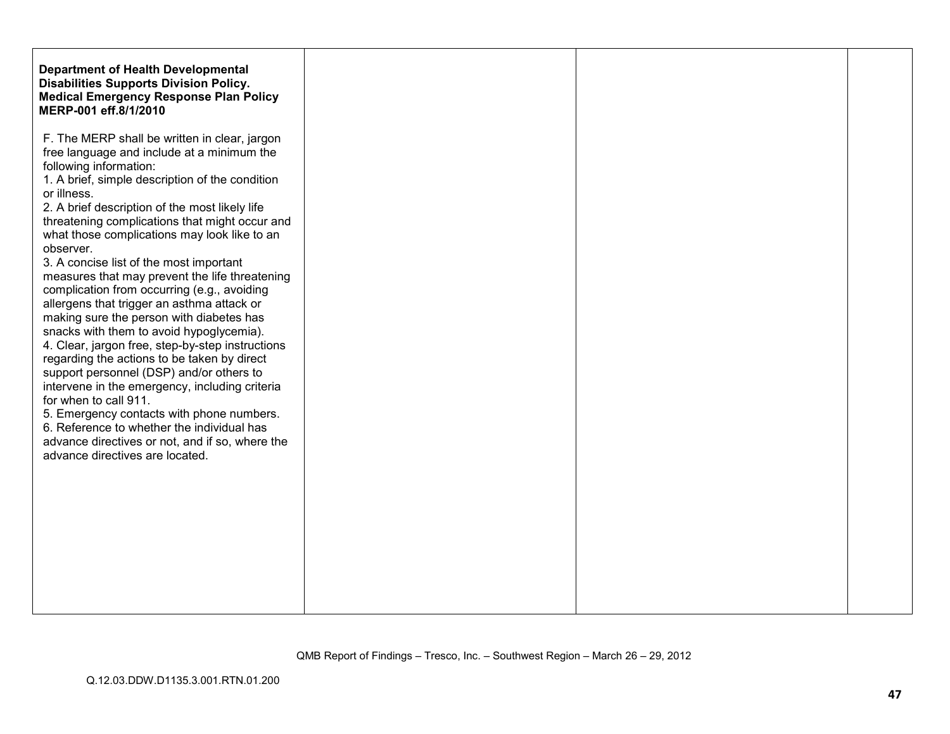| <b>Department of Health Developmental</b><br><b>Disabilities Supports Division Policy.</b><br><b>Medical Emergency Response Plan Policy</b><br>MERP-001 eff.8/1/2010                                                                                                                                                                                                                                                                                                                                                                                                                                                                                                                                                                                                                                                                                                                                                                                                                                                      |
|---------------------------------------------------------------------------------------------------------------------------------------------------------------------------------------------------------------------------------------------------------------------------------------------------------------------------------------------------------------------------------------------------------------------------------------------------------------------------------------------------------------------------------------------------------------------------------------------------------------------------------------------------------------------------------------------------------------------------------------------------------------------------------------------------------------------------------------------------------------------------------------------------------------------------------------------------------------------------------------------------------------------------|
| F. The MERP shall be written in clear, jargon<br>free language and include at a minimum the<br>following information:<br>1. A brief, simple description of the condition<br>2. A brief description of the most likely life<br>threatening complications that might occur and<br>what those complications may look like to an<br>3. A concise list of the most important<br>measures that may prevent the life threatening<br>complication from occurring (e.g., avoiding<br>allergens that trigger an asthma attack or<br>making sure the person with diabetes has<br>snacks with them to avoid hypoglycemia).<br>4. Clear, jargon free, step-by-step instructions<br>regarding the actions to be taken by direct<br>support personnel (DSP) and/or others to<br>intervene in the emergency, including criteria<br>for when to call 911.<br>5. Emergency contacts with phone numbers.<br>6. Reference to whether the individual has<br>advance directives or not, and if so, where the<br>advance directives are located. |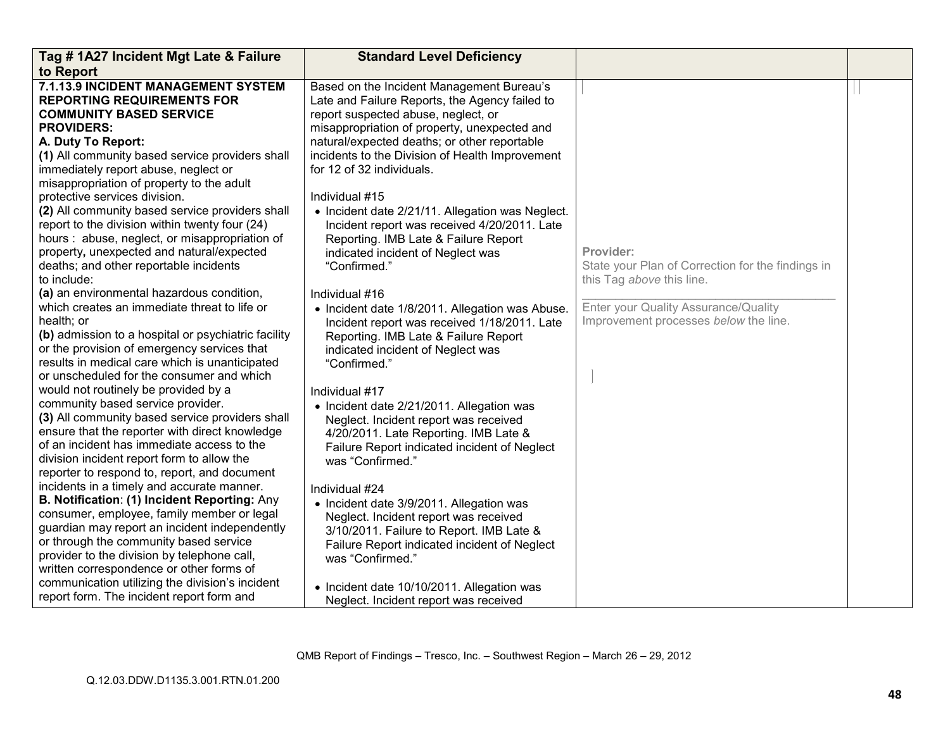| Tag # 1A27 Incident Mgt Late & Failure                                                                                                                                                                                                                                                                                                                                                                                                                                                                                                                                                                                                                                                                                                                                                                                                                                                                                                                                                                                                                                                                                                                                                                                                                                                                                                                                                                                                                                                                                                                                                                                                                                     | <b>Standard Level Deficiency</b>                                                                                                                                                                                                                                                                                                                                                                                                                                                                                                                                                                                                                                                                                                                                                                                                                                                                                                                                                                                                                                                                                                                                                                                                                                                           |                                                                                                                                                                              |  |
|----------------------------------------------------------------------------------------------------------------------------------------------------------------------------------------------------------------------------------------------------------------------------------------------------------------------------------------------------------------------------------------------------------------------------------------------------------------------------------------------------------------------------------------------------------------------------------------------------------------------------------------------------------------------------------------------------------------------------------------------------------------------------------------------------------------------------------------------------------------------------------------------------------------------------------------------------------------------------------------------------------------------------------------------------------------------------------------------------------------------------------------------------------------------------------------------------------------------------------------------------------------------------------------------------------------------------------------------------------------------------------------------------------------------------------------------------------------------------------------------------------------------------------------------------------------------------------------------------------------------------------------------------------------------------|--------------------------------------------------------------------------------------------------------------------------------------------------------------------------------------------------------------------------------------------------------------------------------------------------------------------------------------------------------------------------------------------------------------------------------------------------------------------------------------------------------------------------------------------------------------------------------------------------------------------------------------------------------------------------------------------------------------------------------------------------------------------------------------------------------------------------------------------------------------------------------------------------------------------------------------------------------------------------------------------------------------------------------------------------------------------------------------------------------------------------------------------------------------------------------------------------------------------------------------------------------------------------------------------|------------------------------------------------------------------------------------------------------------------------------------------------------------------------------|--|
| to Report                                                                                                                                                                                                                                                                                                                                                                                                                                                                                                                                                                                                                                                                                                                                                                                                                                                                                                                                                                                                                                                                                                                                                                                                                                                                                                                                                                                                                                                                                                                                                                                                                                                                  |                                                                                                                                                                                                                                                                                                                                                                                                                                                                                                                                                                                                                                                                                                                                                                                                                                                                                                                                                                                                                                                                                                                                                                                                                                                                                            |                                                                                                                                                                              |  |
| 7.1.13.9 INCIDENT MANAGEMENT SYSTEM<br><b>REPORTING REQUIREMENTS FOR</b><br><b>COMMUNITY BASED SERVICE</b><br><b>PROVIDERS:</b><br>A. Duty To Report:<br>(1) All community based service providers shall<br>immediately report abuse, neglect or<br>misappropriation of property to the adult<br>protective services division.<br>(2) All community based service providers shall<br>report to the division within twenty four (24)<br>hours: abuse, neglect, or misappropriation of<br>property, unexpected and natural/expected<br>deaths; and other reportable incidents<br>to include:<br>(a) an environmental hazardous condition,<br>which creates an immediate threat to life or<br>health; or<br>(b) admission to a hospital or psychiatric facility<br>or the provision of emergency services that<br>results in medical care which is unanticipated<br>or unscheduled for the consumer and which<br>would not routinely be provided by a<br>community based service provider.<br>(3) All community based service providers shall<br>ensure that the reporter with direct knowledge<br>of an incident has immediate access to the<br>division incident report form to allow the<br>reporter to respond to, report, and document<br>incidents in a timely and accurate manner.<br>B. Notification: (1) Incident Reporting: Any<br>consumer, employee, family member or legal<br>guardian may report an incident independently<br>or through the community based service<br>provider to the division by telephone call,<br>written correspondence or other forms of<br>communication utilizing the division's incident<br>report form. The incident report form and | Based on the Incident Management Bureau's<br>Late and Failure Reports, the Agency failed to<br>report suspected abuse, neglect, or<br>misappropriation of property, unexpected and<br>natural/expected deaths; or other reportable<br>incidents to the Division of Health Improvement<br>for 12 of 32 individuals.<br>Individual #15<br>• Incident date 2/21/11. Allegation was Neglect.<br>Incident report was received 4/20/2011. Late<br>Reporting. IMB Late & Failure Report<br>indicated incident of Neglect was<br>"Confirmed."<br>Individual #16<br>• Incident date 1/8/2011. Allegation was Abuse.<br>Incident report was received 1/18/2011. Late<br>Reporting. IMB Late & Failure Report<br>indicated incident of Neglect was<br>"Confirmed."<br>Individual #17<br>• Incident date 2/21/2011. Allegation was<br>Neglect. Incident report was received<br>4/20/2011. Late Reporting. IMB Late &<br>Failure Report indicated incident of Neglect<br>was "Confirmed."<br>Individual #24<br>• Incident date 3/9/2011. Allegation was<br>Neglect. Incident report was received<br>3/10/2011. Failure to Report. IMB Late &<br>Failure Report indicated incident of Neglect<br>was "Confirmed."<br>• Incident date 10/10/2011. Allegation was<br>Neglect. Incident report was received | Provider:<br>State your Plan of Correction for the findings in<br>this Tag above this line.<br>Enter your Quality Assurance/Quality<br>Improvement processes below the line. |  |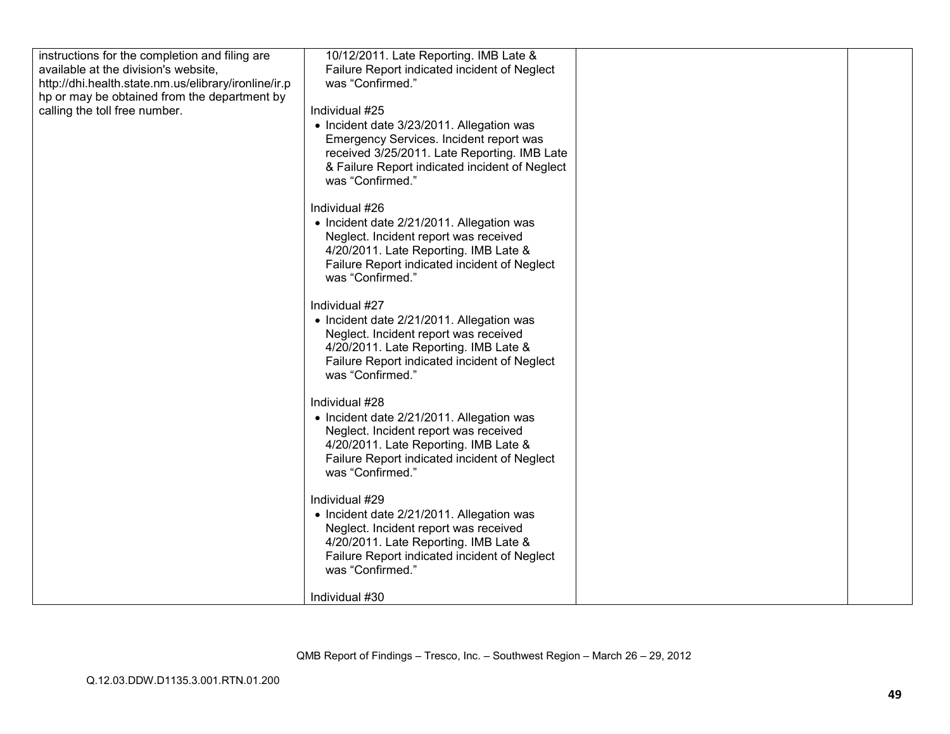| instructions for the completion and filing are       | 10/12/2011. Late Reporting. IMB Late &         |  |
|------------------------------------------------------|------------------------------------------------|--|
| available at the division's website,                 | Failure Report indicated incident of Neglect   |  |
| http://dhi.health.state.nm.us/elibrary/ironline/ir.p | was "Confirmed."                               |  |
| hp or may be obtained from the department by         |                                                |  |
| calling the toll free number.                        | Individual #25                                 |  |
|                                                      | • Incident date 3/23/2011. Allegation was      |  |
|                                                      | Emergency Services. Incident report was        |  |
|                                                      | received 3/25/2011. Late Reporting. IMB Late   |  |
|                                                      | & Failure Report indicated incident of Neglect |  |
|                                                      | was "Confirmed."                               |  |
|                                                      |                                                |  |
|                                                      | Individual #26                                 |  |
|                                                      | • Incident date 2/21/2011. Allegation was      |  |
|                                                      | Neglect. Incident report was received          |  |
|                                                      | 4/20/2011. Late Reporting. IMB Late &          |  |
|                                                      | Failure Report indicated incident of Neglect   |  |
|                                                      | was "Confirmed."                               |  |
|                                                      |                                                |  |
|                                                      | Individual #27                                 |  |
|                                                      | • Incident date 2/21/2011. Allegation was      |  |
|                                                      | Neglect. Incident report was received          |  |
|                                                      | 4/20/2011. Late Reporting. IMB Late &          |  |
|                                                      | Failure Report indicated incident of Neglect   |  |
|                                                      | was "Confirmed."                               |  |
|                                                      | Individual #28                                 |  |
|                                                      | • Incident date 2/21/2011. Allegation was      |  |
|                                                      | Neglect. Incident report was received          |  |
|                                                      | 4/20/2011. Late Reporting. IMB Late &          |  |
|                                                      | Failure Report indicated incident of Neglect   |  |
|                                                      | was "Confirmed."                               |  |
|                                                      |                                                |  |
|                                                      | Individual #29                                 |  |
|                                                      | • Incident date 2/21/2011. Allegation was      |  |
|                                                      | Neglect. Incident report was received          |  |
|                                                      | 4/20/2011. Late Reporting. IMB Late &          |  |
|                                                      | Failure Report indicated incident of Neglect   |  |
|                                                      | was "Confirmed."                               |  |
|                                                      |                                                |  |
|                                                      | Individual #30                                 |  |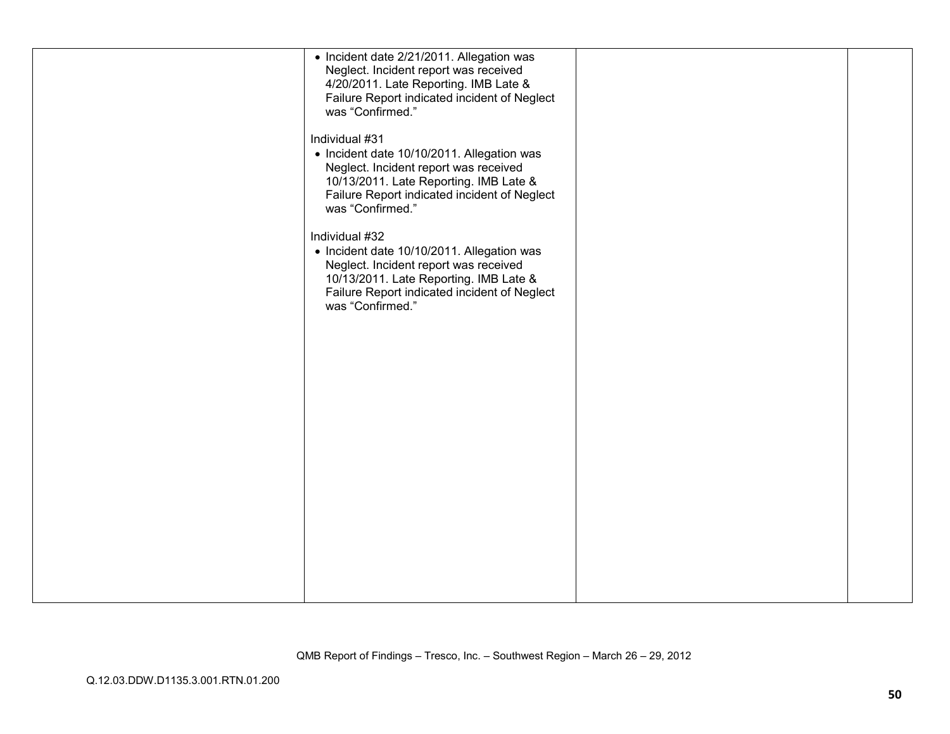| • Incident date 2/21/2011. Allegation was<br>Neglect. Incident report was received<br>4/20/2011. Late Reporting. IMB Late &<br>Failure Report indicated incident of Neglect<br>was "Confirmed."                     |  |
|---------------------------------------------------------------------------------------------------------------------------------------------------------------------------------------------------------------------|--|
| Individual #31<br>• Incident date 10/10/2011. Allegation was<br>Neglect. Incident report was received<br>10/13/2011. Late Reporting. IMB Late &<br>Failure Report indicated incident of Neglect<br>was "Confirmed." |  |
| Individual #32<br>• Incident date 10/10/2011. Allegation was<br>Neglect. Incident report was received<br>10/13/2011. Late Reporting. IMB Late &<br>Failure Report indicated incident of Neglect<br>was "Confirmed." |  |
|                                                                                                                                                                                                                     |  |
|                                                                                                                                                                                                                     |  |
|                                                                                                                                                                                                                     |  |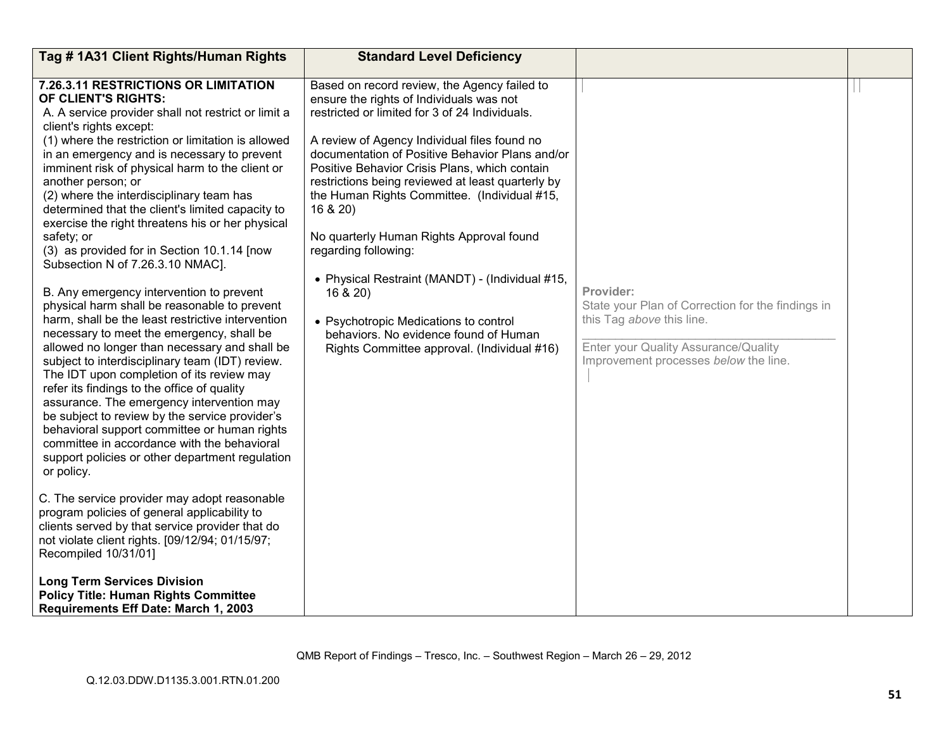| Tag # 1A31 Client Rights/Human Rights                                                                                                                                                                                                                                                                                                                                                                                                                                                                                                                                                                                                                                                                                                                                                                                                                                                                                                                                                                                                                                                                                                                                                                                                                                                                                                                                                                                                                                                                                                                                                                    | <b>Standard Level Deficiency</b>                                                                                                                                                                                                                                                                                                                                                                                                                                                                                                                                                                                                                                                   |                                                                                                                                                                              |  |
|----------------------------------------------------------------------------------------------------------------------------------------------------------------------------------------------------------------------------------------------------------------------------------------------------------------------------------------------------------------------------------------------------------------------------------------------------------------------------------------------------------------------------------------------------------------------------------------------------------------------------------------------------------------------------------------------------------------------------------------------------------------------------------------------------------------------------------------------------------------------------------------------------------------------------------------------------------------------------------------------------------------------------------------------------------------------------------------------------------------------------------------------------------------------------------------------------------------------------------------------------------------------------------------------------------------------------------------------------------------------------------------------------------------------------------------------------------------------------------------------------------------------------------------------------------------------------------------------------------|------------------------------------------------------------------------------------------------------------------------------------------------------------------------------------------------------------------------------------------------------------------------------------------------------------------------------------------------------------------------------------------------------------------------------------------------------------------------------------------------------------------------------------------------------------------------------------------------------------------------------------------------------------------------------------|------------------------------------------------------------------------------------------------------------------------------------------------------------------------------|--|
| 7.26.3.11 RESTRICTIONS OR LIMITATION<br>OF CLIENT'S RIGHTS:<br>A. A service provider shall not restrict or limit a<br>client's rights except:<br>(1) where the restriction or limitation is allowed<br>in an emergency and is necessary to prevent<br>imminent risk of physical harm to the client or<br>another person; or<br>(2) where the interdisciplinary team has<br>determined that the client's limited capacity to<br>exercise the right threatens his or her physical<br>safety; or<br>(3) as provided for in Section 10.1.14 [now<br>Subsection N of 7.26.3.10 NMAC].<br>B. Any emergency intervention to prevent<br>physical harm shall be reasonable to prevent<br>harm, shall be the least restrictive intervention<br>necessary to meet the emergency, shall be<br>allowed no longer than necessary and shall be<br>subject to interdisciplinary team (IDT) review.<br>The IDT upon completion of its review may<br>refer its findings to the office of quality<br>assurance. The emergency intervention may<br>be subject to review by the service provider's<br>behavioral support committee or human rights<br>committee in accordance with the behavioral<br>support policies or other department regulation<br>or policy.<br>C. The service provider may adopt reasonable<br>program policies of general applicability to<br>clients served by that service provider that do<br>not violate client rights. [09/12/94; 01/15/97;<br>Recompiled 10/31/01]<br><b>Long Term Services Division</b><br><b>Policy Title: Human Rights Committee</b><br>Requirements Eff Date: March 1, 2003 | Based on record review, the Agency failed to<br>ensure the rights of Individuals was not<br>restricted or limited for 3 of 24 Individuals.<br>A review of Agency Individual files found no<br>documentation of Positive Behavior Plans and/or<br>Positive Behavior Crisis Plans, which contain<br>restrictions being reviewed at least quarterly by<br>the Human Rights Committee. (Individual #15,<br>16 & 20)<br>No quarterly Human Rights Approval found<br>regarding following:<br>• Physical Restraint (MANDT) - (Individual #15,<br>16 & 20<br>• Psychotropic Medications to control<br>behaviors. No evidence found of Human<br>Rights Committee approval. (Individual #16) | Provider:<br>State your Plan of Correction for the findings in<br>this Tag above this line.<br>Enter your Quality Assurance/Quality<br>Improvement processes below the line. |  |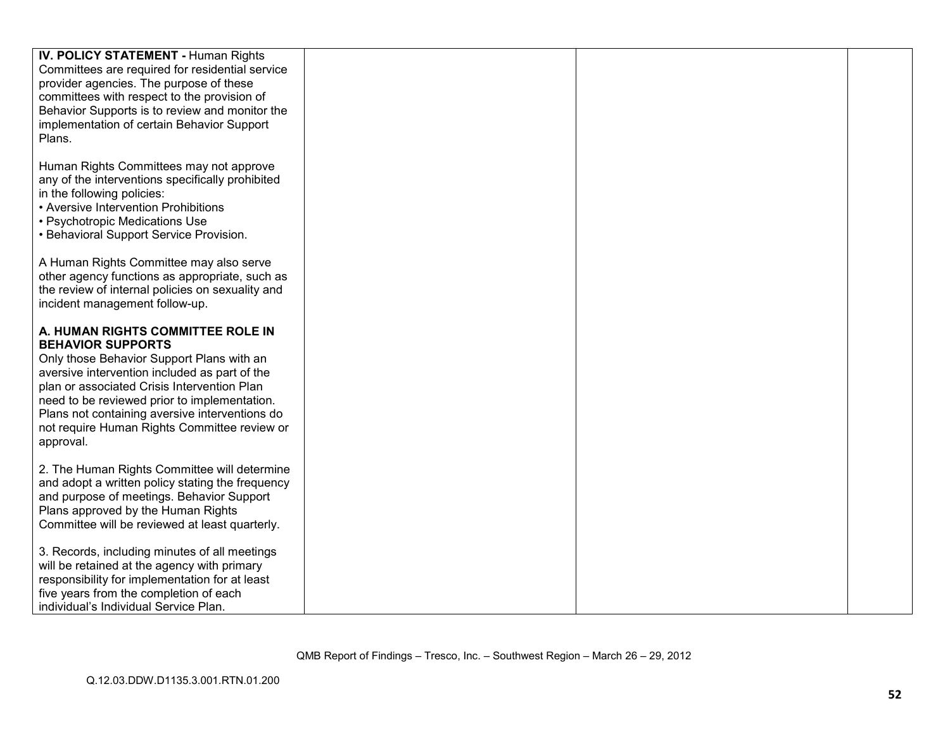| <b>IV. POLICY STATEMENT - Human Rights</b>       |  |  |
|--------------------------------------------------|--|--|
|                                                  |  |  |
| Committees are required for residential service  |  |  |
| provider agencies. The purpose of these          |  |  |
| committees with respect to the provision of      |  |  |
| Behavior Supports is to review and monitor the   |  |  |
| implementation of certain Behavior Support       |  |  |
| Plans.                                           |  |  |
|                                                  |  |  |
|                                                  |  |  |
| Human Rights Committees may not approve          |  |  |
| any of the interventions specifically prohibited |  |  |
| in the following policies:                       |  |  |
| • Aversive Intervention Prohibitions             |  |  |
| • Psychotropic Medications Use                   |  |  |
| • Behavioral Support Service Provision.          |  |  |
|                                                  |  |  |
| A Human Rights Committee may also serve          |  |  |
|                                                  |  |  |
| other agency functions as appropriate, such as   |  |  |
| the review of internal policies on sexuality and |  |  |
| incident management follow-up.                   |  |  |
|                                                  |  |  |
| A. HUMAN RIGHTS COMMITTEE ROLE IN                |  |  |
| <b>BEHAVIOR SUPPORTS</b>                         |  |  |
| Only those Behavior Support Plans with an        |  |  |
| aversive intervention included as part of the    |  |  |
| plan or associated Crisis Intervention Plan      |  |  |
|                                                  |  |  |
| need to be reviewed prior to implementation.     |  |  |
| Plans not containing aversive interventions do   |  |  |
| not require Human Rights Committee review or     |  |  |
| approval.                                        |  |  |
|                                                  |  |  |
| 2. The Human Rights Committee will determine     |  |  |
| and adopt a written policy stating the frequency |  |  |
| and purpose of meetings. Behavior Support        |  |  |
| Plans approved by the Human Rights               |  |  |
| Committee will be reviewed at least quarterly.   |  |  |
|                                                  |  |  |
| 3. Records, including minutes of all meetings    |  |  |
|                                                  |  |  |
| will be retained at the agency with primary      |  |  |
| responsibility for implementation for at least   |  |  |
| five years from the completion of each           |  |  |
| individual's Individual Service Plan.            |  |  |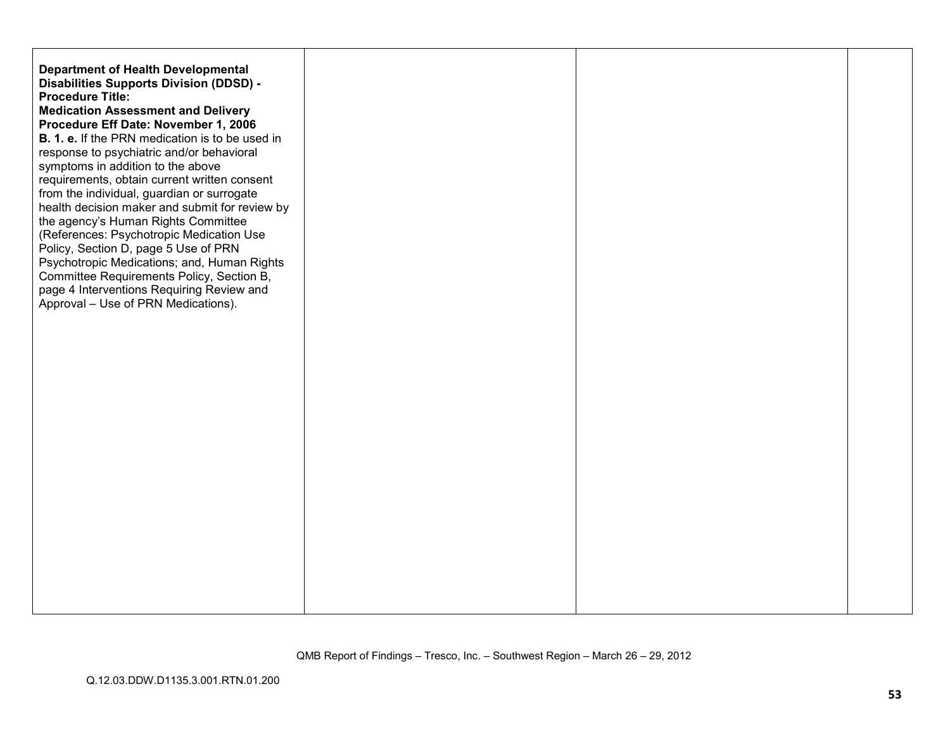| <b>Department of Health Developmental</b><br>Disabilities Supports Division (DDSD) -<br><b>Procedure Title:</b><br><b>Medication Assessment and Delivery</b><br>Procedure Eff Date: November 1, 2006<br>B. 1. e. If the PRN medication is to be used in<br>response to psychiatric and/or behavioral<br>symptoms in addition to the above<br>requirements, obtain current written consent<br>from the individual, guardian or surrogate<br>health decision maker and submit for review by<br>the agency's Human Rights Committee<br>(References: Psychotropic Medication Use<br>Policy, Section D, page 5 Use of PRN<br>Psychotropic Medications; and, Human Rights<br>Committee Requirements Policy, Section B,<br>page 4 Interventions Requiring Review and<br>Approval - Use of PRN Medications). |  |  |
|------------------------------------------------------------------------------------------------------------------------------------------------------------------------------------------------------------------------------------------------------------------------------------------------------------------------------------------------------------------------------------------------------------------------------------------------------------------------------------------------------------------------------------------------------------------------------------------------------------------------------------------------------------------------------------------------------------------------------------------------------------------------------------------------------|--|--|
|                                                                                                                                                                                                                                                                                                                                                                                                                                                                                                                                                                                                                                                                                                                                                                                                      |  |  |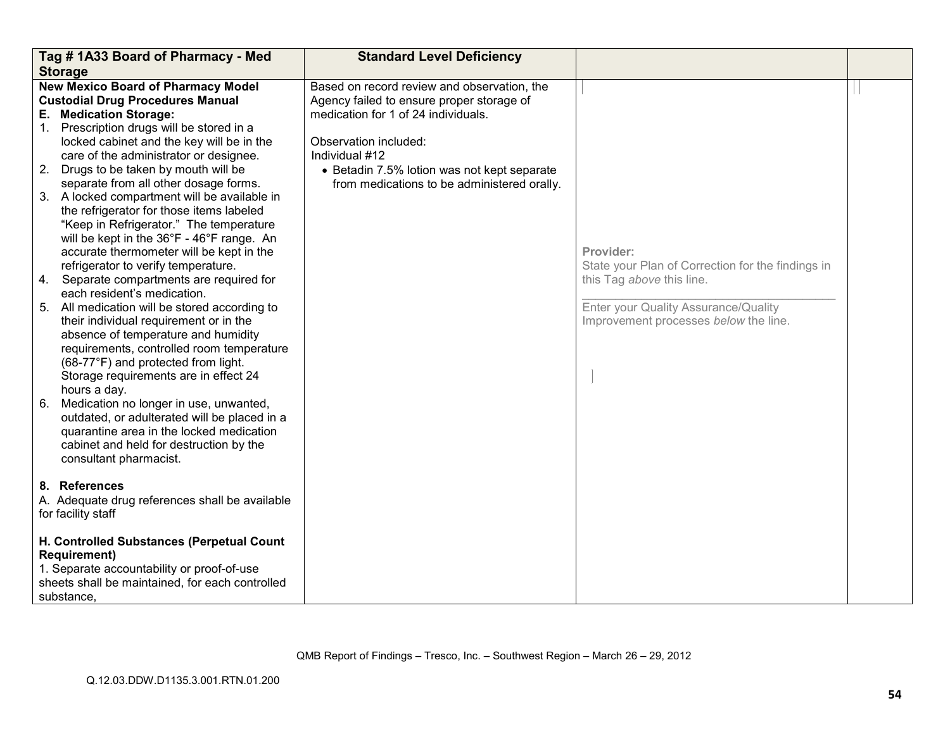|    | Tag #1A33 Board of Pharmacy - Med                                | <b>Standard Level Deficiency</b>            |                                                   |  |
|----|------------------------------------------------------------------|---------------------------------------------|---------------------------------------------------|--|
|    | <b>Storage</b>                                                   |                                             |                                                   |  |
|    | <b>New Mexico Board of Pharmacy Model</b>                        | Based on record review and observation, the |                                                   |  |
|    | <b>Custodial Drug Procedures Manual</b>                          | Agency failed to ensure proper storage of   |                                                   |  |
|    | E. Medication Storage:                                           | medication for 1 of 24 individuals.         |                                                   |  |
|    | 1. Prescription drugs will be stored in a                        |                                             |                                                   |  |
|    | locked cabinet and the key will be in the                        | Observation included:                       |                                                   |  |
|    | care of the administrator or designee.                           | Individual #12                              |                                                   |  |
|    | 2. Drugs to be taken by mouth will be                            | • Betadin 7.5% lotion was not kept separate |                                                   |  |
|    | separate from all other dosage forms.                            | from medications to be administered orally. |                                                   |  |
|    | 3. A locked compartment will be available in                     |                                             |                                                   |  |
|    | the refrigerator for those items labeled                         |                                             |                                                   |  |
|    | "Keep in Refrigerator." The temperature                          |                                             |                                                   |  |
|    | will be kept in the 36°F - 46°F range. An                        |                                             |                                                   |  |
|    | accurate thermometer will be kept in the                         |                                             | Provider:                                         |  |
|    | refrigerator to verify temperature.                              |                                             | State your Plan of Correction for the findings in |  |
| 4. | Separate compartments are required for                           |                                             | this Tag above this line.                         |  |
|    | each resident's medication.                                      |                                             |                                                   |  |
|    | 5. All medication will be stored according to                    |                                             | Enter your Quality Assurance/Quality              |  |
|    | their individual requirement or in the                           |                                             | Improvement processes below the line.             |  |
|    | absence of temperature and humidity                              |                                             |                                                   |  |
|    | requirements, controlled room temperature                        |                                             |                                                   |  |
|    | (68-77°F) and protected from light.                              |                                             |                                                   |  |
|    | Storage requirements are in effect 24                            |                                             |                                                   |  |
|    | hours a day.                                                     |                                             |                                                   |  |
| 6. | Medication no longer in use, unwanted,                           |                                             |                                                   |  |
|    | outdated, or adulterated will be placed in a                     |                                             |                                                   |  |
|    | quarantine area in the locked medication                         |                                             |                                                   |  |
|    | cabinet and held for destruction by the                          |                                             |                                                   |  |
|    | consultant pharmacist.                                           |                                             |                                                   |  |
|    |                                                                  |                                             |                                                   |  |
|    | 8. References                                                    |                                             |                                                   |  |
|    | A. Adequate drug references shall be available                   |                                             |                                                   |  |
|    | for facility staff                                               |                                             |                                                   |  |
|    |                                                                  |                                             |                                                   |  |
|    | H. Controlled Substances (Perpetual Count<br><b>Requirement)</b> |                                             |                                                   |  |
|    | 1. Separate accountability or proof-of-use                       |                                             |                                                   |  |
|    | sheets shall be maintained, for each controlled                  |                                             |                                                   |  |
|    |                                                                  |                                             |                                                   |  |
|    | substance,                                                       |                                             |                                                   |  |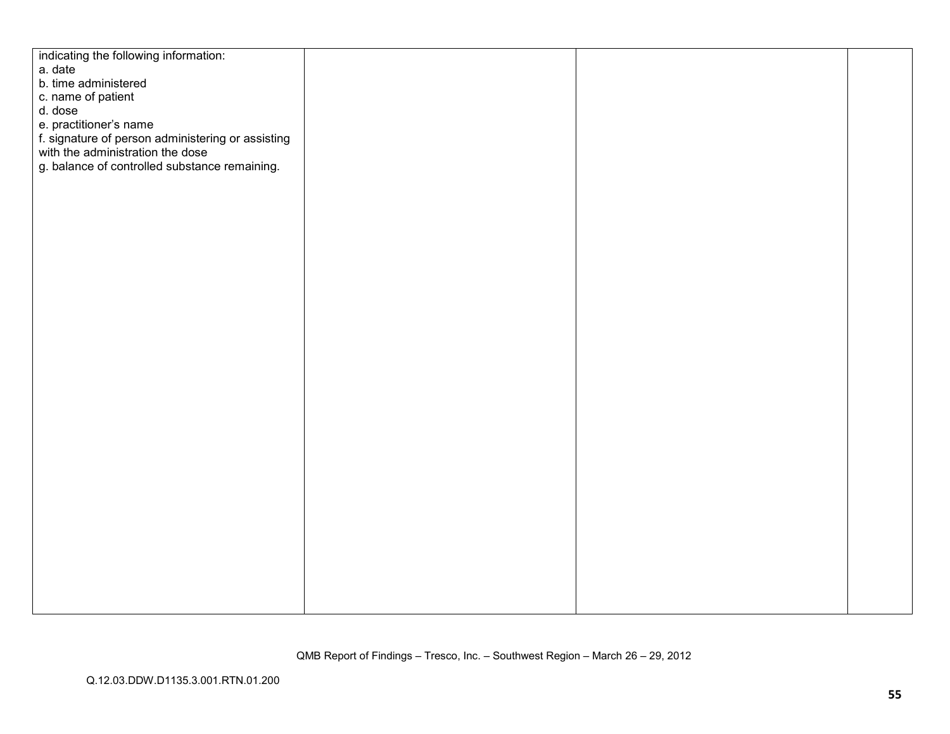| indicating the following information:<br>a. date<br>b. time administered<br>c. name of patient<br>d. dose<br>e. practitioner's name<br>f. signature of person administering or assisting<br>with the administration the dose<br>g. balance of controlled substance remaining. |
|-------------------------------------------------------------------------------------------------------------------------------------------------------------------------------------------------------------------------------------------------------------------------------|
|                                                                                                                                                                                                                                                                               |
|                                                                                                                                                                                                                                                                               |
|                                                                                                                                                                                                                                                                               |
|                                                                                                                                                                                                                                                                               |
|                                                                                                                                                                                                                                                                               |
|                                                                                                                                                                                                                                                                               |
|                                                                                                                                                                                                                                                                               |
|                                                                                                                                                                                                                                                                               |
|                                                                                                                                                                                                                                                                               |
|                                                                                                                                                                                                                                                                               |
|                                                                                                                                                                                                                                                                               |
|                                                                                                                                                                                                                                                                               |
|                                                                                                                                                                                                                                                                               |
|                                                                                                                                                                                                                                                                               |
|                                                                                                                                                                                                                                                                               |
|                                                                                                                                                                                                                                                                               |
|                                                                                                                                                                                                                                                                               |
|                                                                                                                                                                                                                                                                               |
|                                                                                                                                                                                                                                                                               |
|                                                                                                                                                                                                                                                                               |
|                                                                                                                                                                                                                                                                               |
|                                                                                                                                                                                                                                                                               |
|                                                                                                                                                                                                                                                                               |
|                                                                                                                                                                                                                                                                               |
|                                                                                                                                                                                                                                                                               |
|                                                                                                                                                                                                                                                                               |
|                                                                                                                                                                                                                                                                               |
|                                                                                                                                                                                                                                                                               |
|                                                                                                                                                                                                                                                                               |
|                                                                                                                                                                                                                                                                               |
|                                                                                                                                                                                                                                                                               |
|                                                                                                                                                                                                                                                                               |
|                                                                                                                                                                                                                                                                               |
|                                                                                                                                                                                                                                                                               |
|                                                                                                                                                                                                                                                                               |
|                                                                                                                                                                                                                                                                               |
|                                                                                                                                                                                                                                                                               |
|                                                                                                                                                                                                                                                                               |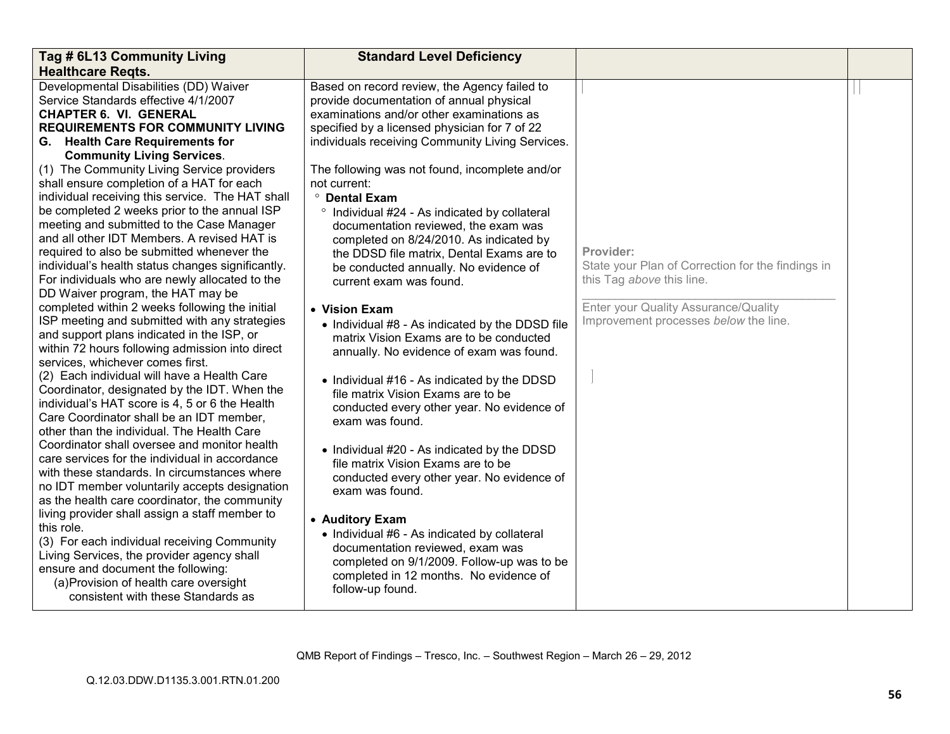| Tag # 6L13 Community Living                       | <b>Standard Level Deficiency</b>                 |                                                   |  |
|---------------------------------------------------|--------------------------------------------------|---------------------------------------------------|--|
| <b>Healthcare Regts.</b>                          |                                                  |                                                   |  |
| Developmental Disabilities (DD) Waiver            | Based on record review, the Agency failed to     |                                                   |  |
| Service Standards effective 4/1/2007              | provide documentation of annual physical         |                                                   |  |
| <b>CHAPTER 6. VI. GENERAL</b>                     | examinations and/or other examinations as        |                                                   |  |
| <b>REQUIREMENTS FOR COMMUNITY LIVING</b>          | specified by a licensed physician for 7 of 22    |                                                   |  |
| G. Health Care Requirements for                   | individuals receiving Community Living Services. |                                                   |  |
| <b>Community Living Services.</b>                 |                                                  |                                                   |  |
| (1) The Community Living Service providers        | The following was not found, incomplete and/or   |                                                   |  |
| shall ensure completion of a HAT for each         | not current:                                     |                                                   |  |
| individual receiving this service. The HAT shall  | <sup>o</sup> Dental Exam                         |                                                   |  |
| be completed 2 weeks prior to the annual ISP      | ° Individual #24 - As indicated by collateral    |                                                   |  |
| meeting and submitted to the Case Manager         | documentation reviewed, the exam was             |                                                   |  |
| and all other IDT Members. A revised HAT is       | completed on 8/24/2010. As indicated by          |                                                   |  |
| required to also be submitted whenever the        | the DDSD file matrix, Dental Exams are to        | Provider:                                         |  |
| individual's health status changes significantly. | be conducted annually. No evidence of            | State your Plan of Correction for the findings in |  |
| For individuals who are newly allocated to the    | current exam was found.                          | this Tag above this line.                         |  |
| DD Waiver program, the HAT may be                 |                                                  |                                                   |  |
| completed within 2 weeks following the initial    | • Vision Exam                                    | Enter your Quality Assurance/Quality              |  |
| ISP meeting and submitted with any strategies     | • Individual #8 - As indicated by the DDSD file  | Improvement processes below the line.             |  |
| and support plans indicated in the ISP, or        | matrix Vision Exams are to be conducted          |                                                   |  |
| within 72 hours following admission into direct   | annually. No evidence of exam was found.         |                                                   |  |
| services, whichever comes first.                  |                                                  |                                                   |  |
| (2) Each individual will have a Health Care       | • Individual #16 - As indicated by the DDSD      |                                                   |  |
| Coordinator, designated by the IDT. When the      | file matrix Vision Exams are to be               |                                                   |  |
| individual's HAT score is 4, 5 or 6 the Health    | conducted every other year. No evidence of       |                                                   |  |
| Care Coordinator shall be an IDT member,          | exam was found.                                  |                                                   |  |
| other than the individual. The Health Care        |                                                  |                                                   |  |
| Coordinator shall oversee and monitor health      | • Individual #20 - As indicated by the DDSD      |                                                   |  |
| care services for the individual in accordance    | file matrix Vision Exams are to be               |                                                   |  |
| with these standards. In circumstances where      | conducted every other year. No evidence of       |                                                   |  |
| no IDT member voluntarily accepts designation     | exam was found.                                  |                                                   |  |
| as the health care coordinator, the community     |                                                  |                                                   |  |
| living provider shall assign a staff member to    | • Auditory Exam                                  |                                                   |  |
| this role.                                        | • Individual #6 - As indicated by collateral     |                                                   |  |
| (3) For each individual receiving Community       | documentation reviewed, exam was                 |                                                   |  |
| Living Services, the provider agency shall        | completed on 9/1/2009. Follow-up was to be       |                                                   |  |
| ensure and document the following:                | completed in 12 months. No evidence of           |                                                   |  |
| (a) Provision of health care oversight            | follow-up found.                                 |                                                   |  |
| consistent with these Standards as                |                                                  |                                                   |  |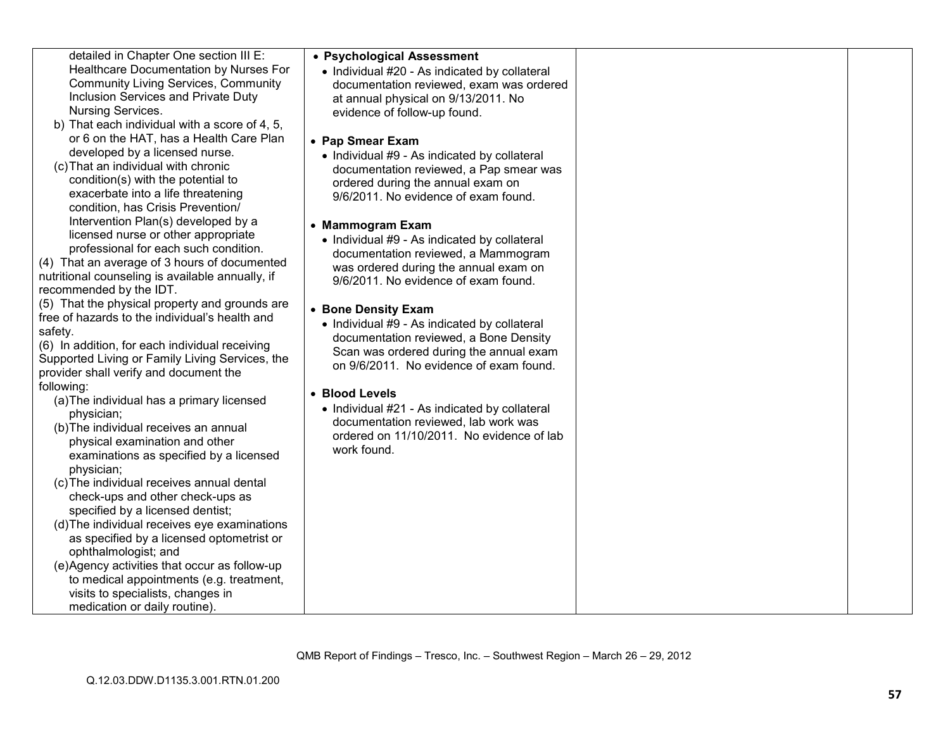| detailed in Chapter One section III E:                                    | • Psychological Assessment                    |  |
|---------------------------------------------------------------------------|-----------------------------------------------|--|
| Healthcare Documentation by Nurses For                                    | • Individual #20 - As indicated by collateral |  |
| <b>Community Living Services, Community</b>                               | documentation reviewed, exam was ordered      |  |
| Inclusion Services and Private Duty                                       | at annual physical on 9/13/2011. No           |  |
| Nursing Services.                                                         | evidence of follow-up found.                  |  |
| b) That each individual with a score of 4, 5,                             |                                               |  |
| or 6 on the HAT, has a Health Care Plan                                   | • Pap Smear Exam                              |  |
| developed by a licensed nurse.                                            | • Individual #9 - As indicated by collateral  |  |
| (c) That an individual with chronic                                       | documentation reviewed, a Pap smear was       |  |
| condition(s) with the potential to                                        | ordered during the annual exam on             |  |
| exacerbate into a life threatening                                        | 9/6/2011. No evidence of exam found.          |  |
| condition, has Crisis Prevention/                                         |                                               |  |
| Intervention Plan(s) developed by a                                       | • Mammogram Exam                              |  |
| licensed nurse or other appropriate                                       | • Individual #9 - As indicated by collateral  |  |
| professional for each such condition.                                     | documentation reviewed, a Mammogram           |  |
| (4) That an average of 3 hours of documented                              | was ordered during the annual exam on         |  |
| nutritional counseling is available annually, if                          | 9/6/2011. No evidence of exam found.          |  |
| recommended by the IDT.<br>(5) That the physical property and grounds are |                                               |  |
| free of hazards to the individual's health and                            | • Bone Density Exam                           |  |
| safety.                                                                   | • Individual #9 - As indicated by collateral  |  |
| (6) In addition, for each individual receiving                            | documentation reviewed, a Bone Density        |  |
| Supported Living or Family Living Services, the                           | Scan was ordered during the annual exam       |  |
| provider shall verify and document the                                    | on 9/6/2011. No evidence of exam found.       |  |
| following:                                                                |                                               |  |
| (a) The individual has a primary licensed                                 | • Blood Levels                                |  |
| physician;                                                                | • Individual #21 - As indicated by collateral |  |
| (b) The individual receives an annual                                     | documentation reviewed, lab work was          |  |
| physical examination and other                                            | ordered on 11/10/2011. No evidence of lab     |  |
| examinations as specified by a licensed                                   | work found.                                   |  |
| physician;                                                                |                                               |  |
| (c) The individual receives annual dental                                 |                                               |  |
| check-ups and other check-ups as                                          |                                               |  |
| specified by a licensed dentist;                                          |                                               |  |
| (d) The individual receives eye examinations                              |                                               |  |
| as specified by a licensed optometrist or                                 |                                               |  |
| ophthalmologist; and                                                      |                                               |  |
| (e)Agency activities that occur as follow-up                              |                                               |  |
| to medical appointments (e.g. treatment,                                  |                                               |  |
| visits to specialists, changes in                                         |                                               |  |
| medication or daily routine).                                             |                                               |  |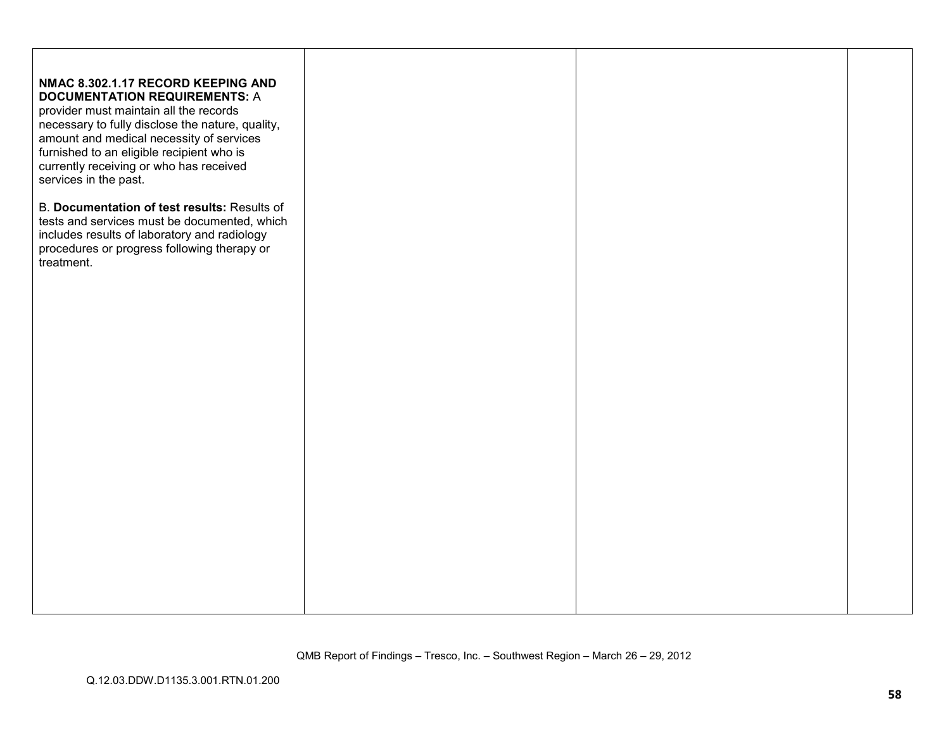| NMAC 8.302.1.17 RECORD KEEPING AND<br><b>DOCUMENTATION REQUIREMENTS: A</b><br>provider must maintain all the records<br>necessary to fully disclose the nature, quality,<br>amount and medical necessity of services<br>furnished to an eligible recipient who is<br>currently receiving or who has received<br>services in the past. |  |  |
|---------------------------------------------------------------------------------------------------------------------------------------------------------------------------------------------------------------------------------------------------------------------------------------------------------------------------------------|--|--|
| B. Documentation of test results: Results of<br>tests and services must be documented, which<br>includes results of laboratory and radiology<br>procedures or progress following therapy or<br>treatment.                                                                                                                             |  |  |
|                                                                                                                                                                                                                                                                                                                                       |  |  |
|                                                                                                                                                                                                                                                                                                                                       |  |  |
|                                                                                                                                                                                                                                                                                                                                       |  |  |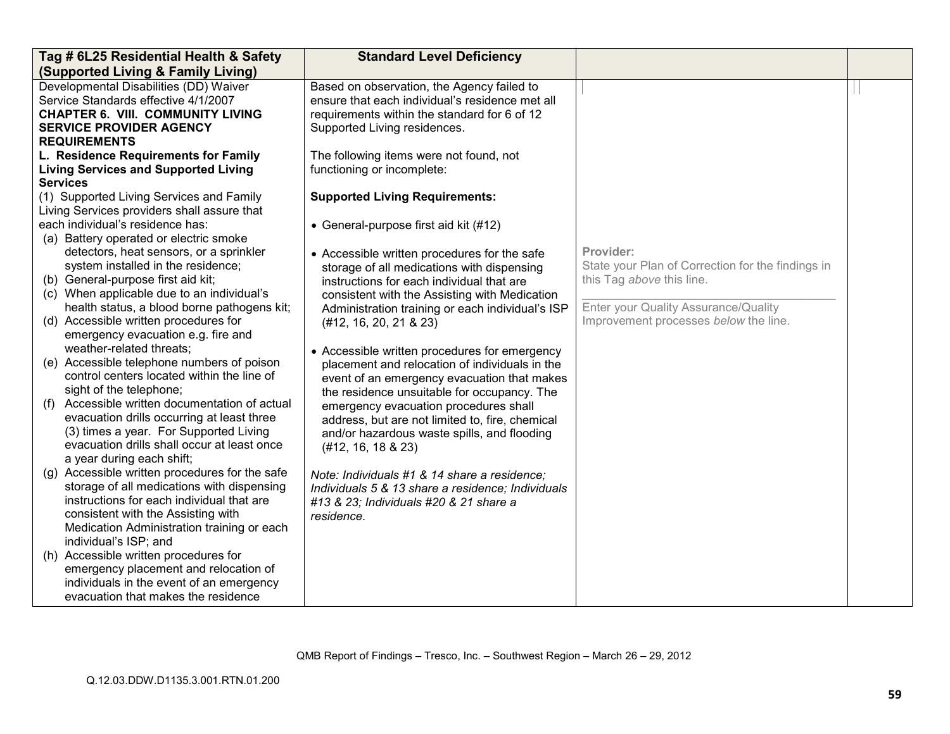|     | Tag # 6L25 Residential Health & Safety                                                       | <b>Standard Level Deficiency</b>                                                           |                                                   |  |
|-----|----------------------------------------------------------------------------------------------|--------------------------------------------------------------------------------------------|---------------------------------------------------|--|
|     | (Supported Living & Family Living)                                                           |                                                                                            |                                                   |  |
|     | Developmental Disabilities (DD) Waiver                                                       | Based on observation, the Agency failed to                                                 |                                                   |  |
|     | Service Standards effective 4/1/2007                                                         | ensure that each individual's residence met all                                            |                                                   |  |
|     | <b>CHAPTER 6. VIII. COMMUNITY LIVING</b>                                                     | requirements within the standard for 6 of 12                                               |                                                   |  |
|     | <b>SERVICE PROVIDER AGENCY</b>                                                               | Supported Living residences.                                                               |                                                   |  |
|     | <b>REQUIREMENTS</b>                                                                          |                                                                                            |                                                   |  |
|     | L. Residence Requirements for Family                                                         | The following items were not found, not                                                    |                                                   |  |
|     | <b>Living Services and Supported Living</b>                                                  | functioning or incomplete:                                                                 |                                                   |  |
|     | <b>Services</b>                                                                              |                                                                                            |                                                   |  |
|     | (1) Supported Living Services and Family                                                     | <b>Supported Living Requirements:</b>                                                      |                                                   |  |
|     | Living Services providers shall assure that<br>each individual's residence has:              |                                                                                            |                                                   |  |
|     |                                                                                              | • General-purpose first aid kit (#12)                                                      |                                                   |  |
|     | (a) Battery operated or electric smoke<br>detectors, heat sensors, or a sprinkler            |                                                                                            | Provider:                                         |  |
|     | system installed in the residence;                                                           | • Accessible written procedures for the safe<br>storage of all medications with dispensing | State your Plan of Correction for the findings in |  |
|     | (b) General-purpose first aid kit;                                                           | instructions for each individual that are                                                  | this Tag above this line.                         |  |
|     | (c) When applicable due to an individual's                                                   | consistent with the Assisting with Medication                                              |                                                   |  |
|     | health status, a blood borne pathogens kit;                                                  | Administration training or each individual's ISP                                           | Enter your Quality Assurance/Quality              |  |
|     | (d) Accessible written procedures for                                                        | (#12, 16, 20, 21 & 23)                                                                     | Improvement processes below the line.             |  |
|     | emergency evacuation e.g. fire and                                                           |                                                                                            |                                                   |  |
|     | weather-related threats;                                                                     | • Accessible written procedures for emergency                                              |                                                   |  |
|     | (e) Accessible telephone numbers of poison                                                   | placement and relocation of individuals in the                                             |                                                   |  |
|     | control centers located within the line of                                                   | event of an emergency evacuation that makes                                                |                                                   |  |
|     | sight of the telephone;                                                                      | the residence unsuitable for occupancy. The                                                |                                                   |  |
| (f) | Accessible written documentation of actual                                                   | emergency evacuation procedures shall                                                      |                                                   |  |
|     | evacuation drills occurring at least three                                                   | address, but are not limited to, fire, chemical                                            |                                                   |  |
|     | (3) times a year. For Supported Living                                                       | and/or hazardous waste spills, and flooding                                                |                                                   |  |
|     | evacuation drills shall occur at least once                                                  | (#12, 16, 18 & 23)                                                                         |                                                   |  |
|     | a year during each shift;                                                                    |                                                                                            |                                                   |  |
|     | (g) Accessible written procedures for the safe<br>storage of all medications with dispensing | Note: Individuals #1 & 14 share a residence:                                               |                                                   |  |
|     | instructions for each individual that are                                                    | Individuals 5 & 13 share a residence; Individuals                                          |                                                   |  |
|     | consistent with the Assisting with                                                           | #13 & 23; Individuals #20 & 21 share a<br>residence.                                       |                                                   |  |
|     | Medication Administration training or each                                                   |                                                                                            |                                                   |  |
|     | individual's ISP; and                                                                        |                                                                                            |                                                   |  |
|     | (h) Accessible written procedures for                                                        |                                                                                            |                                                   |  |
|     | emergency placement and relocation of                                                        |                                                                                            |                                                   |  |
|     | individuals in the event of an emergency                                                     |                                                                                            |                                                   |  |
|     | evacuation that makes the residence                                                          |                                                                                            |                                                   |  |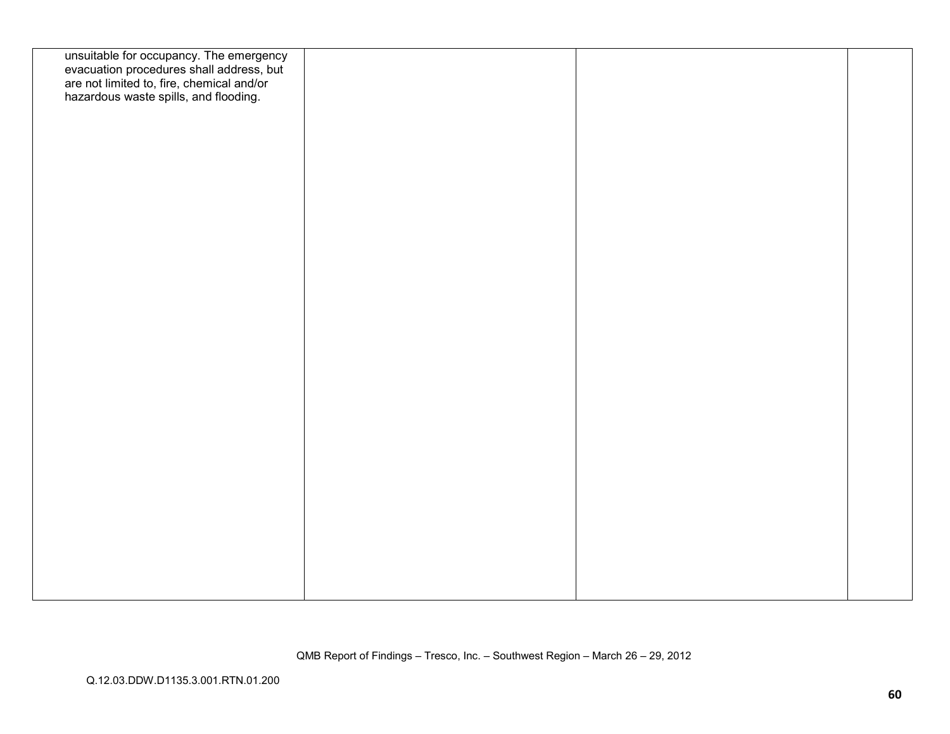| unsuitable for occupancy. The emergency<br>evacuation procedures shall address, but<br>are not limited to, fire, chemical and/or<br>hazardous waste spills, and flooding. |  |  |
|---------------------------------------------------------------------------------------------------------------------------------------------------------------------------|--|--|
|                                                                                                                                                                           |  |  |
|                                                                                                                                                                           |  |  |
|                                                                                                                                                                           |  |  |
|                                                                                                                                                                           |  |  |

QMB Report of Findings – Tresco, Inc. – Southwest Region – March 26 – 29, 2012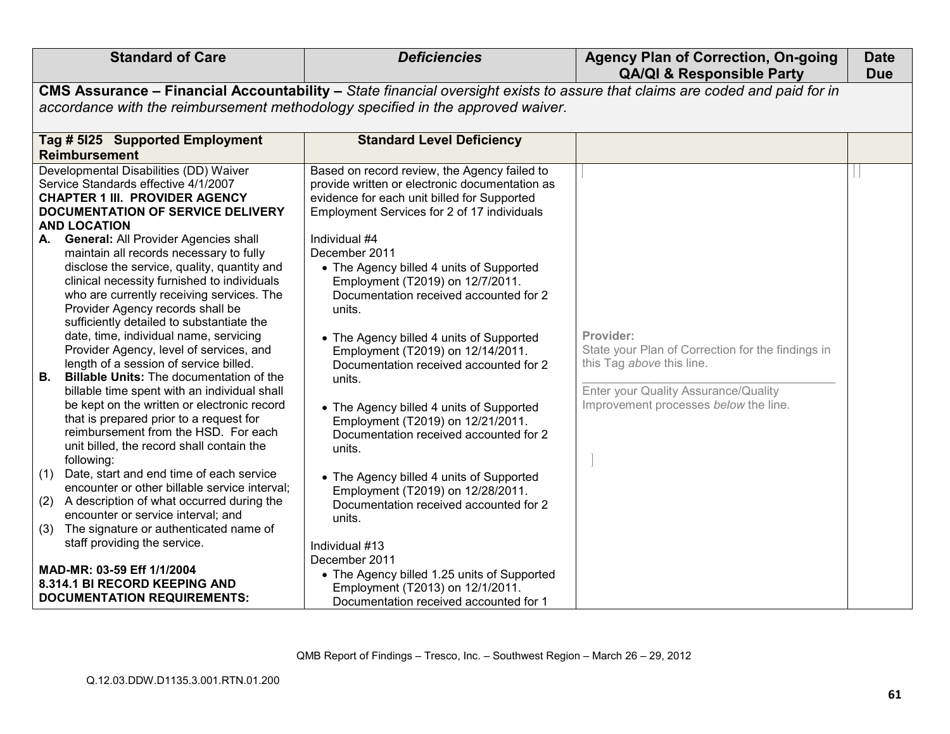| <b>Standard of Care</b>                                                                                                                                                                                                                                                                                                                                                                                       | <b>Deficiencies</b>                                                                                                                                                                                                                                 | <b>Agency Plan of Correction, On-going</b><br><b>QA/QI &amp; Responsible Party</b>                         | <b>Date</b><br><b>Due</b> |
|---------------------------------------------------------------------------------------------------------------------------------------------------------------------------------------------------------------------------------------------------------------------------------------------------------------------------------------------------------------------------------------------------------------|-----------------------------------------------------------------------------------------------------------------------------------------------------------------------------------------------------------------------------------------------------|------------------------------------------------------------------------------------------------------------|---------------------------|
|                                                                                                                                                                                                                                                                                                                                                                                                               | CMS Assurance - Financial Accountability - State financial oversight exists to assure that claims are coded and paid for in                                                                                                                         |                                                                                                            |                           |
|                                                                                                                                                                                                                                                                                                                                                                                                               | accordance with the reimbursement methodology specified in the approved waiver.                                                                                                                                                                     |                                                                                                            |                           |
| Tag # 5125 Supported Employment<br><b>Reimbursement</b>                                                                                                                                                                                                                                                                                                                                                       | <b>Standard Level Deficiency</b>                                                                                                                                                                                                                    |                                                                                                            |                           |
| Developmental Disabilities (DD) Waiver<br>Service Standards effective 4/1/2007<br><b>CHAPTER 1 III. PROVIDER AGENCY</b><br>DOCUMENTATION OF SERVICE DELIVERY<br><b>AND LOCATION</b>                                                                                                                                                                                                                           | Based on record review, the Agency failed to<br>provide written or electronic documentation as<br>evidence for each unit billed for Supported<br>Employment Services for 2 of 17 individuals                                                        |                                                                                                            |                           |
| <b>General: All Provider Agencies shall</b><br>А.<br>maintain all records necessary to fully<br>disclose the service, quality, quantity and<br>clinical necessity furnished to individuals<br>who are currently receiving services. The<br>Provider Agency records shall be<br>sufficiently detailed to substantiate the<br>date, time, individual name, servicing<br>Provider Agency, level of services, and | Individual #4<br>December 2011<br>• The Agency billed 4 units of Supported<br>Employment (T2019) on 12/7/2011.<br>Documentation received accounted for 2<br>units.<br>• The Agency billed 4 units of Supported<br>Employment (T2019) on 12/14/2011. | Provider:<br>State your Plan of Correction for the findings in                                             |                           |
| length of a session of service billed.<br><b>B.</b><br><b>Billable Units: The documentation of the</b><br>billable time spent with an individual shall<br>be kept on the written or electronic record<br>that is prepared prior to a request for<br>reimbursement from the HSD. For each<br>unit billed, the record shall contain the<br>following:                                                           | Documentation received accounted for 2<br>units.<br>• The Agency billed 4 units of Supported<br>Employment (T2019) on 12/21/2011.<br>Documentation received accounted for 2<br>units.                                                               | this Tag above this line.<br>Enter your Quality Assurance/Quality<br>Improvement processes below the line. |                           |
| Date, start and end time of each service<br>(1)<br>encounter or other billable service interval;<br>A description of what occurred during the<br>(2)<br>encounter or service interval; and<br>The signature or authenticated name of<br>(3)                                                                                                                                                                   | • The Agency billed 4 units of Supported<br>Employment (T2019) on 12/28/2011.<br>Documentation received accounted for 2<br>units.                                                                                                                   |                                                                                                            |                           |
| staff providing the service.<br>MAD-MR: 03-59 Eff 1/1/2004<br>8.314.1 BI RECORD KEEPING AND<br><b>DOCUMENTATION REQUIREMENTS:</b>                                                                                                                                                                                                                                                                             | Individual #13<br>December 2011<br>• The Agency billed 1.25 units of Supported<br>Employment (T2013) on 12/1/2011.<br>Documentation received accounted for 1                                                                                        |                                                                                                            |                           |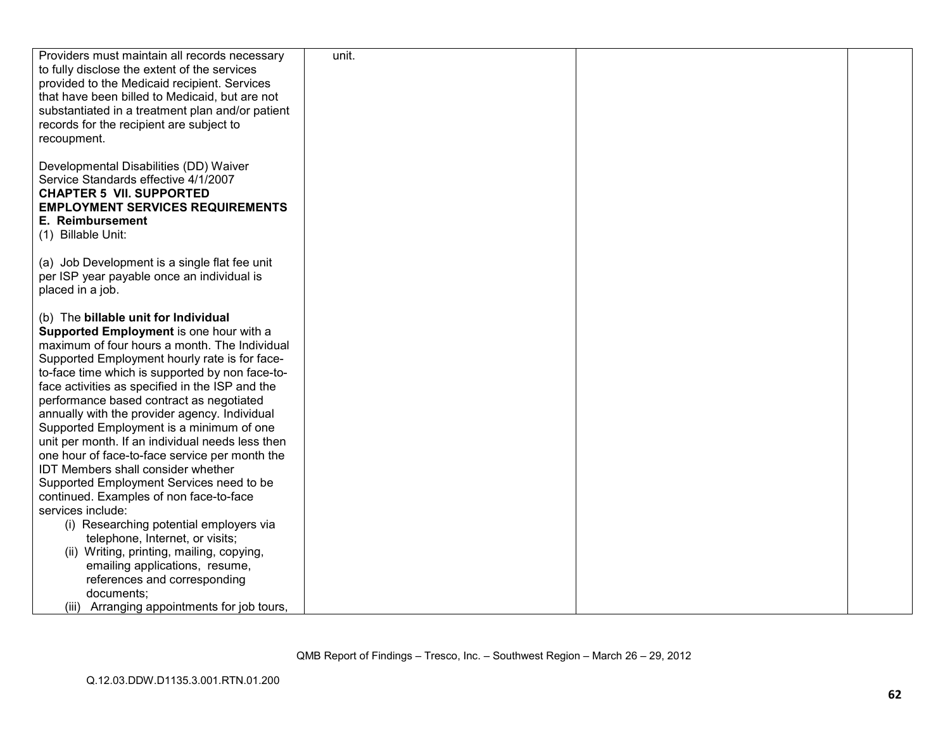| Developmental Disabilities (DD) Waiver<br>Service Standards effective 4/1/2007<br><b>CHAPTER 5 VII. SUPPORTED</b><br><b>EMPLOYMENT SERVICES REQUIREMENTS</b><br>E. Reimbursement<br>(1) Billable Unit:<br>(a) Job Development is a single flat fee unit<br>per ISP year payable once an individual is<br>placed in a job.<br>(b) The billable unit for Individual<br>Supported Employment is one hour with a<br>maximum of four hours a month. The Individual<br>Supported Employment hourly rate is for face-<br>to-face time which is supported by non face-to-<br>face activities as specified in the ISP and the<br>performance based contract as negotiated<br>annually with the provider agency. Individual<br>Supported Employment is a minimum of one<br>unit per month. If an individual needs less then<br>one hour of face-to-face service per month the<br><b>IDT Members shall consider whether</b><br>Supported Employment Services need to be<br>continued. Examples of non face-to-face<br>services include:<br>(i) Researching potential employers via<br>telephone, Internet, or visits;<br>(ii) Writing, printing, mailing, copying,<br>emailing applications, resume,<br>references and corresponding<br>documents; | Providers must maintain all records necessary<br>to fully disclose the extent of the services<br>provided to the Medicaid recipient. Services<br>that have been billed to Medicaid, but are not<br>substantiated in a treatment plan and/or patient<br>records for the recipient are subject to<br>recoupment. | unit. |  |
|-----------------------------------------------------------------------------------------------------------------------------------------------------------------------------------------------------------------------------------------------------------------------------------------------------------------------------------------------------------------------------------------------------------------------------------------------------------------------------------------------------------------------------------------------------------------------------------------------------------------------------------------------------------------------------------------------------------------------------------------------------------------------------------------------------------------------------------------------------------------------------------------------------------------------------------------------------------------------------------------------------------------------------------------------------------------------------------------------------------------------------------------------------------------------------------------------------------------------------------------|----------------------------------------------------------------------------------------------------------------------------------------------------------------------------------------------------------------------------------------------------------------------------------------------------------------|-------|--|
|                                                                                                                                                                                                                                                                                                                                                                                                                                                                                                                                                                                                                                                                                                                                                                                                                                                                                                                                                                                                                                                                                                                                                                                                                                         |                                                                                                                                                                                                                                                                                                                |       |  |
|                                                                                                                                                                                                                                                                                                                                                                                                                                                                                                                                                                                                                                                                                                                                                                                                                                                                                                                                                                                                                                                                                                                                                                                                                                         |                                                                                                                                                                                                                                                                                                                |       |  |
| (iii) Arranging appointments for job tours,                                                                                                                                                                                                                                                                                                                                                                                                                                                                                                                                                                                                                                                                                                                                                                                                                                                                                                                                                                                                                                                                                                                                                                                             |                                                                                                                                                                                                                                                                                                                |       |  |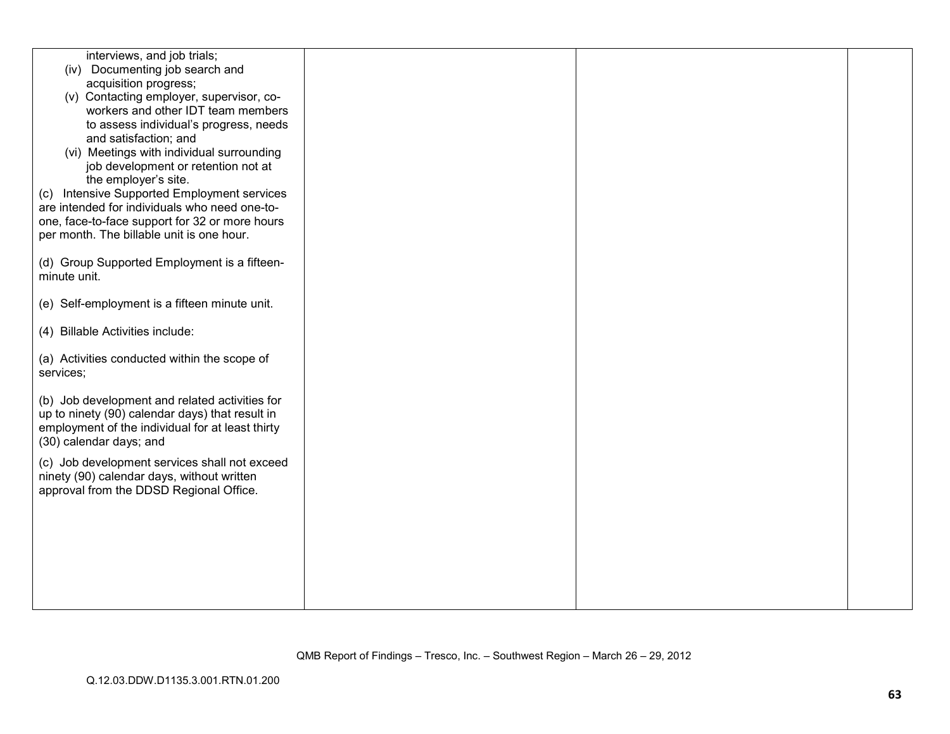| interviews, and job trials;                                                                 |  |  |
|---------------------------------------------------------------------------------------------|--|--|
| (iv) Documenting job search and                                                             |  |  |
| acquisition progress;                                                                       |  |  |
| (v) Contacting employer, supervisor, co-                                                    |  |  |
| workers and other IDT team members                                                          |  |  |
| to assess individual's progress, needs                                                      |  |  |
| and satisfaction; and                                                                       |  |  |
| (vi) Meetings with individual surrounding                                                   |  |  |
| job development or retention not at                                                         |  |  |
| the employer's site.                                                                        |  |  |
| Intensive Supported Employment services<br>(C)                                              |  |  |
| are intended for individuals who need one-to-                                               |  |  |
| one, face-to-face support for 32 or more hours<br>per month. The billable unit is one hour. |  |  |
|                                                                                             |  |  |
| (d) Group Supported Employment is a fifteen-                                                |  |  |
| minute unit.                                                                                |  |  |
|                                                                                             |  |  |
| (e) Self-employment is a fifteen minute unit.                                               |  |  |
|                                                                                             |  |  |
| (4) Billable Activities include:                                                            |  |  |
|                                                                                             |  |  |
| (a) Activities conducted within the scope of                                                |  |  |
| services;                                                                                   |  |  |
|                                                                                             |  |  |
| (b) Job development and related activities for                                              |  |  |
| up to ninety (90) calendar days) that result in                                             |  |  |
| employment of the individual for at least thirty                                            |  |  |
| (30) calendar days; and                                                                     |  |  |
| (c) Job development services shall not exceed                                               |  |  |
| ninety (90) calendar days, without written                                                  |  |  |
| approval from the DDSD Regional Office.                                                     |  |  |
|                                                                                             |  |  |
|                                                                                             |  |  |
|                                                                                             |  |  |
|                                                                                             |  |  |
|                                                                                             |  |  |
|                                                                                             |  |  |
|                                                                                             |  |  |
|                                                                                             |  |  |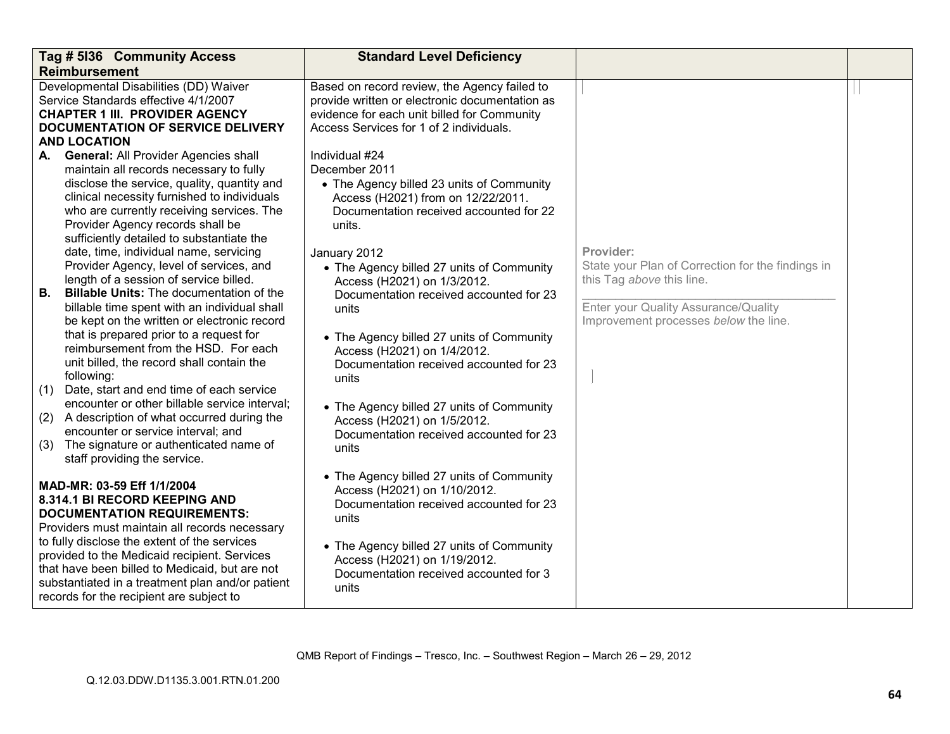| Tag # 5136 Community Access                                                                                                                                                                                                                                                                                                                                                                                                                                                                                                                                                                                                                                                                                                                                                                                                                                                                                                                                                                                                                                                                                                                                                                                                     | <b>Standard Level Deficiency</b>                                                                                                                                                                                                                                                                                                                                                                                                                                                                                                                                                                                                                                                                                                                                                    |                                                                                                                                                                              |  |
|---------------------------------------------------------------------------------------------------------------------------------------------------------------------------------------------------------------------------------------------------------------------------------------------------------------------------------------------------------------------------------------------------------------------------------------------------------------------------------------------------------------------------------------------------------------------------------------------------------------------------------------------------------------------------------------------------------------------------------------------------------------------------------------------------------------------------------------------------------------------------------------------------------------------------------------------------------------------------------------------------------------------------------------------------------------------------------------------------------------------------------------------------------------------------------------------------------------------------------|-------------------------------------------------------------------------------------------------------------------------------------------------------------------------------------------------------------------------------------------------------------------------------------------------------------------------------------------------------------------------------------------------------------------------------------------------------------------------------------------------------------------------------------------------------------------------------------------------------------------------------------------------------------------------------------------------------------------------------------------------------------------------------------|------------------------------------------------------------------------------------------------------------------------------------------------------------------------------|--|
| <b>Reimbursement</b><br>Developmental Disabilities (DD) Waiver<br>Service Standards effective 4/1/2007<br><b>CHAPTER 1 III. PROVIDER AGENCY</b><br><b>DOCUMENTATION OF SERVICE DELIVERY</b><br><b>AND LOCATION</b><br><b>General: All Provider Agencies shall</b><br>А.<br>maintain all records necessary to fully<br>disclose the service, quality, quantity and<br>clinical necessity furnished to individuals<br>who are currently receiving services. The<br>Provider Agency records shall be<br>sufficiently detailed to substantiate the<br>date, time, individual name, servicing<br>Provider Agency, level of services, and<br>length of a session of service billed.<br><b>Billable Units: The documentation of the</b><br>В.<br>billable time spent with an individual shall<br>be kept on the written or electronic record<br>that is prepared prior to a request for<br>reimbursement from the HSD. For each<br>unit billed, the record shall contain the<br>following:<br>Date, start and end time of each service<br>(1)<br>encounter or other billable service interval;<br>(2) A description of what occurred during the<br>encounter or service interval; and<br>The signature or authenticated name of<br>(3) | Based on record review, the Agency failed to<br>provide written or electronic documentation as<br>evidence for each unit billed for Community<br>Access Services for 1 of 2 individuals.<br>Individual #24<br>December 2011<br>• The Agency billed 23 units of Community<br>Access (H2021) from on 12/22/2011.<br>Documentation received accounted for 22<br>units.<br>January 2012<br>• The Agency billed 27 units of Community<br>Access (H2021) on 1/3/2012.<br>Documentation received accounted for 23<br>units<br>• The Agency billed 27 units of Community<br>Access (H2021) on 1/4/2012.<br>Documentation received accounted for 23<br>units<br>• The Agency billed 27 units of Community<br>Access (H2021) on 1/5/2012.<br>Documentation received accounted for 23<br>units | Provider:<br>State your Plan of Correction for the findings in<br>this Tag above this line.<br>Enter your Quality Assurance/Quality<br>Improvement processes below the line. |  |
| staff providing the service.<br>MAD-MR: 03-59 Eff 1/1/2004<br>8.314.1 BI RECORD KEEPING AND<br><b>DOCUMENTATION REQUIREMENTS:</b><br>Providers must maintain all records necessary<br>to fully disclose the extent of the services<br>provided to the Medicaid recipient. Services<br>that have been billed to Medicaid, but are not<br>substantiated in a treatment plan and/or patient<br>records for the recipient are subject to                                                                                                                                                                                                                                                                                                                                                                                                                                                                                                                                                                                                                                                                                                                                                                                            | • The Agency billed 27 units of Community<br>Access (H2021) on 1/10/2012.<br>Documentation received accounted for 23<br>units<br>• The Agency billed 27 units of Community<br>Access (H2021) on 1/19/2012.<br>Documentation received accounted for 3<br>units                                                                                                                                                                                                                                                                                                                                                                                                                                                                                                                       |                                                                                                                                                                              |  |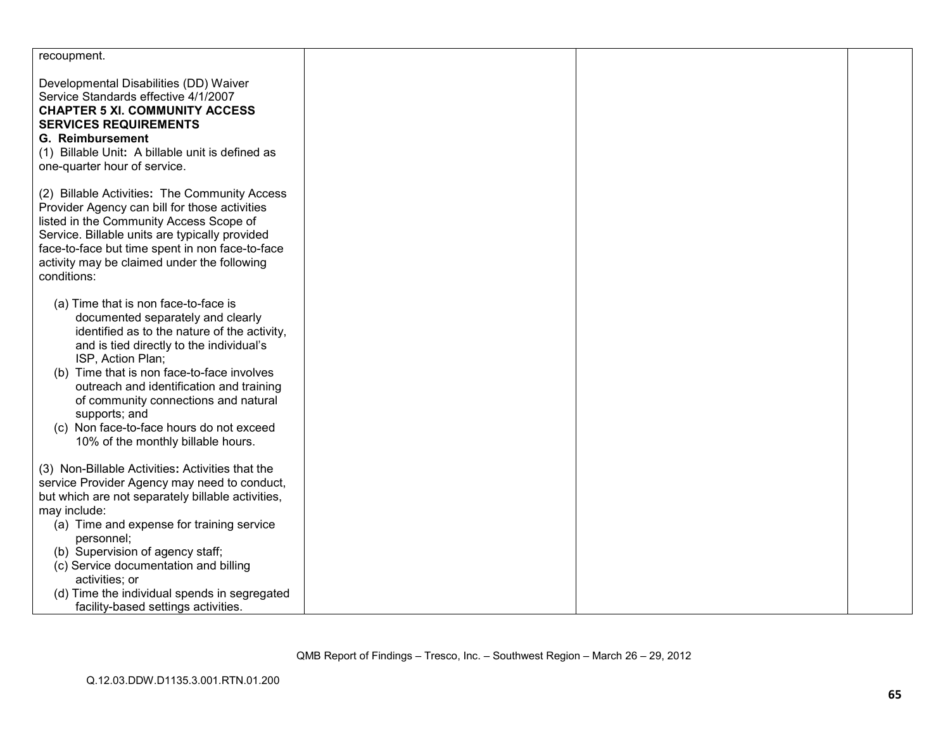| recoupment.                                                                                                                                                                                                                                                                                                                                                                                                                     |  |  |
|---------------------------------------------------------------------------------------------------------------------------------------------------------------------------------------------------------------------------------------------------------------------------------------------------------------------------------------------------------------------------------------------------------------------------------|--|--|
| Developmental Disabilities (DD) Waiver<br>Service Standards effective 4/1/2007<br><b>CHAPTER 5 XI. COMMUNITY ACCESS</b><br><b>SERVICES REQUIREMENTS</b><br><b>G. Reimbursement</b><br>(1) Billable Unit: A billable unit is defined as<br>one-quarter hour of service.                                                                                                                                                          |  |  |
| (2) Billable Activities: The Community Access<br>Provider Agency can bill for those activities<br>listed in the Community Access Scope of<br>Service. Billable units are typically provided<br>face-to-face but time spent in non face-to-face<br>activity may be claimed under the following<br>conditions:                                                                                                                    |  |  |
| (a) Time that is non face-to-face is<br>documented separately and clearly<br>identified as to the nature of the activity,<br>and is tied directly to the individual's<br>ISP, Action Plan;<br>(b) Time that is non face-to-face involves<br>outreach and identification and training<br>of community connections and natural<br>supports; and<br>(c) Non face-to-face hours do not exceed<br>10% of the monthly billable hours. |  |  |
| (3) Non-Billable Activities: Activities that the<br>service Provider Agency may need to conduct,<br>but which are not separately billable activities,<br>may include:<br>(a) Time and expense for training service<br>personnel;<br>(b) Supervision of agency staff;<br>(c) Service documentation and billing<br>activities; or<br>(d) Time the individual spends in segregated<br>facility-based settings activities.          |  |  |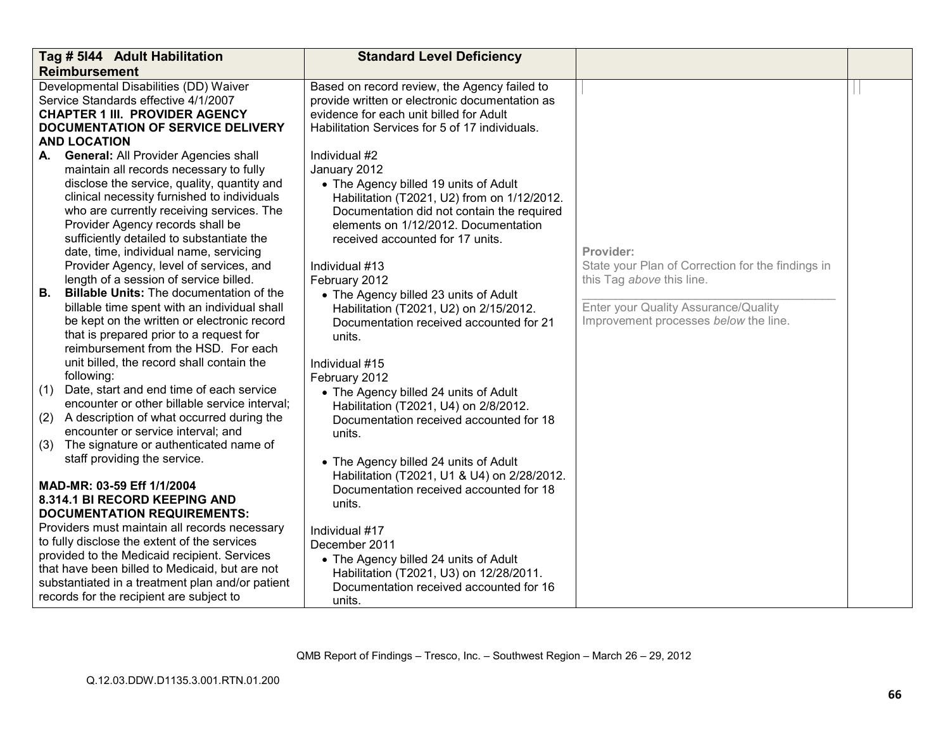|     | Tag # 5144 Adult Habilitation                                                                                                                                                                                                                                                  | <b>Standard Level Deficiency</b>                                                                                                                                                                               |                                                                               |  |
|-----|--------------------------------------------------------------------------------------------------------------------------------------------------------------------------------------------------------------------------------------------------------------------------------|----------------------------------------------------------------------------------------------------------------------------------------------------------------------------------------------------------------|-------------------------------------------------------------------------------|--|
|     | <b>Reimbursement</b>                                                                                                                                                                                                                                                           |                                                                                                                                                                                                                |                                                                               |  |
|     | Developmental Disabilities (DD) Waiver<br>Service Standards effective 4/1/2007<br><b>CHAPTER 1 III. PROVIDER AGENCY</b><br><b>DOCUMENTATION OF SERVICE DELIVERY</b><br><b>AND LOCATION</b>                                                                                     | Based on record review, the Agency failed to<br>provide written or electronic documentation as<br>evidence for each unit billed for Adult<br>Habilitation Services for 5 of 17 individuals.                    |                                                                               |  |
| А.  | <b>General: All Provider Agencies shall</b>                                                                                                                                                                                                                                    | Individual #2                                                                                                                                                                                                  |                                                                               |  |
|     | maintain all records necessary to fully                                                                                                                                                                                                                                        | January 2012                                                                                                                                                                                                   |                                                                               |  |
|     | disclose the service, quality, quantity and<br>clinical necessity furnished to individuals<br>who are currently receiving services. The<br>Provider Agency records shall be<br>sufficiently detailed to substantiate the<br>date, time, individual name, servicing             | • The Agency billed 19 units of Adult<br>Habilitation (T2021, U2) from on 1/12/2012.<br>Documentation did not contain the required<br>elements on 1/12/2012. Documentation<br>received accounted for 17 units. | Provider:                                                                     |  |
|     | Provider Agency, level of services, and                                                                                                                                                                                                                                        | Individual #13                                                                                                                                                                                                 | State your Plan of Correction for the findings in                             |  |
|     | length of a session of service billed.                                                                                                                                                                                                                                         | February 2012                                                                                                                                                                                                  | this Tag above this line.                                                     |  |
| В.  | <b>Billable Units:</b> The documentation of the<br>billable time spent with an individual shall<br>be kept on the written or electronic record<br>that is prepared prior to a request for<br>reimbursement from the HSD. For each<br>unit billed, the record shall contain the | • The Agency billed 23 units of Adult<br>Habilitation (T2021, U2) on 2/15/2012.<br>Documentation received accounted for 21<br>units.<br>Individual #15                                                         | Enter your Quality Assurance/Quality<br>Improvement processes below the line. |  |
|     | following:                                                                                                                                                                                                                                                                     | February 2012                                                                                                                                                                                                  |                                                                               |  |
| (1) | Date, start and end time of each service<br>encounter or other billable service interval;                                                                                                                                                                                      | • The Agency billed 24 units of Adult<br>Habilitation (T2021, U4) on 2/8/2012.                                                                                                                                 |                                                                               |  |
| (2) | A description of what occurred during the                                                                                                                                                                                                                                      | Documentation received accounted for 18                                                                                                                                                                        |                                                                               |  |
|     | encounter or service interval; and                                                                                                                                                                                                                                             | units.                                                                                                                                                                                                         |                                                                               |  |
| (3) | The signature or authenticated name of<br>staff providing the service.                                                                                                                                                                                                         |                                                                                                                                                                                                                |                                                                               |  |
|     | MAD-MR: 03-59 Eff 1/1/2004<br>8.314.1 BI RECORD KEEPING AND<br><b>DOCUMENTATION REQUIREMENTS:</b><br>Providers must maintain all records necessary                                                                                                                             | • The Agency billed 24 units of Adult<br>Habilitation (T2021, U1 & U4) on 2/28/2012.<br>Documentation received accounted for 18<br>units.<br>Individual #17                                                    |                                                                               |  |
|     | to fully disclose the extent of the services                                                                                                                                                                                                                                   | December 2011                                                                                                                                                                                                  |                                                                               |  |
|     | provided to the Medicaid recipient. Services<br>that have been billed to Medicaid, but are not<br>substantiated in a treatment plan and/or patient<br>records for the recipient are subject to                                                                                 | • The Agency billed 24 units of Adult<br>Habilitation (T2021, U3) on 12/28/2011.<br>Documentation received accounted for 16<br>units.                                                                          |                                                                               |  |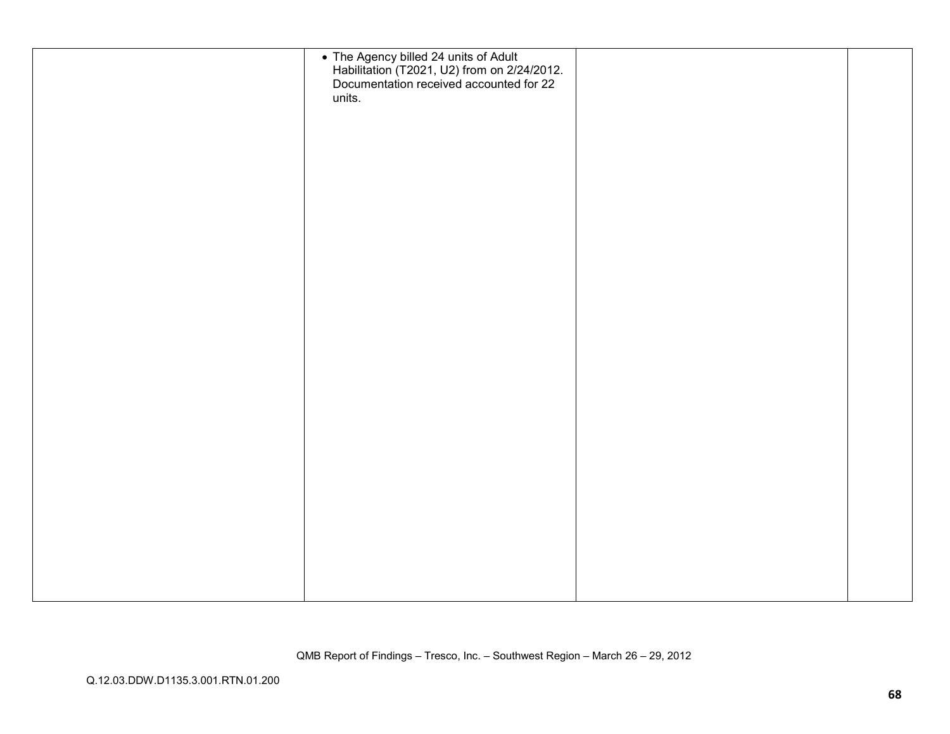| • The Agency billed 24 units of Adult<br>Habilitation (T2021, U2) from on 2/24/2012.<br>Documentation received accounted for 22 |  |
|---------------------------------------------------------------------------------------------------------------------------------|--|
| units.                                                                                                                          |  |
|                                                                                                                                 |  |
|                                                                                                                                 |  |
|                                                                                                                                 |  |
|                                                                                                                                 |  |
|                                                                                                                                 |  |
|                                                                                                                                 |  |
|                                                                                                                                 |  |
|                                                                                                                                 |  |
|                                                                                                                                 |  |
|                                                                                                                                 |  |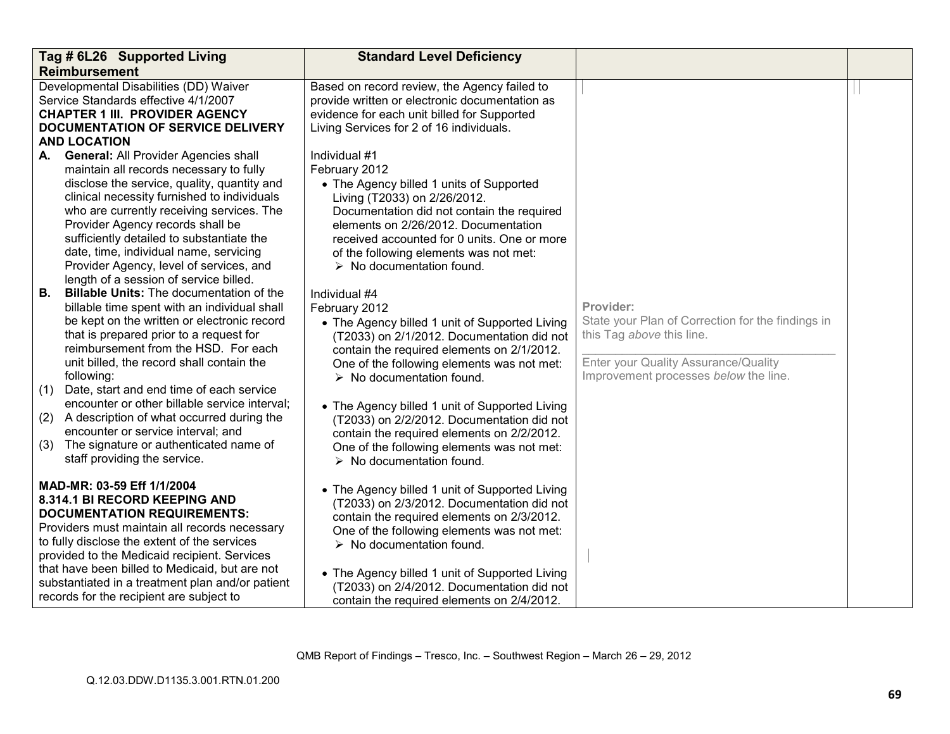|                         | Tag # 6L26 Supported Living                                                                                                                                                                                                                                                                                                                                                                                                                                                                                                                            | <b>Standard Level Deficiency</b>                                                                                                                                                                                                                                                                                                                                                                                                                                                                               |                                                                                                                                                                              |  |
|-------------------------|--------------------------------------------------------------------------------------------------------------------------------------------------------------------------------------------------------------------------------------------------------------------------------------------------------------------------------------------------------------------------------------------------------------------------------------------------------------------------------------------------------------------------------------------------------|----------------------------------------------------------------------------------------------------------------------------------------------------------------------------------------------------------------------------------------------------------------------------------------------------------------------------------------------------------------------------------------------------------------------------------------------------------------------------------------------------------------|------------------------------------------------------------------------------------------------------------------------------------------------------------------------------|--|
|                         | <b>Reimbursement</b>                                                                                                                                                                                                                                                                                                                                                                                                                                                                                                                                   |                                                                                                                                                                                                                                                                                                                                                                                                                                                                                                                |                                                                                                                                                                              |  |
|                         | Developmental Disabilities (DD) Waiver<br>Service Standards effective 4/1/2007<br><b>CHAPTER 1 III. PROVIDER AGENCY</b><br>DOCUMENTATION OF SERVICE DELIVERY                                                                                                                                                                                                                                                                                                                                                                                           | Based on record review, the Agency failed to<br>provide written or electronic documentation as<br>evidence for each unit billed for Supported<br>Living Services for 2 of 16 individuals.                                                                                                                                                                                                                                                                                                                      |                                                                                                                                                                              |  |
|                         | <b>AND LOCATION</b>                                                                                                                                                                                                                                                                                                                                                                                                                                                                                                                                    |                                                                                                                                                                                                                                                                                                                                                                                                                                                                                                                |                                                                                                                                                                              |  |
| А.                      | <b>General: All Provider Agencies shall</b><br>maintain all records necessary to fully<br>disclose the service, quality, quantity and<br>clinical necessity furnished to individuals<br>who are currently receiving services. The<br>Provider Agency records shall be<br>sufficiently detailed to substantiate the<br>date, time, individual name, servicing<br>Provider Agency, level of services, and                                                                                                                                                | Individual #1<br>February 2012<br>• The Agency billed 1 units of Supported<br>Living (T2033) on 2/26/2012.<br>Documentation did not contain the required<br>elements on 2/26/2012. Documentation<br>received accounted for 0 units. One or more<br>of the following elements was not met:<br>$\triangleright$ No documentation found.                                                                                                                                                                          |                                                                                                                                                                              |  |
|                         | length of a session of service billed.                                                                                                                                                                                                                                                                                                                                                                                                                                                                                                                 |                                                                                                                                                                                                                                                                                                                                                                                                                                                                                                                |                                                                                                                                                                              |  |
| В.<br>(1)<br>(2)<br>(3) | <b>Billable Units:</b> The documentation of the<br>billable time spent with an individual shall<br>be kept on the written or electronic record<br>that is prepared prior to a request for<br>reimbursement from the HSD. For each<br>unit billed, the record shall contain the<br>following:<br>Date, start and end time of each service<br>encounter or other billable service interval;<br>A description of what occurred during the<br>encounter or service interval; and<br>The signature or authenticated name of<br>staff providing the service. | Individual #4<br>February 2012<br>• The Agency billed 1 unit of Supported Living<br>(T2033) on 2/1/2012. Documentation did not<br>contain the required elements on 2/1/2012.<br>One of the following elements was not met:<br>$\triangleright$ No documentation found.<br>• The Agency billed 1 unit of Supported Living<br>(T2033) on 2/2/2012. Documentation did not<br>contain the required elements on 2/2/2012.<br>One of the following elements was not met:<br>$\triangleright$ No documentation found. | Provider:<br>State your Plan of Correction for the findings in<br>this Tag above this line.<br>Enter your Quality Assurance/Quality<br>Improvement processes below the line. |  |
|                         | MAD-MR: 03-59 Eff 1/1/2004<br>8.314.1 BI RECORD KEEPING AND<br><b>DOCUMENTATION REQUIREMENTS:</b><br>Providers must maintain all records necessary<br>to fully disclose the extent of the services<br>provided to the Medicaid recipient. Services<br>that have been billed to Medicaid, but are not<br>substantiated in a treatment plan and/or patient<br>records for the recipient are subject to                                                                                                                                                   | • The Agency billed 1 unit of Supported Living<br>(T2033) on 2/3/2012. Documentation did not<br>contain the required elements on 2/3/2012.<br>One of the following elements was not met:<br>$\triangleright$ No documentation found.<br>• The Agency billed 1 unit of Supported Living<br>(T2033) on 2/4/2012. Documentation did not<br>contain the required elements on 2/4/2012.                                                                                                                             |                                                                                                                                                                              |  |

QMB Report of Findings – Tresco, Inc. – Southwest Region – March 26 – 29, 2012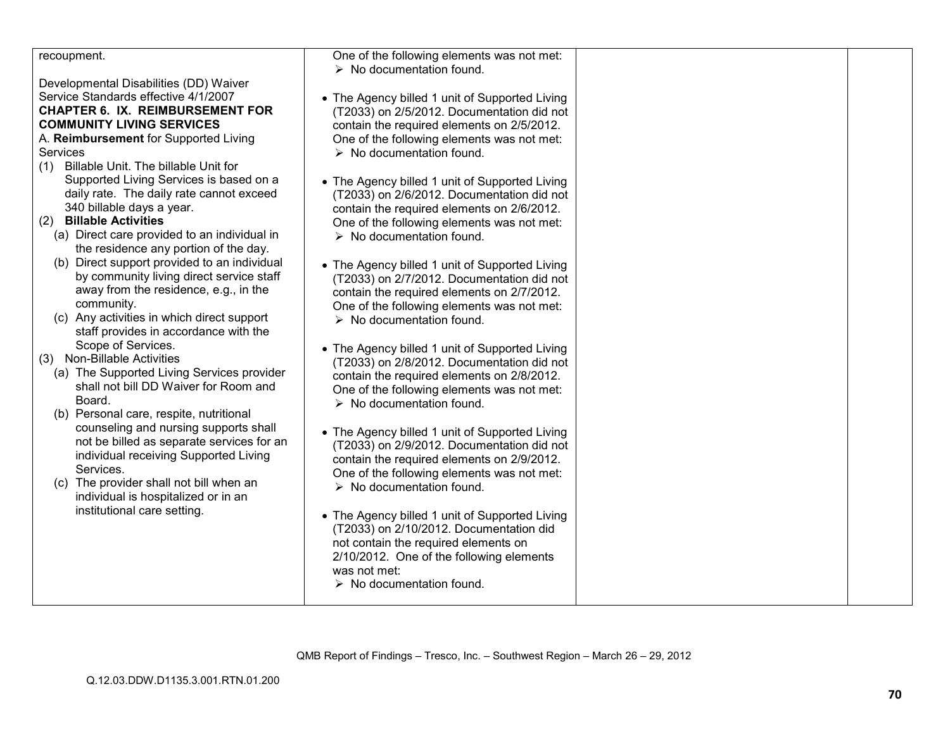| recoupment.                                                                              | One of the following elements was not met:                                                   |  |
|------------------------------------------------------------------------------------------|----------------------------------------------------------------------------------------------|--|
|                                                                                          | $\triangleright$ No documentation found.                                                     |  |
| Developmental Disabilities (DD) Waiver<br>Service Standards effective 4/1/2007           |                                                                                              |  |
| <b>CHAPTER 6. IX. REIMBURSEMENT FOR</b>                                                  | • The Agency billed 1 unit of Supported Living<br>(T2033) on 2/5/2012. Documentation did not |  |
| <b>COMMUNITY LIVING SERVICES</b>                                                         | contain the required elements on 2/5/2012.                                                   |  |
| A. Reimbursement for Supported Living                                                    | One of the following elements was not met:                                                   |  |
| <b>Services</b>                                                                          | $\triangleright$ No documentation found.                                                     |  |
| Billable Unit. The billable Unit for<br>(1)                                              |                                                                                              |  |
| Supported Living Services is based on a                                                  | • The Agency billed 1 unit of Supported Living                                               |  |
| daily rate. The daily rate cannot exceed                                                 | (T2033) on 2/6/2012. Documentation did not                                                   |  |
| 340 billable days a year.                                                                | contain the required elements on 2/6/2012.                                                   |  |
| (2) Billable Activities                                                                  | One of the following elements was not met:                                                   |  |
| (a) Direct care provided to an individual in                                             | $\triangleright$ No documentation found.                                                     |  |
| the residence any portion of the day.                                                    |                                                                                              |  |
| (b) Direct support provided to an individual<br>by community living direct service staff | • The Agency billed 1 unit of Supported Living                                               |  |
| away from the residence, e.g., in the                                                    | (T2033) on 2/7/2012. Documentation did not                                                   |  |
| community.                                                                               | contain the required elements on 2/7/2012.<br>One of the following elements was not met:     |  |
| (c) Any activities in which direct support                                               | $\triangleright$ No documentation found.                                                     |  |
| staff provides in accordance with the                                                    |                                                                                              |  |
| Scope of Services.                                                                       | • The Agency billed 1 unit of Supported Living                                               |  |
| (3) Non-Billable Activities                                                              | (T2033) on 2/8/2012. Documentation did not                                                   |  |
| (a) The Supported Living Services provider                                               | contain the required elements on 2/8/2012.                                                   |  |
| shall not bill DD Waiver for Room and                                                    | One of the following elements was not met:                                                   |  |
| Board.                                                                                   | $\triangleright$ No documentation found.                                                     |  |
| (b) Personal care, respite, nutritional<br>counseling and nursing supports shall         |                                                                                              |  |
| not be billed as separate services for an                                                | • The Agency billed 1 unit of Supported Living                                               |  |
| individual receiving Supported Living                                                    | (T2033) on 2/9/2012. Documentation did not                                                   |  |
| Services.                                                                                | contain the required elements on 2/9/2012.<br>One of the following elements was not met:     |  |
| (c) The provider shall not bill when an                                                  | $\triangleright$ No documentation found.                                                     |  |
| individual is hospitalized or in an                                                      |                                                                                              |  |
| institutional care setting.                                                              | • The Agency billed 1 unit of Supported Living                                               |  |
|                                                                                          | (T2033) on 2/10/2012. Documentation did                                                      |  |
|                                                                                          | not contain the required elements on                                                         |  |
|                                                                                          | 2/10/2012. One of the following elements                                                     |  |
|                                                                                          | was not met:                                                                                 |  |
|                                                                                          | $\triangleright$ No documentation found.                                                     |  |
|                                                                                          |                                                                                              |  |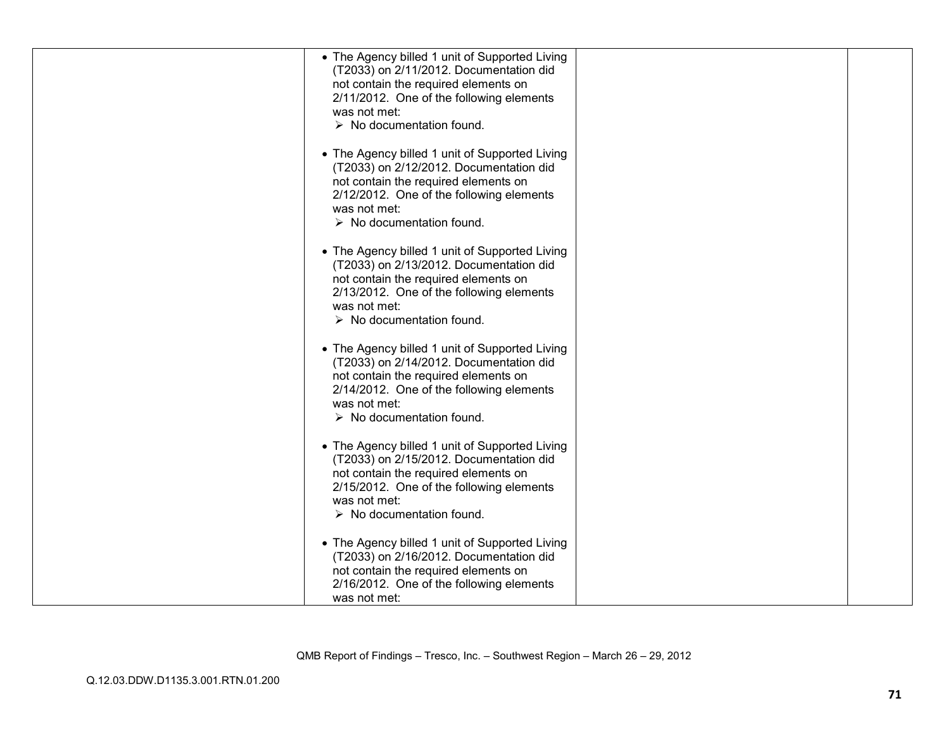| • The Agency billed 1 unit of Supported Living<br>(T2033) on 2/11/2012. Documentation did<br>not contain the required elements on<br>2/11/2012. One of the following elements<br>was not met:<br>$\triangleright$ No documentation found. |  |
|-------------------------------------------------------------------------------------------------------------------------------------------------------------------------------------------------------------------------------------------|--|
| • The Agency billed 1 unit of Supported Living<br>(T2033) on 2/12/2012. Documentation did<br>not contain the required elements on<br>2/12/2012. One of the following elements<br>was not met:<br>$\triangleright$ No documentation found. |  |
| • The Agency billed 1 unit of Supported Living<br>(T2033) on 2/13/2012. Documentation did<br>not contain the required elements on<br>2/13/2012. One of the following elements<br>was not met:<br>$\triangleright$ No documentation found. |  |
| • The Agency billed 1 unit of Supported Living<br>(T2033) on 2/14/2012. Documentation did<br>not contain the required elements on<br>2/14/2012. One of the following elements<br>was not met:<br>$\triangleright$ No documentation found. |  |
| • The Agency billed 1 unit of Supported Living<br>(T2033) on 2/15/2012. Documentation did<br>not contain the required elements on<br>2/15/2012. One of the following elements<br>was not met:<br>$\triangleright$ No documentation found. |  |
| • The Agency billed 1 unit of Supported Living<br>(T2033) on 2/16/2012. Documentation did<br>not contain the required elements on<br>2/16/2012. One of the following elements<br>was not met:                                             |  |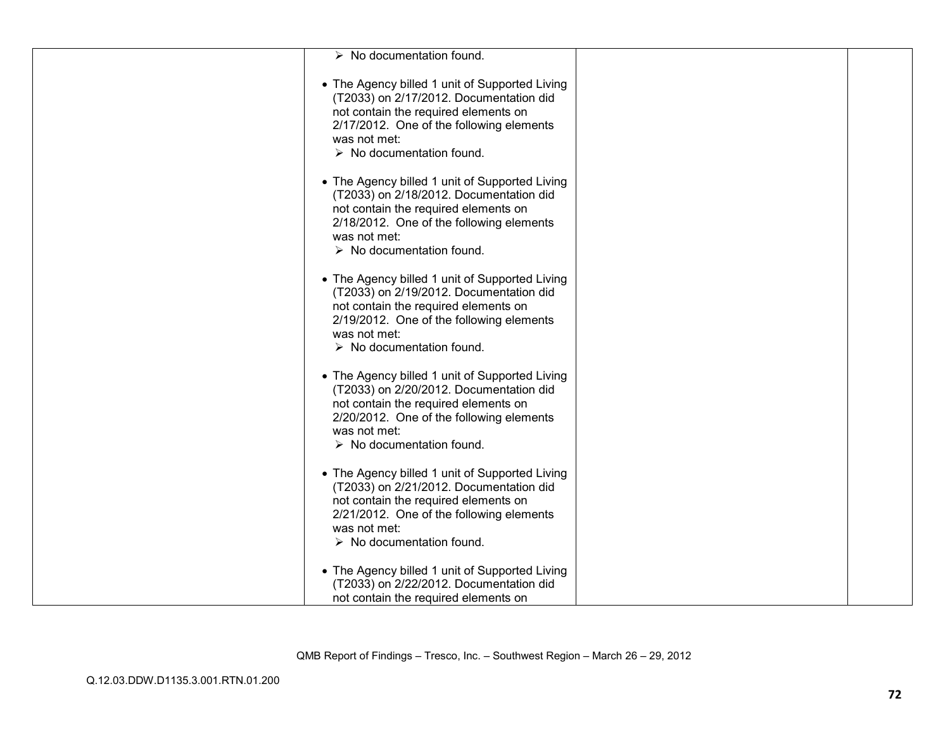| $\triangleright$ No documentation found. |                                                                                           |
|------------------------------------------|-------------------------------------------------------------------------------------------|
| not contain the required elements on     | • The Agency billed 1 unit of Supported Living                                            |
| was not met:                             | (T2033) on 2/17/2012. Documentation did                                                   |
| $\triangleright$ No documentation found. | 2/17/2012. One of the following elements                                                  |
| not contain the required elements on     | • The Agency billed 1 unit of Supported Living                                            |
| was not met:                             | (T2033) on 2/18/2012. Documentation did                                                   |
| $\triangleright$ No documentation found. | 2/18/2012. One of the following elements                                                  |
| not contain the required elements on     | • The Agency billed 1 unit of Supported Living                                            |
| was not met:                             | (T2033) on 2/19/2012. Documentation did                                                   |
| $\triangleright$ No documentation found. | 2/19/2012. One of the following elements                                                  |
| not contain the required elements on     | • The Agency billed 1 unit of Supported Living                                            |
| was not met:                             | (T2033) on 2/20/2012. Documentation did                                                   |
| $\triangleright$ No documentation found. | 2/20/2012. One of the following elements                                                  |
| not contain the required elements on     | • The Agency billed 1 unit of Supported Living                                            |
| was not met:                             | (T2033) on 2/21/2012. Documentation did                                                   |
| $\triangleright$ No documentation found. | 2/21/2012. One of the following elements                                                  |
| not contain the required elements on     | • The Agency billed 1 unit of Supported Living<br>(T2033) on 2/22/2012. Documentation did |

QMB Report of Findings – Tresco, Inc. – Southwest Region – March 26 – 29, 2012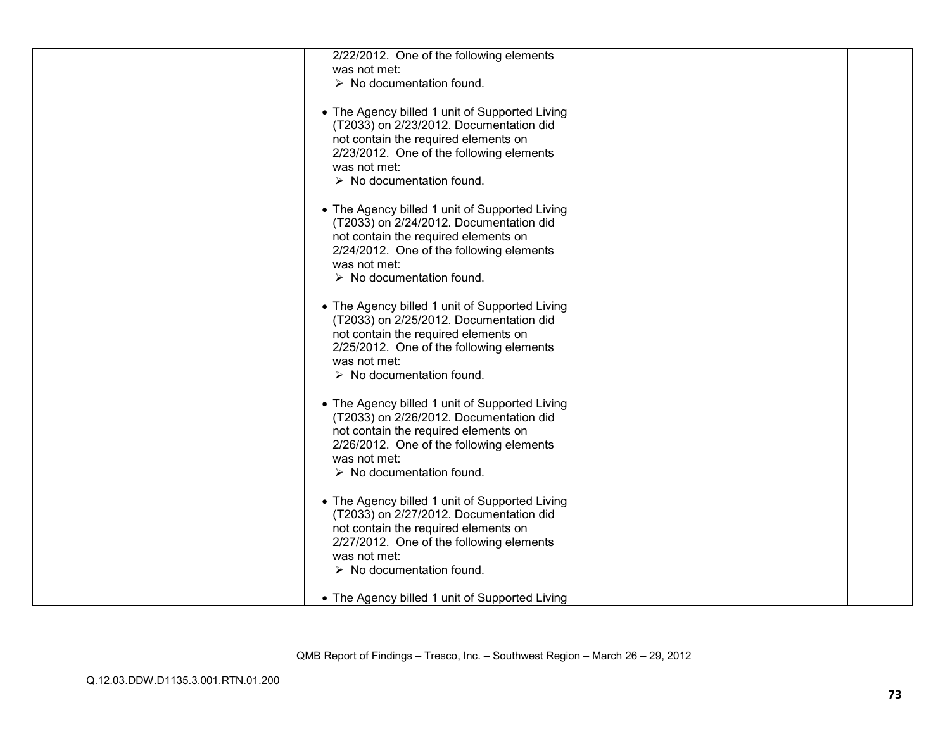| 2/22/2012. One of the following elements<br>was not met:                                                                                                                                                                                  |  |
|-------------------------------------------------------------------------------------------------------------------------------------------------------------------------------------------------------------------------------------------|--|
| $\triangleright$ No documentation found.                                                                                                                                                                                                  |  |
| • The Agency billed 1 unit of Supported Living<br>(T2033) on 2/23/2012. Documentation did<br>not contain the required elements on<br>2/23/2012. One of the following elements                                                             |  |
| was not met:<br>$\triangleright$ No documentation found.                                                                                                                                                                                  |  |
| • The Agency billed 1 unit of Supported Living<br>(T2033) on 2/24/2012. Documentation did<br>not contain the required elements on<br>2/24/2012. One of the following elements<br>was not met:<br>$\triangleright$ No documentation found. |  |
| • The Agency billed 1 unit of Supported Living<br>(T2033) on 2/25/2012. Documentation did<br>not contain the required elements on<br>2/25/2012. One of the following elements<br>was not met:<br>$\triangleright$ No documentation found. |  |
| • The Agency billed 1 unit of Supported Living<br>(T2033) on 2/26/2012. Documentation did<br>not contain the required elements on<br>2/26/2012. One of the following elements<br>was not met:<br>$\triangleright$ No documentation found. |  |
| • The Agency billed 1 unit of Supported Living<br>(T2033) on 2/27/2012. Documentation did<br>not contain the required elements on<br>2/27/2012. One of the following elements<br>was not met:<br>$\triangleright$ No documentation found. |  |
| • The Agency billed 1 unit of Supported Living                                                                                                                                                                                            |  |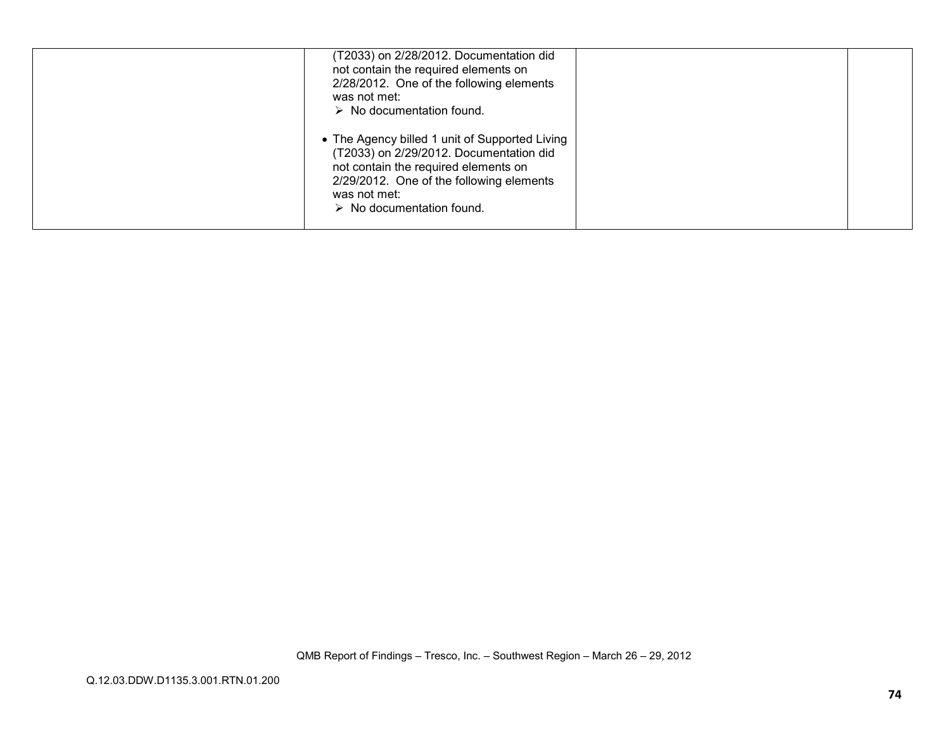| (T2033) on 2/28/2012. Documentation did<br>not contain the required elements on<br>2/28/2012. One of the following elements<br>was not met:<br>$\triangleright$ No documentation found.                                                   |  |
|-------------------------------------------------------------------------------------------------------------------------------------------------------------------------------------------------------------------------------------------|--|
| • The Agency billed 1 unit of Supported Living<br>(T2033) on 2/29/2012. Documentation did<br>not contain the required elements on<br>2/29/2012. One of the following elements<br>was not met:<br>$\triangleright$ No documentation found. |  |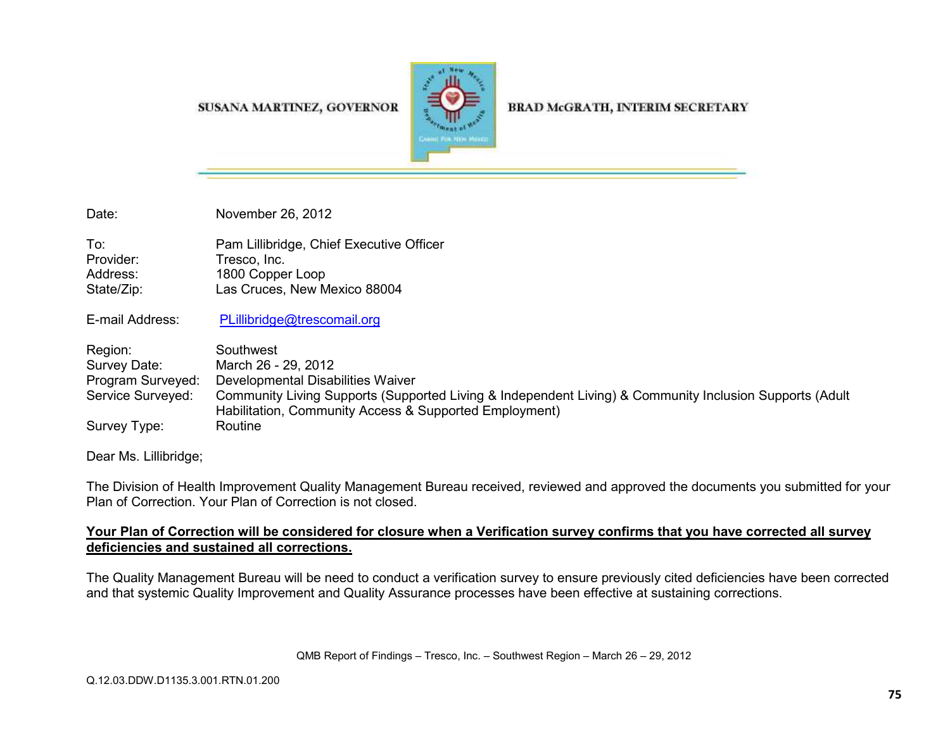## SUSANA MARTINEZ, GOVERNOR



## **BRAD McGRATH, INTERIM SECRETARY**

Date: November 26, 2012

To: Pam Lillibridge, Chief Executive Officer Provider: Tresco, Inc. Address: 1800 Copper Loop State/Zip: Las Cruces, New Mexico 88004

E-mail Address: PLillibridge@trescomail.org

| Region:           | Southwest                                                                                                                                                         |
|-------------------|-------------------------------------------------------------------------------------------------------------------------------------------------------------------|
| Survey Date:      | March 26 - 29, 2012                                                                                                                                               |
| Program Surveyed: | Developmental Disabilities Waiver                                                                                                                                 |
| Service Surveyed: | Community Living Supports (Supported Living & Independent Living) & Community Inclusion Supports (Adult<br>Habilitation, Community Access & Supported Employment) |
| Survey Type:      | Routine                                                                                                                                                           |

Dear Ms. Lillibridge;

The Division of Health Improvement Quality Management Bureau received, reviewed and approved the documents you submitted for your Plan of Correction. Your Plan of Correction is not closed.

## **Your Plan of Correction will be considered for closure when a Verification survey confirms that you have corrected all surveydeficiencies and sustained all corrections.**

The Quality Management Bureau will be need to conduct a verification survey to ensure previously cited deficiencies have been corrected and that systemic Quality Improvement and Quality Assurance processes have been effective at sustaining corrections.